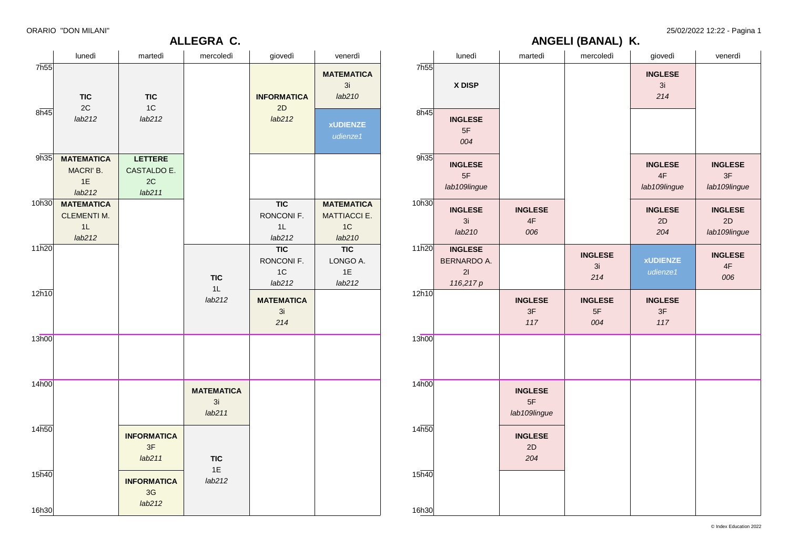© Index Education 2022

25/02/2022 12:22 - Pagina 1

### **ANGELI (BANAL) K.**

|                                                |       |                                                         |                                      | ANGELI (BANAL) N.           |                                      |                                      |
|------------------------------------------------|-------|---------------------------------------------------------|--------------------------------------|-----------------------------|--------------------------------------|--------------------------------------|
| nerdì:                                         |       | lunedì                                                  | martedì                              | mercoledì                   | giovedì                              | venerdì                              |
| <b>EMATICA</b><br>3i<br>b210                   | 7h55  | X DISP                                                  |                                      |                             | <b>INGLESE</b><br>3i<br>214          |                                      |
| <b>JIENZE</b><br>ienze1                        | 8h45  | <b>INGLESE</b><br>5F<br>004                             |                                      |                             |                                      |                                      |
|                                                | 9h35  | <b>INGLESE</b><br>5F<br>lab109lingue                    |                                      |                             | <b>INGLESE</b><br>4F<br>lab109lingue | <b>INGLESE</b><br>3F<br>lab109lingue |
| <b>EMATICA</b><br><b>IACCIE.</b><br>1C<br>b210 | 10h30 | <b>INGLESE</b><br>3i<br>lab210                          | <b>INGLESE</b><br>4F<br>006          |                             | <b>INGLESE</b><br>2D<br>204          | <b>INGLESE</b><br>2D<br>lab109lingue |
| TIC<br><b>JGO A.</b><br>1E<br>b212             | 11h20 | <b>INGLESE</b><br><b>BERNARDO A.</b><br>21<br>116,217 p |                                      | <b>INGLESE</b><br>3i<br>214 | <b>xUDIENZE</b><br>udienze1          | <b>INGLESE</b><br>4F<br>006          |
|                                                | 12h10 |                                                         | <b>INGLESE</b><br>3F<br>117          | <b>INGLESE</b><br>5F<br>004 | <b>INGLESE</b><br>3F<br>117          |                                      |
|                                                | 13h00 |                                                         |                                      |                             |                                      |                                      |
|                                                | 14h00 |                                                         | <b>INGLESE</b><br>5F<br>lab109lingue |                             |                                      |                                      |
|                                                | 14h50 |                                                         | <b>INGLESE</b><br>2D<br>204          |                             |                                      |                                      |
|                                                | 15h40 |                                                         |                                      |                             |                                      |                                      |
|                                                | 16h30 |                                                         |                                      |                             |                                      |                                      |

|       |                          |                                    | ALLEGRA C.                        |                                |                                       |
|-------|--------------------------|------------------------------------|-----------------------------------|--------------------------------|---------------------------------------|
|       | lunedì                   | martedì                            | mercoledì                         | giovedì                        | venerdì                               |
| 7h55  | <b>TIC</b><br>2C         | <b>TIC</b><br>1C                   |                                   | <b>INFORMATICA</b>             | <b>MATEMATICA</b><br>3i<br>lab210     |
| 8h45  | lab212                   | lab212                             |                                   | 2D<br>lab212                   | <b>xUDIENZE</b><br>udienze1           |
| 9h35  | <b>MATEMATICA</b>        | <b>LETTERE</b>                     |                                   |                                |                                       |
|       | MACRI' B.                | CASTALDO E.                        |                                   |                                |                                       |
|       | 1E                       | 2C                                 |                                   |                                |                                       |
|       | lab212                   | lab211                             |                                   |                                |                                       |
| 10h30 | <b>MATEMATICA</b>        |                                    |                                   | <b>TIC</b>                     | <b>MATEMATICA</b>                     |
|       | <b>CLEMENTI M.</b><br>1L |                                    |                                   | RONCONI F.<br>1L               | <b>MATTIACCI E.</b><br>1 <sup>C</sup> |
|       | lab212                   |                                    |                                   | lab212                         | lab210                                |
| 11h20 |                          |                                    |                                   | <b>TIC</b>                     | <b>TIC</b>                            |
|       |                          |                                    |                                   | RONCONI F.                     | LONGO A.                              |
|       |                          |                                    |                                   | 1 <sup>C</sup>                 | 1E                                    |
|       |                          |                                    | <b>TIC</b><br>1L                  | lab212                         | lab212                                |
| 12h10 |                          |                                    | lab212                            | <b>MATEMATICA</b><br>3i<br>214 |                                       |
| 13h00 |                          |                                    |                                   |                                |                                       |
|       |                          |                                    |                                   |                                |                                       |
| 14h00 |                          |                                    | <b>MATEMATICA</b><br>3i<br>lab211 |                                |                                       |
| 14h50 |                          | <b>INFORMATICA</b><br>3F<br>lab211 | <b>TIC</b>                        |                                |                                       |

3G *lab212*

16h30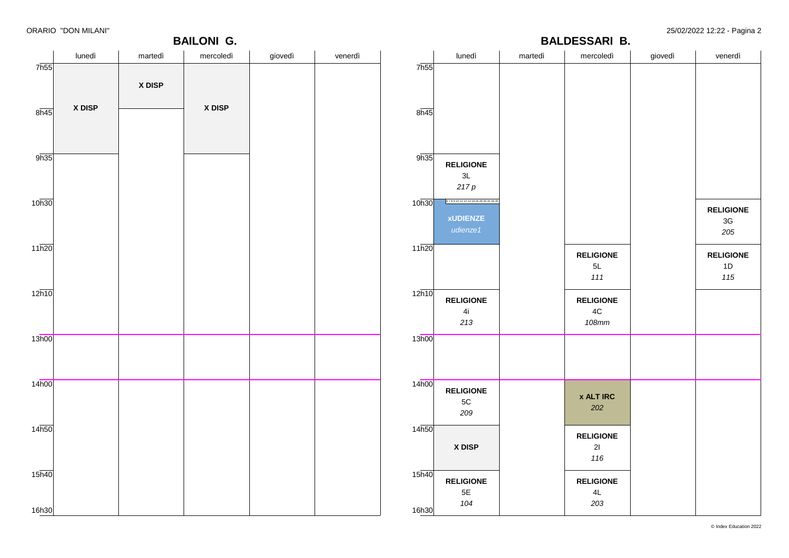7h55

 $8h45$ 

9h35

10h30

11h20

12h10

13h00

14h00

14h50

15h40

16h30

### **BAILONI G.**

ORARIO "DON MILANI" 25/02/2022 12:22 - Pagina 2

|        |         | <b>BAILONI G.</b> |         |         |                            |                                                           |         | <b>BALDESSARI B.</b>                       |         | --------- ----<br>.                      |
|--------|---------|-------------------|---------|---------|----------------------------|-----------------------------------------------------------|---------|--------------------------------------------|---------|------------------------------------------|
| lunedì | martedì | mercoledì         | giovedì | venerdì |                            | lunedì                                                    | martedì | mercoledì                                  | giovedì | venerdì                                  |
|        | X DISP  |                   |         |         | 7h55                       |                                                           |         |                                            |         |                                          |
| X DISP |         | X DISP            |         |         | 8h45                       |                                                           |         |                                            |         |                                          |
|        |         |                   |         |         | 9h35                       | <b>RELIGIONE</b><br>3L<br>$217\,p$                        |         |                                            |         |                                          |
|        |         |                   |         |         | 10h30                      | 67891011121314262830313435<br><b>xUDIENZE</b><br>udienze1 |         |                                            |         | <b>RELIGIONE</b><br>$3\mathsf{G}$<br>205 |
|        |         |                   |         |         | 11h20                      |                                                           |         | <b>RELIGIONE</b><br>$5L$<br>111            |         | <b>RELIGIONE</b><br>1D<br>115            |
|        |         |                   |         |         | $12\overline{h10}$         | <b>RELIGIONE</b><br>4i<br>213                             |         | <b>RELIGIONE</b><br>$4\mathrm{C}$<br>108mm |         |                                          |
|        |         |                   |         |         | 13h00                      |                                                           |         |                                            |         |                                          |
|        |         |                   |         |         | 14h00                      | <b>RELIGIONE</b><br>$5\mathrm{C}$<br>209                  |         | <b>x ALT IRC</b><br>202                    |         |                                          |
|        |         |                   |         |         | 14h50                      | X DISP                                                    |         | <b>RELIGIONE</b><br>21<br>116              |         |                                          |
|        |         |                   |         |         | 15 <sub>h40</sub><br>16h30 | <b>RELIGIONE</b><br>$5\mathsf{E}$<br>104                  |         | <b>RELIGIONE</b><br>$4\mathsf{L}$<br>203   |         |                                          |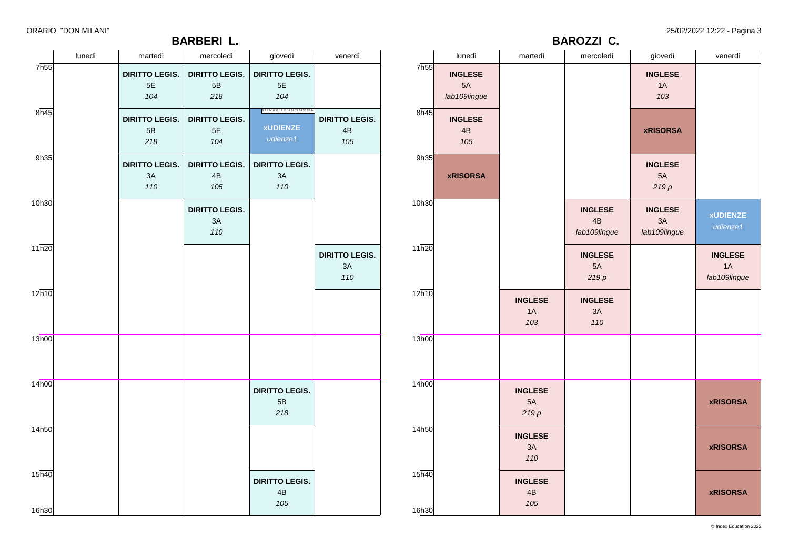### **BARBERI L.**

11h20

12h10

13h00

14h00

14h50

 $15\overline{h40}$ 

16h30

|        |                       | <b>BARBERI L.</b>     |                            |                       |      |                 |         | <b>BAROZZI C.</b> |                 |         |
|--------|-----------------------|-----------------------|----------------------------|-----------------------|------|-----------------|---------|-------------------|-----------------|---------|
| lunedì | martedì               | mercoledì             | giovedì                    | venerdì               |      | lunedì          | martedì | mercoledì         | giovedì         | venerdì |
|        | <b>DIRITTO LEGIS.</b> | <b>DIRITTO LEGIS.</b> | <b>DIRITTO LEGIS.</b>      |                       | 7h55 | <b>INGLESE</b>  |         |                   | <b>INGLESE</b>  |         |
|        | 5E                    | 5B                    | 5E                         |                       |      | 5A              |         |                   | 1A              |         |
|        | 104                   | 218                   | 104                        |                       |      | lab109lingue    |         |                   | 103             |         |
|        | <b>DIRITTO LEGIS.</b> | <b>DIRITTO LEGIS.</b> | 67891011121314262729303234 | <b>DIRITTO LEGIS.</b> | 8h45 | <b>INGLESE</b>  |         |                   |                 |         |
|        | 5B                    | 5E                    | <b>xUDIENZE</b>            | 4B                    |      | 4B              |         |                   | <b>xRISORSA</b> |         |
|        | 218                   | 104                   | udienze1                   | 105                   |      | 105             |         |                   |                 |         |
|        | <b>DIRITTO LEGIS.</b> | <b>DIRITTO LEGIS.</b> | <b>DIRITTO LEGIS.</b>      |                       | 9h35 |                 |         |                   | <b>INGLESE</b>  |         |
|        | 3A                    | 4B                    | 3A                         |                       |      | <b>xRISORSA</b> |         |                   | 5A              |         |
|        | 110                   | 105                   | 110                        |                       |      |                 |         |                   | 219p            |         |

|                | $5\mathsf{B}$<br>218               | $5\mathsf{E}$<br>104                          | <b>XUDIENZE</b><br>udienze1                   | $4\mathsf{B}$<br>105               |
|----------------|------------------------------------|-----------------------------------------------|-----------------------------------------------|------------------------------------|
| 9h35           | <b>DIRITTO LEGIS.</b><br>3A<br>110 | <b>DIRITTO LEGIS.</b><br>$4\mathsf{B}$<br>105 | <b>DIRITTO LEGIS.</b><br>3A<br>110            |                                    |
| 10h30          |                                    | <b>DIRITTO LEGIS.</b><br>3A<br>110            |                                               |                                    |
| 11h20          |                                    |                                               |                                               | <b>DIRITTO LEGIS.</b><br>3A<br>110 |
| 12h10          |                                    |                                               |                                               |                                    |
| 13h00          |                                    |                                               |                                               |                                    |
| 14h00          |                                    |                                               | <b>DIRITTO LEGIS.</b><br>$5\mathsf{B}$<br>218 |                                    |
| 14h50          |                                    |                                               |                                               |                                    |
| 15h40<br>16h30 |                                    |                                               | <b>DIRITTO LEGIS.</b><br>4B<br>105            |                                    |

| <b>xRISORSA</b> |                              |                                      | 5A<br>219p                           |                                      |
|-----------------|------------------------------|--------------------------------------|--------------------------------------|--------------------------------------|
|                 |                              | <b>INGLESE</b><br>4B<br>lab109lingue | <b>INGLESE</b><br>3A<br>lab109lingue | <b>xUDIENZE</b><br>udienze1          |
|                 |                              | <b>INGLESE</b><br>5A<br>219p         |                                      | <b>INGLESE</b><br>1A<br>lab109lingue |
|                 | <b>INGLESE</b><br>1A<br>103  | <b>INGLESE</b><br>3A<br>110          |                                      |                                      |
|                 |                              |                                      |                                      |                                      |
|                 | <b>INGLESE</b><br>5A<br>219p |                                      |                                      | <b>xRISORSA</b>                      |
|                 | <b>INGLESE</b><br>3A<br>110  |                                      |                                      | <b>xRISORSA</b>                      |
|                 | <b>INGLESE</b><br>4B<br>105  |                                      |                                      | <b>xRISORSA</b>                      |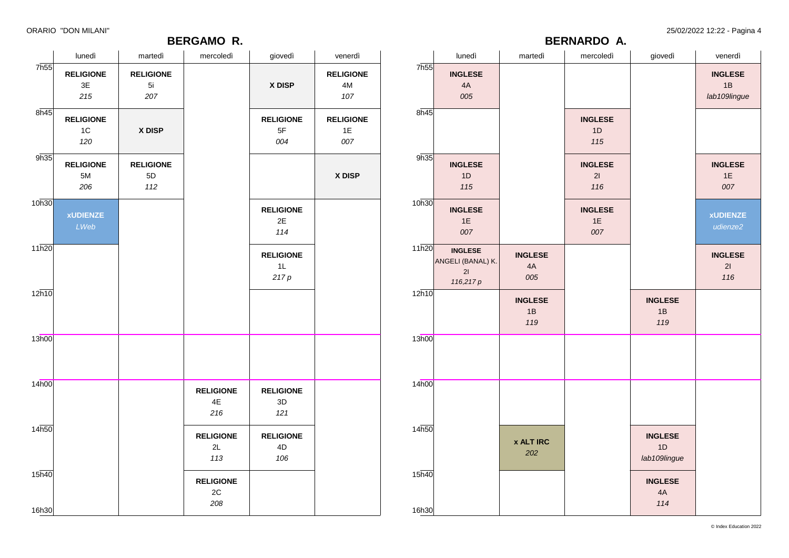### **BERGAMO R.**

ORARIO "DON MILANI" 25/02/2022 12:22 - Pagina 4

**BERNARDO A.**

|                   | lunedì                                       | martedì                         | mercoledì                                | giovedì                                  | venerdì                                  |                   | lunedì                                                 | martedì                     | mercoledì                   | giovedì                              | venerdì                              |
|-------------------|----------------------------------------------|---------------------------------|------------------------------------------|------------------------------------------|------------------------------------------|-------------------|--------------------------------------------------------|-----------------------------|-----------------------------|--------------------------------------|--------------------------------------|
| 7h55              | <b>RELIGIONE</b><br>$3\mathsf{E}$<br>$215\,$ | <b>RELIGIONE</b><br>5i<br>207   |                                          | X DISP                                   | <b>RELIGIONE</b><br>$4\mathsf{M}$<br>107 | 7h55              | <b>INGLESE</b><br>$4A$<br>005                          |                             |                             |                                      | <b>INGLESE</b><br>1B<br>lab109lingue |
| 8h45              | <b>RELIGIONE</b><br>$1C$<br>120              | X DISP                          |                                          | <b>RELIGIONE</b><br>5F<br>004            | <b>RELIGIONE</b><br>1E<br>007            | 8h45              |                                                        |                             | <b>INGLESE</b><br>1D<br>115 |                                      |                                      |
| 9h35              | <b>RELIGIONE</b><br>$5M$<br>206              | <b>RELIGIONE</b><br>$5D$<br>112 |                                          |                                          | X DISP                                   | 9h35              | <b>INGLESE</b><br>1D<br>115                            |                             | <b>INGLESE</b><br>21<br>116 |                                      | <b>INGLESE</b><br>$1E$<br>007        |
| 10h30             | <b>xUDIENZE</b><br>LWeb                      |                                 |                                          | <b>RELIGIONE</b><br>2E<br>114            |                                          | 10h30             | <b>INGLESE</b><br>$1E$<br>007                          |                             | <b>INGLESE</b><br>1E<br>007 |                                      | <b>xUDIENZE</b><br>udienze2          |
| 11h20             |                                              |                                 |                                          | <b>RELIGIONE</b><br>1L<br>217p           |                                          | 11h20             | <b>INGLESE</b><br>ANGELI (BANAL) K.<br>21<br>116,217 p | <b>INGLESE</b><br>4A<br>005 |                             |                                      | <b>INGLESE</b><br>21<br>116          |
| 12h10             |                                              |                                 |                                          |                                          |                                          | 12h10             |                                                        | <b>INGLESE</b><br>1B<br>119 |                             | <b>INGLESE</b><br>1B<br>119          |                                      |
| 13h00             |                                              |                                 |                                          |                                          |                                          | 13h00             |                                                        |                             |                             |                                      |                                      |
| 14h00             |                                              |                                 | <b>RELIGIONE</b><br>$4\mathsf{E}$<br>216 | <b>RELIGIONE</b><br>$3\mathsf{D}$<br>121 |                                          | 14 <sub>h00</sub> |                                                        |                             |                             |                                      |                                      |
| 14 <sub>h50</sub> |                                              |                                 | <b>RELIGIONE</b><br>2L<br>113            | <b>RELIGIONE</b><br>$4\mathsf{D}$<br>106 |                                          | 14h50             |                                                        | <b>x ALT IRC</b><br>202     |                             | <b>INGLESE</b><br>1D<br>lab109lingue |                                      |
| 15 <sub>h40</sub> |                                              |                                 | <b>RELIGIONE</b><br>$2\mathtt{C}$<br>208 |                                          |                                          | 15h40             |                                                        |                             |                             | <b>INGLESE</b><br>$4A$<br>114        |                                      |
| 16h30             |                                              |                                 |                                          |                                          |                                          | 16h30             |                                                        |                             |                             |                                      |                                      |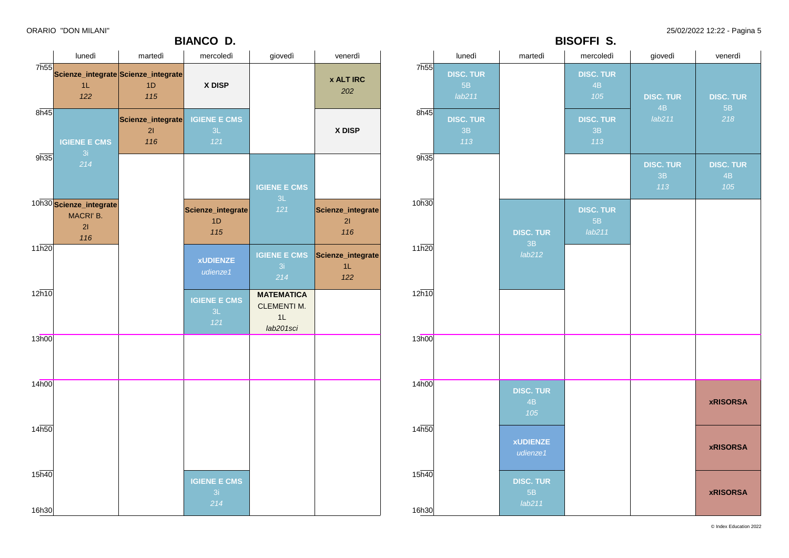### **BIANCO D.**

ORARIO "DON MILANI" 25/02/2022 12:22 - Pagina 5

|                            |                                                   |                                                          | <b>BIANCO D.</b>                 |                                                            |                                               |                   |                                  |                                  | <b>BISOFFI S.</b>                |                               |                               |
|----------------------------|---------------------------------------------------|----------------------------------------------------------|----------------------------------|------------------------------------------------------------|-----------------------------------------------|-------------------|----------------------------------|----------------------------------|----------------------------------|-------------------------------|-------------------------------|
|                            | lunedì                                            | martedì                                                  | mercoledì                        | giovedì                                                    | venerdì                                       |                   | lunedì                           | martedì                          | mercoledì                        | giovedì                       | venerdì                       |
|                            | 1L<br>122                                         | 7h55<br>Scienze_integrate Scienze_integrate<br>1D<br>115 | X DISP                           |                                                            | <b>x ALT IRC</b><br>202                       | 7h55              | <b>DISC. TUR</b><br>5B<br>lab211 |                                  | <b>DISC. TUR</b><br>4B<br>105    | <b>DISC. TUR</b>              | <b>DISC. TUR</b>              |
| 8h45                       | <b>IGIENE E CMS</b>                               | Scienze_integrate   IGIENE E CMS<br>21<br>116            | 3L<br>121                        |                                                            | X DISP                                        | 8h45              | <b>DISC. TUR</b><br>3B<br>113    |                                  | <b>DISC. TUR</b><br>3B<br>113    | 4B<br>lab211                  | 5B<br>218                     |
| 9h35                       | 3i<br>$214$                                       |                                                          |                                  | <b>IGIENE E CMS</b>                                        |                                               | 9h35              |                                  |                                  |                                  | <b>DISC. TUR</b><br>3B<br>113 | <b>DISC. TUR</b><br>4B<br>105 |
|                            | 10h30 Scienze_integrate<br>MACRI' B.<br>21<br>116 |                                                          | Scienze_integrate<br>1D<br>115   | 3L<br>121                                                  | Scienze_integrate<br>21<br>116                | 10h30             |                                  | <b>DISC. TUR</b>                 | <b>DISC. TUR</b><br>5B<br>lab211 |                               |                               |
| 11h20                      |                                                   |                                                          | <b>xUDIENZE</b><br>udienze1      | 3i<br>214                                                  | IGIENE E CMS Scienze_integrate<br>$1L$<br>122 | 11h20             |                                  | 3B<br>lab212                     |                                  |                               |                               |
| 12h10                      |                                                   |                                                          | <b>IGIENE E CMS</b><br>3L<br>121 | <b>MATEMATICA</b><br><b>CLEMENTI M.</b><br>1L<br>lab201sci |                                               | 12h10             |                                  |                                  |                                  |                               |                               |
| 13h00                      |                                                   |                                                          |                                  |                                                            |                                               | 13h00             |                                  |                                  |                                  |                               |                               |
| 14h00                      |                                                   |                                                          |                                  |                                                            |                                               | 14 <sub>h00</sub> |                                  | <b>DISC. TUR</b><br>4B<br>105    |                                  |                               | <b>xRISORSA</b>               |
| 14h50                      |                                                   |                                                          |                                  |                                                            |                                               | 14h50             |                                  | <b>xUDIENZE</b><br>udienze1      |                                  |                               | <b>xRISORSA</b>               |
| 15 <sub>h40</sub><br>16h30 |                                                   |                                                          | <b>IGIENE E CMS</b><br>3i<br>214 |                                                            |                                               | 15h40<br>16h30    |                                  | <b>DISC. TUR</b><br>5B<br>lab211 |                                  |                               | <b>xRISORSA</b>               |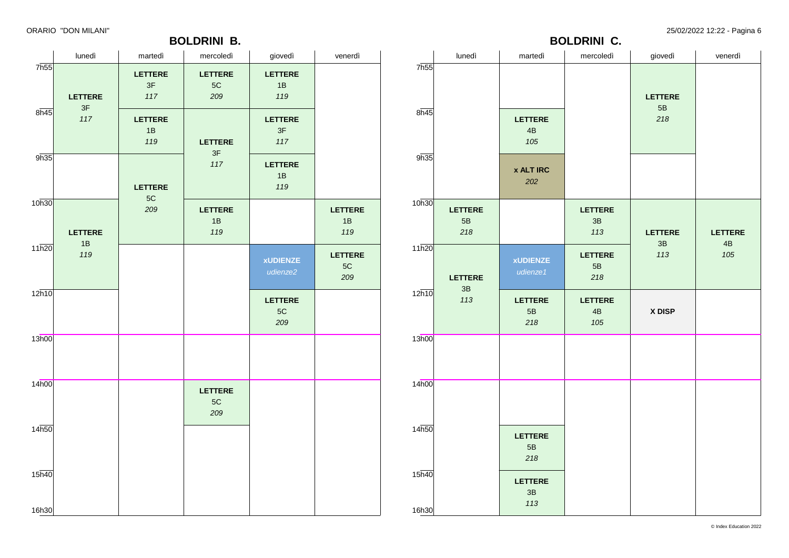### **BOLDRINI B.**

ORARIO "DON MILANI" 25/02/2022 12:22 - Pagina 6

|                            | lunedì         | martedì                       | mercoledì                              | giovedì                     | venerdì                                |
|----------------------------|----------------|-------------------------------|----------------------------------------|-----------------------------|----------------------------------------|
| 7h55                       | <b>LETTERE</b> | <b>LETTERE</b><br>$3F$<br>117 | <b>LETTERE</b><br>$5\mathrm{C}$<br>209 | <b>LETTERE</b><br>1B<br>119 |                                        |
| 8h45                       | 3F<br>117      | <b>LETTERE</b><br>1B<br>119   | <b>LETTERE</b>                         | <b>LETTERE</b><br>3F<br>117 |                                        |
| 9h35                       |                | <b>LETTERE</b>                | 3F<br>117                              | <b>LETTERE</b><br>1B<br>119 |                                        |
| 10h30                      | <b>LETTERE</b> | 5C<br>209                     | <b>LETTERE</b><br>1B<br>119            |                             | <b>LETTERE</b><br>1B<br>119            |
| 11h20                      | 1B<br>119      |                               |                                        | <b>xUDIENZE</b><br>udienze2 | <b>LETTERE</b><br>$5\mathrm{C}$<br>209 |
| 12h10                      |                |                               |                                        | <b>LETTERE</b><br>5C<br>209 |                                        |
| 13h00                      |                |                               |                                        |                             |                                        |
| 14h00                      |                |                               | <b>LETTERE</b><br>5C<br>209            |                             |                                        |
| 14 <sub>h50</sub>          |                |                               |                                        |                             |                                        |
| 15 <sub>h40</sub><br>16h30 |                |                               |                                        |                             |                                        |

|                   | lunedì                                 | martedì                                | mercoledì                   | giovedì                                | venerdì              |
|-------------------|----------------------------------------|----------------------------------------|-----------------------------|----------------------------------------|----------------------|
| 7h55<br>8h45      |                                        | <b>LETTERE</b><br>4B<br>105            |                             | <b>LETTERE</b><br>$5\mathsf{B}$<br>218 |                      |
| 9h35              |                                        | <b>x ALT IRC</b><br>202                |                             |                                        |                      |
| 10h30             | <b>LETTERE</b><br>$5\mathsf{B}$<br>218 |                                        | <b>LETTERE</b><br>3B<br>113 | <b>LETTERE</b><br>3B                   | <b>LETTERE</b><br>4B |
| 11h20             | <b>LETTERE</b><br>3B                   | <b>xUDIENZE</b><br>udienze1            | <b>LETTERE</b><br>5B<br>218 | 113                                    | 105                  |
| 12h10             | 113                                    | <b>LETTERE</b><br>5B<br>218            | <b>LETTERE</b><br>4B<br>105 | X DISP                                 |                      |
| 13h00             |                                        |                                        |                             |                                        |                      |
| 14 <sub>h00</sub> |                                        |                                        |                             |                                        |                      |
| 14h50             |                                        | <b>LETTERE</b><br>$5\mathsf{B}$<br>218 |                             |                                        |                      |
| 15h40<br>16h30    |                                        | <b>LETTERE</b><br>3B<br>113            |                             |                                        |                      |

**BOLDRINI C.**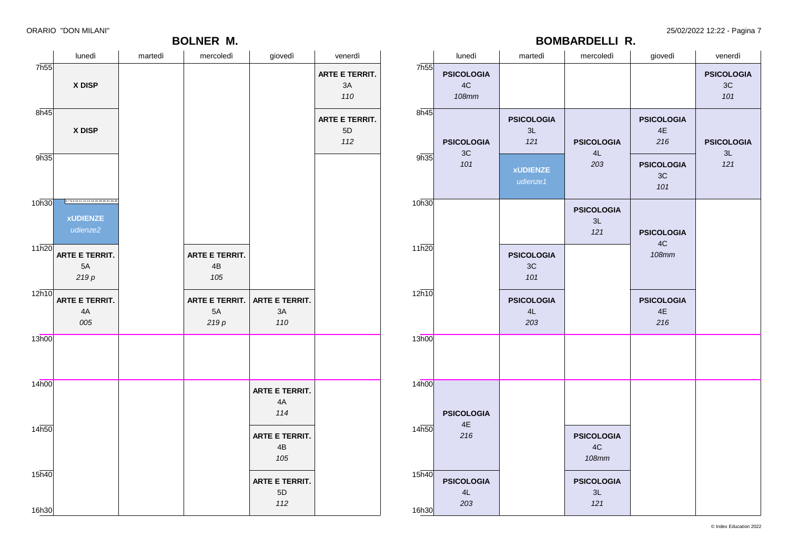### **BOLNER M.**

ORARIO "DON MILANI" 25/02/2022 12:22 - Pagina 7

**BOMBARDELLI R.**

|                    | lunedì                                                    | martedì | mercoledì                      | giovedì                     | venerdì                       |                | lunedì                                      | martedì                                                       | mercoledì                               | giovedì                                                                     | venerdì                                   |
|--------------------|-----------------------------------------------------------|---------|--------------------------------|-----------------------------|-------------------------------|----------------|---------------------------------------------|---------------------------------------------------------------|-----------------------------------------|-----------------------------------------------------------------------------|-------------------------------------------|
| 7h55               | X DISP                                                    |         |                                |                             | ARTE E TERRIT.<br>$3A$<br>110 | 7h55           | <b>PSICOLOGIA</b><br>$4\mathrm{C}$<br>108mm |                                                               |                                         |                                                                             | <b>PSICOLOGIA</b><br>$3\mathrm{C}$<br>101 |
| 8h45<br>9h35       | X DISP                                                    |         |                                |                             | ARTE E TERRIT.<br>5D<br>112   | 8h45<br>9h35   | <b>PSICOLOGIA</b><br>$3\mathrm{C}$<br>101   | <b>PSICOLOGIA</b><br>3L<br>121<br><b>xUDIENZE</b><br>udienze1 | <b>PSICOLOGIA</b><br>4L<br>203          | <b>PSICOLOGIA</b><br>$4\mathsf{E}$<br>216<br><b>PSICOLOGIA</b><br>3C<br>101 | <b>PSICOLOGIA</b><br>3L<br>121            |
| 10h30              | 67891011121314262830313435<br><b>xUDIENZE</b><br>udienze2 |         |                                |                             |                               | 10h30          |                                             |                                                               | <b>PSICOLOGIA</b><br>3L<br>121          | <b>PSICOLOGIA</b>                                                           |                                           |
| $11\overline{h20}$ | ARTE E TERRIT.<br>5A<br>219p                              |         | ARTE E TERRIT.<br>4B<br>105    |                             |                               | 11h20          |                                             | <b>PSICOLOGIA</b><br>3C<br>101                                |                                         | 4C<br>108mm                                                                 |                                           |
| 12h10              | ARTE E TERRIT.<br>4A<br>005                               |         | ARTE E TERRIT.<br>$5A$<br>219p | ARTE E TERRIT.<br>3A<br>110 |                               | 12h10          |                                             | <b>PSICOLOGIA</b><br>4L<br>203                                |                                         | <b>PSICOLOGIA</b><br>$4\mathsf{E}$<br>216                                   |                                           |
| 13h00              |                                                           |         |                                |                             |                               | 13h00          |                                             |                                                               |                                         |                                                                             |                                           |
| 14h00              |                                                           |         |                                | ARTE E TERRIT.<br>4A<br>114 |                               | 14h00          | <b>PSICOLOGIA</b><br>$4\mathsf{E}$          |                                                               |                                         |                                                                             |                                           |
| 14h50              |                                                           |         |                                | ARTE E TERRIT.<br>4B<br>105 |                               | 14h50          | 216                                         |                                                               | <b>PSICOLOGIA</b><br>4C<br><b>108mm</b> |                                                                             |                                           |
| 15h40<br>16h30     |                                                           |         |                                | ARTE E TERRIT.<br>5D<br>112 |                               | 15h40<br>16h30 | <b>PSICOLOGIA</b><br>4L<br>203              |                                                               | <b>PSICOLOGIA</b><br>3L<br>121          |                                                                             |                                           |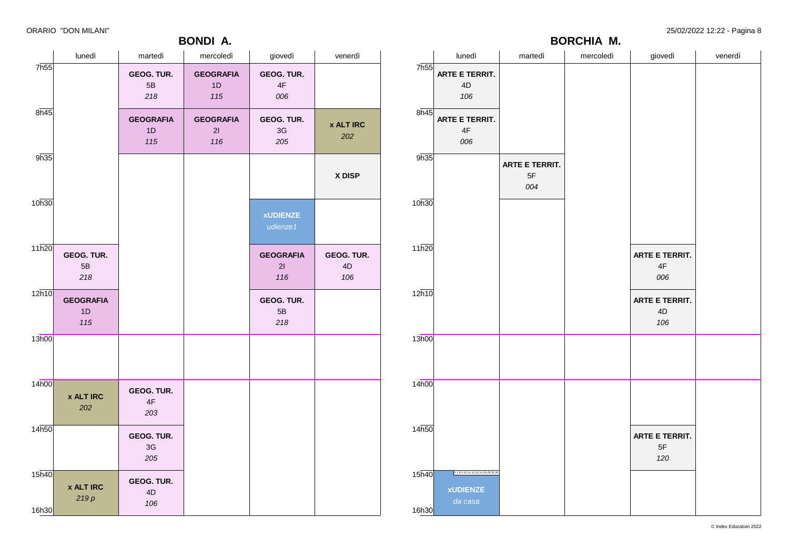### **BONDI A.**

ORARIO "DON MILANI" 25/02/2022 12:22 - Pagina 8

|                            | lunedì                        | martedì                            | mercoledì                     | giovedì                        | venerdì                 |
|----------------------------|-------------------------------|------------------------------------|-------------------------------|--------------------------------|-------------------------|
| 7h55                       |                               | GEOG. TUR.<br>$5\mathsf{B}$<br>218 | <b>GEOGRAFIA</b><br>1D<br>115 | GEOG. TUR.<br>4F<br>006        |                         |
| 8h45                       |                               | <b>GEOGRAFIA</b><br>1D<br>115      | <b>GEOGRAFIA</b><br>21<br>116 | GEOG. TUR.<br>3G<br>205        | <b>x ALT IRC</b><br>202 |
| 9h35                       |                               |                                    |                               |                                | X DISP                  |
| 10h30                      |                               |                                    |                               | <b>xUDIENZE</b><br>udienze1    |                         |
| 11h20                      | GEOG. TUR.<br>5B<br>218       |                                    |                               | <b>GEOGRAFIA</b><br>21<br>116  | GEOG. TUR.<br>4D<br>106 |
| 12h10                      | <b>GEOGRAFIA</b><br>1D<br>115 |                                    |                               | <b>GEOG. TUR.</b><br>5B<br>218 |                         |
| 13h00                      |                               |                                    |                               |                                |                         |
| 14h00                      | <b>x ALT IRC</b><br>202       | GEOG. TUR.<br>4F<br>203            |                               |                                |                         |
| 14h50                      |                               | GEOG. TUR.<br>3G<br>205            |                               |                                |                         |
| 15 <sub>h40</sub><br>16h30 | <b>x ALT IRC</b><br>219p      | GEOG. TUR.<br>4D<br>106            |                               |                                |                         |

|       |                                           |                             | <b>BORCHIA M.</b> |                             |         |
|-------|-------------------------------------------|-----------------------------|-------------------|-----------------------------|---------|
|       | lunedì                                    | martedì                     | mercoledì         | giovedì                     | venerdì |
| 7h55  | ARTE E TERRIT.<br>4D<br>106               |                             |                   |                             |         |
| 8h45  | ARTE E TERRIT.<br>$4\mathsf{F}$<br>006    |                             |                   |                             |         |
| 9h35  |                                           | ARTE E TERRIT.<br>5F<br>004 |                   |                             |         |
| 10h30 |                                           |                             |                   |                             |         |
| 11h20 |                                           |                             |                   | ARTE E TERRIT.<br>4F<br>006 |         |
| 12h10 |                                           |                             |                   | ARTE E TERRIT.<br>4D<br>106 |         |
| 13h00 |                                           |                             |                   |                             |         |
| 14h00 |                                           |                             |                   |                             |         |
| 14h50 |                                           |                             |                   | ARTE E TERRIT.<br>5F<br>120 |         |
| 15h40 | 6789101112131426293134<br><b>xUDIENZE</b> |                             |                   |                             |         |
| 16h30 | da casa                                   |                             |                   |                             |         |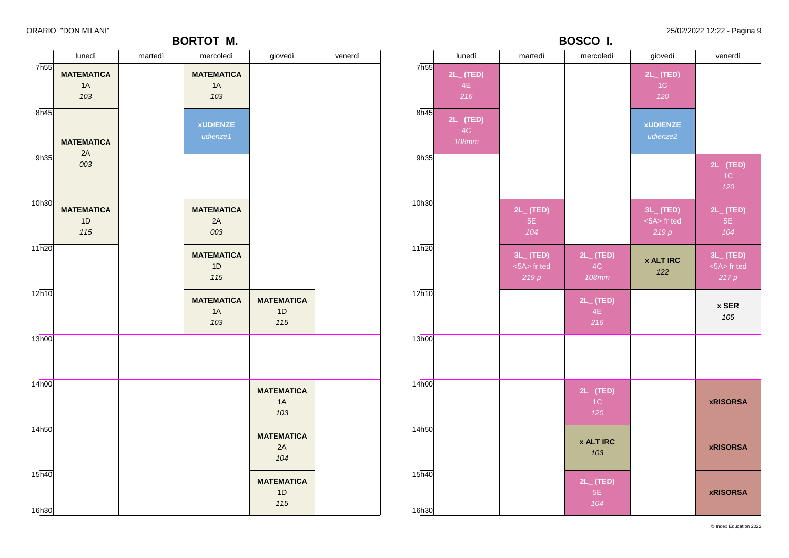|                             |                                |         | <b>BORTOT M.</b>               |                                |         | BOSCO I.          |                                      |                                   |                                      |                                       |                                         |
|-----------------------------|--------------------------------|---------|--------------------------------|--------------------------------|---------|-------------------|--------------------------------------|-----------------------------------|--------------------------------------|---------------------------------------|-----------------------------------------|
|                             | lunedì                         | martedì | mercoledì                      | giovedì                        | venerdì |                   | lunedì                               | martedì                           | mercoledì                            | giovedì                               | venerdì                                 |
| 7 <sub>h55</sub>            | <b>MATEMATICA</b><br>1A<br>103 |         | <b>MATEMATICA</b><br>1A<br>103 |                                |         | 7 <sub>h55</sub>  | $2L_{-}$ (TED)<br>4E<br>216          |                                   |                                      | $2L_{-}$ (TED)<br>1C<br>120           |                                         |
| 8h45                        | <b>MATEMATICA</b>              |         | <b>xUDIENZE</b><br>udienze1    |                                |         | 8h45              | $2L_{-}$ (TED)<br>4C<br><b>108mm</b> |                                   |                                      | <b>xUDIENZE</b><br>udienze2           |                                         |
| 9h35                        | 2A<br>003                      |         |                                |                                |         | 9h35              |                                      |                                   |                                      |                                       | $2L_{-}$ (TED)<br>1C<br>120             |
| 10h30                       | <b>MATEMATICA</b><br>1D<br>115 |         | <b>MATEMATICA</b><br>2A<br>003 |                                |         | 10h30             |                                      | $2L_{-}$ (TED)<br>5E<br>104       |                                      | $3L_{-}$ (TED)<br><5A> fr ted<br>219p | $2L_{-}$ (TED)<br>5E<br>104             |
| 11h20                       |                                |         | <b>MATEMATICA</b><br>1D<br>115 |                                |         | 11h20             |                                      | $3L$ (TED)<br><5A> fr ted<br>219p | $2L_{-}$ (TED)<br>4C<br><b>108mm</b> | <b>x ALT IRC</b><br>122               | $3L_{-}$ (TED)<br>$<5A>$ fr ted<br>217p |
| 12h10                       |                                |         | <b>MATEMATICA</b><br>1A<br>103 | <b>MATEMATICA</b><br>1D<br>115 |         | 12h10             |                                      |                                   | $2L_{-}$ (TED)<br>4E<br>216          |                                       | x SER<br>105                            |
| 13h00                       |                                |         |                                |                                |         | 13h00             |                                      |                                   |                                      |                                       |                                         |
| 14 <sub>h00</sub>           |                                |         |                                | <b>MATEMATICA</b><br>1A<br>103 |         | 14 <sub>h00</sub> |                                      |                                   | $2L$ <sub>(TED)</sub><br>1C<br>120   |                                       | <b>xRISORSA</b>                         |
| 14h50                       |                                |         |                                | <b>MATEMATICA</b><br>2A<br>104 |         | 14h50             |                                      |                                   | <b>x ALT IRC</b><br>103              |                                       | <b>xRISORSA</b>                         |
| $15\overline{h40}$<br>16h30 |                                |         |                                | <b>MATEMATICA</b><br>1D<br>115 |         | 15h40<br>16h30    |                                      |                                   | $2L_{-}$ (TED)<br>5E<br>104          |                                       | <b>xRISORSA</b>                         |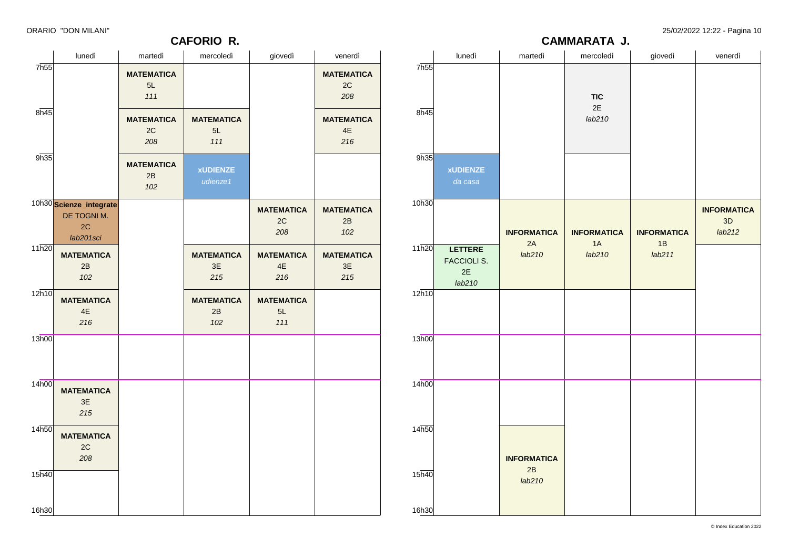### **CAFORIO R.**

ORARIO "DON MILANI" 25/02/2022 12:22 - Pagina 10

|                             | lunedì                                               | martedì            | mercoledì                  | giovedì            | venerdì                            |  |
|-----------------------------|------------------------------------------------------|--------------------|----------------------------|--------------------|------------------------------------|--|
| 7h55                        |                                                      |                    |                            |                    |                                    |  |
| 8h45                        |                                                      |                    | <b>TIC</b><br>2E<br>lab210 |                    |                                    |  |
| 9h35                        | <b>xUDIENZE</b><br>da casa                           |                    |                            |                    |                                    |  |
| 10h30                       |                                                      | <b>INFORMATICA</b> | <b>INFORMATICA</b>         | <b>INFORMATICA</b> | <b>INFORMATICA</b><br>3D<br>lab212 |  |
| 11h20                       | <b>LETTERE</b><br><b>FACCIOLI S.</b><br>2E<br>lab210 | 2A<br>lab210       | 1A<br>lab210               | 1B<br>lab211       |                                    |  |
| 12h10                       |                                                      |                    |                            |                    |                                    |  |
| 13h00                       |                                                      |                    |                            |                    |                                    |  |
| 14h00                       |                                                      |                    |                            |                    |                                    |  |
| 14h50                       |                                                      | <b>INFORMATICA</b> |                            |                    |                                    |  |
| $15\overline{h40}$<br>16h30 |                                                      | 2B<br>lab210       |                            |                    |                                    |  |

**CAMMARATA J.**

|                    | lunedì                                                    | martedì                        | mercoledì                      | giovedì                                   | venerdì                        |
|--------------------|-----------------------------------------------------------|--------------------------------|--------------------------------|-------------------------------------------|--------------------------------|
| 7h55               |                                                           | <b>MATEMATICA</b><br>5L<br>111 |                                |                                           | <b>MATEMATICA</b><br>2C<br>208 |
| 8h45               |                                                           | <b>MATEMATICA</b><br>2C<br>208 | <b>MATEMATICA</b><br>5L<br>111 |                                           | <b>MATEMATICA</b><br>4E<br>216 |
| 9h35               |                                                           | <b>MATEMATICA</b><br>2B<br>102 | <b>xUDIENZE</b><br>udienze1    |                                           |                                |
|                    | 10h30 Scienze_integrate<br>DE TOGNI M.<br>2C<br>lab201sci |                                |                                | <b>MATEMATICA</b><br>2C<br>208            | <b>MATEMATICA</b><br>2B<br>102 |
| 11h20              | <b>MATEMATICA</b><br>2B<br>102                            |                                | <b>MATEMATICA</b><br>3E<br>215 | <b>MATEMATICA</b><br>$4\mathsf{E}$<br>216 | <b>MATEMATICA</b><br>3E<br>215 |
| 12h10              | <b>MATEMATICA</b><br>$4\mathsf{E}$<br>216                 |                                | <b>MATEMATICA</b><br>2B<br>102 | <b>MATEMATICA</b><br>5L<br>111            |                                |
| 13h00              |                                                           |                                |                                |                                           |                                |
| 14h00              | <b>MATEMATICA</b><br>3E<br>215                            |                                |                                |                                           |                                |
| 14h50              | <b>MATEMATICA</b><br>2C<br>208                            |                                |                                |                                           |                                |
| $15\overline{h40}$ |                                                           |                                |                                |                                           |                                |
| 16h30              |                                                           |                                |                                |                                           |                                |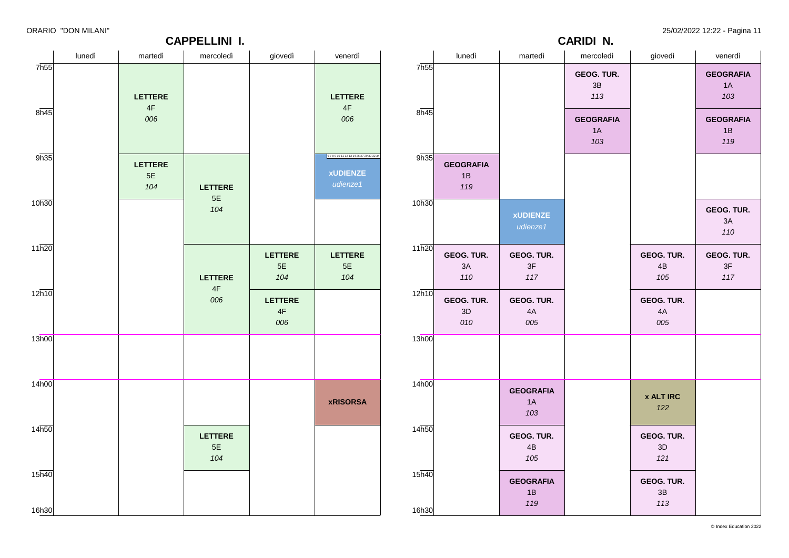ORARIO "DON MILANI" 25/02/2022 12:22 - Pagina 11

| .                 |        |                                 | <b>CAPPELLINI I.</b>        |                      |                                                           | . בי<br><b>CARIDI N.</b> |                               |                               |                                    |                                    |                               |  |
|-------------------|--------|---------------------------------|-----------------------------|----------------------|-----------------------------------------------------------|--------------------------|-------------------------------|-------------------------------|------------------------------------|------------------------------------|-------------------------------|--|
|                   | lunedì | martedì                         | mercoledì                   | giovedì              | venerdì                                                   |                          | lunedì                        | martedì                       | mercoledì                          | giovedì                            | venerdì                       |  |
| 7h55              |        | <b>LETTERE</b><br>$4\mathsf{F}$ |                             |                      | <b>LETTERE</b><br>$4\mathsf{F}$                           | 7h55                     |                               |                               | GEOG. TUR.<br>$3\mathsf{B}$<br>113 |                                    | <b>GEOGRAFIA</b><br>1A<br>103 |  |
| 8h45              |        | 006                             |                             |                      | 006                                                       | 8h45                     |                               |                               | <b>GEOGRAFIA</b><br>1A<br>103      |                                    | <b>GEOGRAFIA</b><br>1B<br>119 |  |
| 9h35              |        | <b>LETTERE</b><br>5E<br>104     | <b>LETTERE</b>              |                      | 67891011121314262729303234<br><b>xUDIENZE</b><br>udienze1 | 9h35                     | <b>GEOGRAFIA</b><br>1B<br>119 |                               |                                    |                                    |                               |  |
| 10h30             |        |                                 | $5E$<br>104                 |                      |                                                           | 10h30                    |                               | <b>xUDIENZE</b><br>udienze1   |                                    |                                    | GEOG. TUR.<br>3A<br>110       |  |
| 11h20             |        |                                 | <b>LETTERE</b>              | LETTERE<br>5E<br>104 | <b>LETTERE</b><br>$5E$<br>104                             | $11\overline{h20}$       | GEOG. TUR.<br>$3A$<br>110     | GEOG. TUR.<br>3F<br>117       |                                    | GEOG. TUR.<br>4B<br>105            | GEOG. TUR.<br>3F<br>117       |  |
| 12h10             |        |                                 | $4\mathsf{F}$<br>006        | LETTERE<br>4F<br>006 |                                                           | 12h10                    | GEOG. TUR.<br>3D<br>010       | GEOG. TUR.<br>4A<br>005       |                                    | GEOG. TUR.<br>4A<br>005            |                               |  |
| 13h00             |        |                                 |                             |                      |                                                           | 13h00                    |                               |                               |                                    |                                    |                               |  |
| 14h00             |        |                                 |                             |                      | <b>xRISORSA</b>                                           | 14 <sub>h00</sub>        |                               | <b>GEOGRAFIA</b><br>1A<br>103 |                                    | <b>x ALT IRC</b><br>122            |                               |  |
| 14 <sub>h50</sub> |        |                                 | <b>LETTERE</b><br>5E<br>104 |                      |                                                           | 14h50                    |                               | GEOG. TUR.<br>4B<br>105       |                                    | GEOG. TUR.<br>$3D$<br>121          |                               |  |
| 15h40<br>16h30    |        |                                 |                             |                      |                                                           | 15h40<br>16h30           |                               | <b>GEOGRAFIA</b><br>1B<br>119 |                                    | GEOG. TUR.<br>$3\mathsf{B}$<br>113 |                               |  |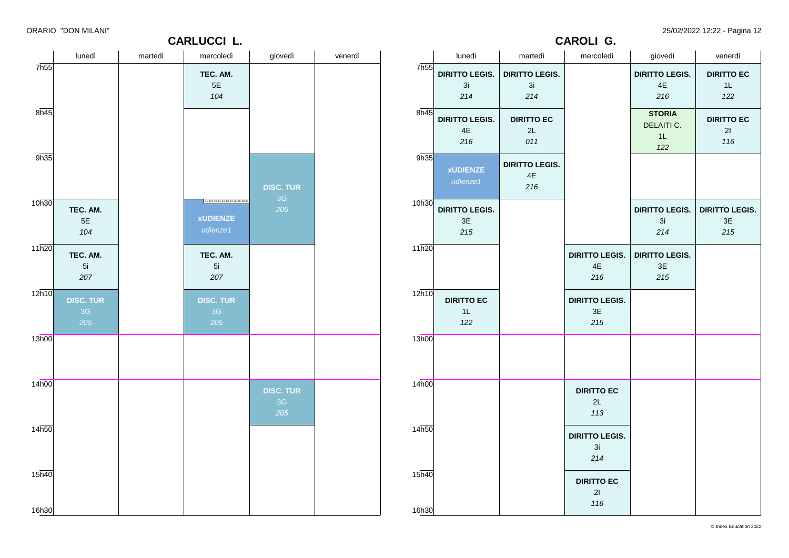**CARLUCCI L.**

ORARIO "DON MILANI" 25/02/2022 12:22 - Pagina 12

**DIRITTO LEGIS. DIRITTO LEGIS.**

**CAROLI G.**

| 7h55<br><b>DIRITTO LEGIS.</b><br><b>DIRITTO LEGIS.</b><br>TEC. AM.<br><b>DIRITTO LEGIS.</b><br>$5\mathsf{E}$<br>3i<br>3i<br>$4\mathsf{E}$<br>104<br>214<br>214<br>216<br>8h45<br>8h45<br><b>STORIA</b><br><b>DIRITTO LEGIS.</b><br><b>DIRITTO EC</b><br>DELAITI C.<br>$4\mathsf{E}$<br>2L<br>1L<br>216<br>011<br>122<br>9h35<br>9h35<br><b>DIRITTO LEGIS.</b><br><b>xUDIENZE</b><br>$4\mathsf{E}$<br>udienze1<br>216<br><b>DISC. TUR</b><br>3G<br>6789101112131426283033<br>10 <sub>h30</sub><br>10h30<br>205<br><b>DIRITTO LEGIS.</b><br>TEC. AM.<br><b>DIRITTO LEGIS.</b><br><b>xUDIENZE</b><br>$5E$<br>3E<br>3i<br>udienze1<br>104<br>215<br>$214$<br>11h20<br>11h20<br>TEC. AM.<br>TEC. AM.<br><b>DIRITTO LEGIS.</b><br><b>DIRITTO LEGIS.</b><br>5i<br>$4\mathsf{E}$<br>$3\mathsf{E}$<br>5i<br>207<br>207<br>216<br>$215$<br>$12\overline{h10}$<br>12h10<br><b>DIRITTO EC</b><br><b>DIRITTO LEGIS.</b><br><b>DISC. TUR</b><br><b>DISC. TUR</b><br>3E<br>3G<br>3G<br>1L<br>205<br>205<br>122<br>215<br>13h00<br>13h00<br>14h00<br>14h00<br><b>DISC. TUR</b><br><b>DIRITTO EC</b><br>3G<br>$2\mathsf{L}$<br>205<br>113<br>14 <sub>h50</sub><br>14h50<br><b>DIRITTO LEGIS.</b><br>3i<br>214<br>$15\overline{h40}$<br>15h40<br><b>DIRITTO EC</b><br>21 |      | lunedi | martedi | mercoledi | giovedi | venerdi | lunedi | martedi | mercoledi | giovedi | venerdi                                       |
|--------------------------------------------------------------------------------------------------------------------------------------------------------------------------------------------------------------------------------------------------------------------------------------------------------------------------------------------------------------------------------------------------------------------------------------------------------------------------------------------------------------------------------------------------------------------------------------------------------------------------------------------------------------------------------------------------------------------------------------------------------------------------------------------------------------------------------------------------------------------------------------------------------------------------------------------------------------------------------------------------------------------------------------------------------------------------------------------------------------------------------------------------------------------------------------------------------------------------------------------------------|------|--------|---------|-----------|---------|---------|--------|---------|-----------|---------|-----------------------------------------------|
|                                                                                                                                                                                                                                                                                                                                                                                                                                                                                                                                                                                                                                                                                                                                                                                                                                                                                                                                                                                                                                                                                                                                                                                                                                                        | 7h55 |        |         |           |         |         |        |         |           |         | <b>DIRITTO EC</b><br>1L<br>122                |
|                                                                                                                                                                                                                                                                                                                                                                                                                                                                                                                                                                                                                                                                                                                                                                                                                                                                                                                                                                                                                                                                                                                                                                                                                                                        |      |        |         |           |         |         |        |         |           |         | <b>DIRITTO EC</b><br>21<br>116                |
|                                                                                                                                                                                                                                                                                                                                                                                                                                                                                                                                                                                                                                                                                                                                                                                                                                                                                                                                                                                                                                                                                                                                                                                                                                                        |      |        |         |           |         |         |        |         |           |         |                                               |
|                                                                                                                                                                                                                                                                                                                                                                                                                                                                                                                                                                                                                                                                                                                                                                                                                                                                                                                                                                                                                                                                                                                                                                                                                                                        |      |        |         |           |         |         |        |         |           |         | <b>DIRITTO LEGIS.</b><br>$3\mathsf{E}$<br>215 |
|                                                                                                                                                                                                                                                                                                                                                                                                                                                                                                                                                                                                                                                                                                                                                                                                                                                                                                                                                                                                                                                                                                                                                                                                                                                        |      |        |         |           |         |         |        |         |           |         |                                               |
|                                                                                                                                                                                                                                                                                                                                                                                                                                                                                                                                                                                                                                                                                                                                                                                                                                                                                                                                                                                                                                                                                                                                                                                                                                                        |      |        |         |           |         |         |        |         |           |         |                                               |
|                                                                                                                                                                                                                                                                                                                                                                                                                                                                                                                                                                                                                                                                                                                                                                                                                                                                                                                                                                                                                                                                                                                                                                                                                                                        |      |        |         |           |         |         |        |         |           |         |                                               |
|                                                                                                                                                                                                                                                                                                                                                                                                                                                                                                                                                                                                                                                                                                                                                                                                                                                                                                                                                                                                                                                                                                                                                                                                                                                        |      |        |         |           |         |         |        |         |           |         |                                               |
|                                                                                                                                                                                                                                                                                                                                                                                                                                                                                                                                                                                                                                                                                                                                                                                                                                                                                                                                                                                                                                                                                                                                                                                                                                                        |      |        |         |           |         |         |        |         |           |         |                                               |
| 16h30<br>16h30                                                                                                                                                                                                                                                                                                                                                                                                                                                                                                                                                                                                                                                                                                                                                                                                                                                                                                                                                                                                                                                                                                                                                                                                                                         |      |        |         |           |         |         |        |         | 116       |         |                                               |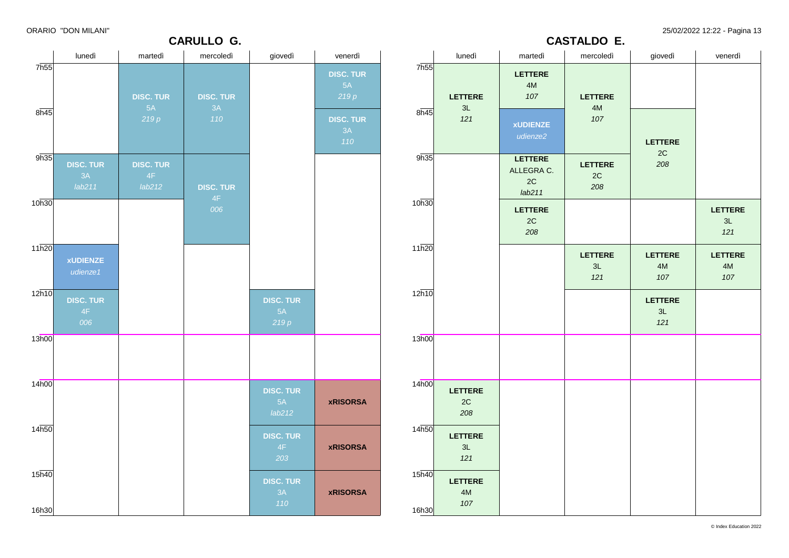**CARULLO G.**

ORARIO "DON MILANI" 25/02/2022 12:22 - Pagina 13

**CASTALDO E.**

|                   | lunedì                           | martedì                          | mercoledì              | giovedì                          | venerdì                        |                            | lunedì                                 | martedì                                 | mercoledì                              | giovedì                                | venerdì                                |
|-------------------|----------------------------------|----------------------------------|------------------------|----------------------------------|--------------------------------|----------------------------|----------------------------------------|-----------------------------------------|----------------------------------------|----------------------------------------|----------------------------------------|
| 7h55              |                                  | <b>DISC. TUR</b><br>5A           | <b>DISC. TUR</b><br>3A |                                  | <b>DISC. TUR</b><br>5A<br>219p | 7h55                       | <b>LETTERE</b><br>3L                   | LETTERE<br>$4\mathsf{M}$<br>107         | <b>LETTERE</b><br>4M                   |                                        |                                        |
| 8h45              |                                  | 219p                             | 110                    |                                  | <b>DISC. TUR</b><br>3A<br>110  | 8h45                       | 121                                    | <b>xUDIENZE</b><br>udienze2             | 107                                    | LETTERE<br>$2\mathrm{C}$               |                                        |
| 9h35              | <b>DISC. TUR</b><br>3A<br>lab211 | <b>DISC. TUR</b><br>4F<br>lab212 | <b>DISC. TUR</b><br>4F |                                  |                                | 9h35                       |                                        | LETTERE<br>ALLEGRA C.<br>$2C$<br>lab211 | <b>LETTERE</b><br>$2\mathrm{C}$<br>208 | 208                                    |                                        |
| 10h30             |                                  |                                  | 006                    |                                  |                                | 10h30                      |                                        | <b>LETTERE</b><br>2C<br>208             |                                        |                                        | <b>LETTERE</b><br>3L<br>121            |
| 11h20             | <b>xUDIENZE</b><br>udienze1      |                                  |                        |                                  |                                | 11h20                      |                                        |                                         | <b>LETTERE</b><br>3L<br>121            | <b>LETTERE</b><br>$4\mathsf{M}$<br>107 | <b>LETTERE</b><br>$4\mathsf{M}$<br>107 |
| 12h10             | <b>DISC. TUR</b><br>4F<br>006    |                                  |                        | <b>DISC. TUR</b><br>5A<br>219p   |                                | 12h10                      |                                        |                                         |                                        | LETTERE<br>$3L$<br>$121$               |                                        |
| 13h00             |                                  |                                  |                        |                                  |                                | 13h00                      |                                        |                                         |                                        |                                        |                                        |
| 14h00             |                                  |                                  |                        | <b>DISC. TUR</b><br>5A<br>lab212 | <b>xRISORSA</b>                | 14h00                      | <b>LETTERE</b><br>$2\mathrm{C}$<br>208 |                                         |                                        |                                        |                                        |
| 14 <sub>h50</sub> |                                  |                                  |                        | <b>DISC. TUR</b><br>4F<br>203    | <b>xRISORSA</b>                | 14h50                      | <b>LETTERE</b><br>3L<br>121            |                                         |                                        |                                        |                                        |
| 15h40<br>16h30    |                                  |                                  |                        | <b>DISC. TUR</b><br>3A<br>110    | <b>xRISORSA</b>                | 15 <sub>h40</sub><br>16h30 | <b>LETTERE</b><br>4M<br>107            |                                         |                                        |                                        |                                        |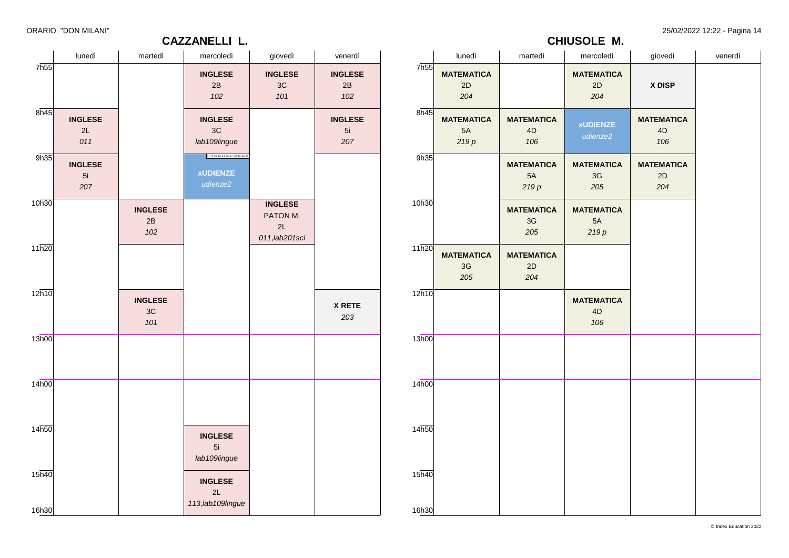### **CAZZANELLI L.**

ORARIO "DON MILANI" 25/02/2022 12:22 - Pagina 14

### **CHIUSOLE M.**

|                   | lunedì                      | martedì                     | mercoledì                                            | giovedì                                            | venerdì                     |       | lun                                              |
|-------------------|-----------------------------|-----------------------------|------------------------------------------------------|----------------------------------------------------|-----------------------------|-------|--------------------------------------------------|
| 7h55              |                             |                             | <b>INGLESE</b><br>2B<br>102                          | <b>INGLESE</b><br>3C<br>101                        | <b>INGLESE</b><br>2B<br>102 | 7h55  | <b>MATEM</b><br>$\overline{2}$<br>2 <sup>i</sup> |
| 8h45              | <b>INGLESE</b><br>2L<br>011 |                             | <b>INGLESE</b><br>3C<br>lab109lingue                 |                                                    | <b>INGLESE</b><br>5i<br>207 | 8h45  | <b>MATEM</b><br>5<br>21                          |
| 9h35              | <b>INGLESE</b><br>5i<br>207 |                             | 679101214262729303234<br><b>xUDIENZE</b><br>udienze2 |                                                    |                             | 9h35  |                                                  |
| 10h30             |                             | <b>INGLESE</b><br>2B<br>102 |                                                      | <b>INGLESE</b><br>PATON M.<br>2L<br>011, lab201sci |                             | 10h30 |                                                  |
| 11h20             |                             |                             |                                                      |                                                    |                             | 11h20 | <b>MATEM</b><br>3 <sup>0</sup><br>2 <sup>i</sup> |
| 12h10             |                             | <b>INGLESE</b><br>3C<br>101 |                                                      |                                                    | <b>X RETE</b><br>203        | 12h10 |                                                  |
| 13h00             |                             |                             |                                                      |                                                    |                             | 13h00 |                                                  |
| 14 <sub>h00</sub> |                             |                             |                                                      |                                                    |                             | 14h00 |                                                  |
| 14h50             |                             |                             | <b>INGLESE</b><br>5i<br>lab109lingue                 |                                                    |                             | 14h50 |                                                  |
| 15h40             |                             |                             | <b>INGLESE</b><br>2L<br>113, lab109lingue            |                                                    |                             | 15h40 |                                                  |
| 16h30             |                             |                             |                                                      |                                                    |                             | 16h30 |                                                  |

|                | lunedì                                     | martedì                         | mercoledì                       | giovedì                        | venerdì |
|----------------|--------------------------------------------|---------------------------------|---------------------------------|--------------------------------|---------|
| 7h55           | <b>MATEMATICA</b><br>2D<br>204             |                                 | <b>MATEMATICA</b><br>2D<br>204  | X DISP                         |         |
| 8h45           | <b>MATEMATICA</b><br>5A<br>219p            | <b>MATEMATICA</b><br>4D<br>106  | <b>xUDIENZE</b><br>udienze2     | <b>MATEMATICA</b><br>4D<br>106 |         |
| 9h35           |                                            | <b>MATEMATICA</b><br>5A<br>219p | <b>MATEMATICA</b><br>3G<br>205  | <b>MATEMATICA</b><br>2D<br>204 |         |
| 10h30          |                                            | <b>MATEMATICA</b><br>3G<br>205  | <b>MATEMATICA</b><br>5A<br>219p |                                |         |
| 11h20          | <b>MATEMATICA</b><br>3 <sub>G</sub><br>205 | <b>MATEMATICA</b><br>2D<br>204  |                                 |                                |         |
| 12h10          |                                            |                                 | <b>MATEMATICA</b><br>4D<br>106  |                                |         |
| 13h00          |                                            |                                 |                                 |                                |         |
| 14h00          |                                            |                                 |                                 |                                |         |
| 14h50          |                                            |                                 |                                 |                                |         |
| 15h40<br>16h30 |                                            |                                 |                                 |                                |         |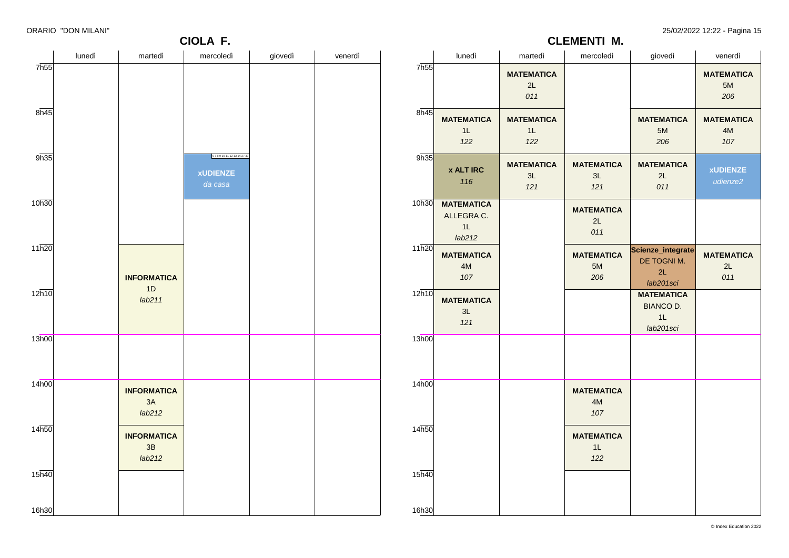**CIOLA F.**

ORARIO "DON MILANI" 25/02/2022 12:22 - Pagina 15

**MATEMATICA** 5M *206*

**MATEMATICA** 4M *107*

> **xUDIENZE** *udienze2*

**MATEMATICA** 2L *011*

**CLEMENTI M.**

#### lunedì martedì mercoledì giovedì venerdì 7h55 8h45 9h35 10h30 11h20  $12h10$ 13h00 14h00  $14<sub>h50</sub>$ 15h40 16h30 **INFORMATICA** 1D *lab211* **INFORMATICA** 3A *lab212* **INFORMATICA** 3B *lab212* 6 7 8 9 10 11 12 13 14 27 33 **xUDIENZE** *da casa* lunedì martedì mercoledì giovedì venerdì 7h55 8h45  $9h35$ 10h30 **MATEMATICA**  $11h20$  $12h10$ 13h00 14h00  $14<sub>h50</sub>$  $15h40$ 16h30 **MATEMATICA** 1L *122* **x ALT IRC** *116* ALLEGRA C. 1L *lab212* **MATEMATICA** 4M *107* **MATEMATICA** 3L *121* **MATEMATICA**  $2<sub>l</sub>$ *011* **MATEMATICA** 1L *122* **MATEMATICA** 3L *121* **MATEMATICA**  $3l$ *121* **MATEMATICA** 2L *011* **MATEMATICA** 5M *206* **MATEMATICA** 4M *107* **MATEMATICA** 1L *122* **MATEMATICA** 5M *206* **MATEMATICA**  $2<sub>l</sub>$ *011* **Scienze\_integrate** DE TOGNI M. 2L *lab201sci* **MATEMATICA** BIANCO D. 1L *lab201sci*

© Index Education 2022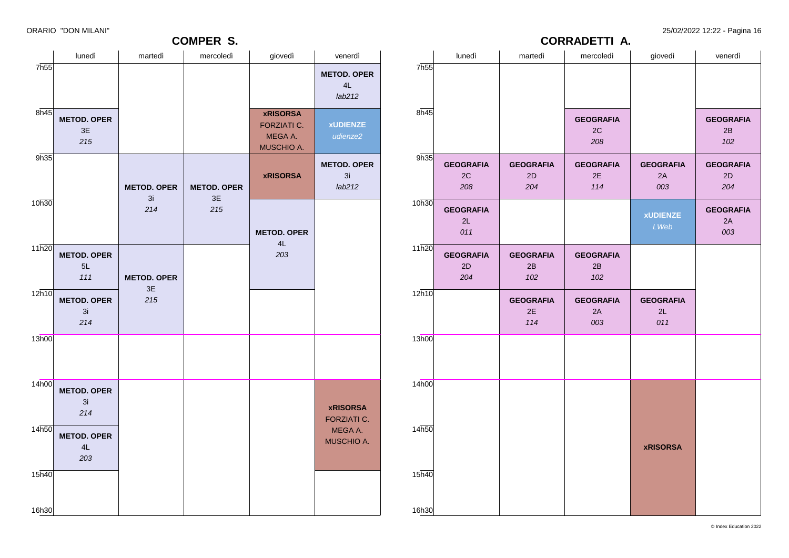### ORARIO "DON MILANI" 25/02/2022 12:22 - Pagina 16

### **CORRADETTI A.**

|       | lunedì                 | martedì                | mercoledì              | giovedì                | venerdì                |
|-------|------------------------|------------------------|------------------------|------------------------|------------------------|
| 7h55  |                        |                        |                        |                        |                        |
|       |                        |                        |                        |                        |                        |
|       |                        |                        |                        |                        |                        |
| 8h45  |                        |                        | <b>GEOGRAFIA</b>       |                        | <b>GEOGRAFIA</b>       |
|       |                        |                        | 2C<br>208              |                        | 2B<br>102              |
| 9h35  |                        |                        |                        |                        |                        |
|       | <b>GEOGRAFIA</b>       | <b>GEOGRAFIA</b>       | <b>GEOGRAFIA</b>       | <b>GEOGRAFIA</b>       | <b>GEOGRAFIA</b>       |
|       | 2C<br>208              | 2D<br>204              | 2E<br>114              | 2A<br>003              | 2D<br>204              |
| 10h30 |                        |                        |                        |                        |                        |
|       | <b>GEOGRAFIA</b><br>2L |                        |                        | <b>xUDIENZE</b>        | <b>GEOGRAFIA</b><br>2A |
|       | 011                    |                        |                        | LWeb                   | 003                    |
| 11h20 |                        |                        |                        |                        |                        |
|       | <b>GEOGRAFIA</b>       | <b>GEOGRAFIA</b>       | <b>GEOGRAFIA</b>       |                        |                        |
|       | 2D<br>204              | 2B<br>102              | 2B<br>102              |                        |                        |
| 12h10 |                        |                        |                        |                        |                        |
|       |                        | <b>GEOGRAFIA</b><br>2E | <b>GEOGRAFIA</b><br>2A | <b>GEOGRAFIA</b><br>2L |                        |
|       |                        | 114                    | 003                    | 011                    |                        |
| 13h00 |                        |                        |                        |                        |                        |
|       |                        |                        |                        |                        |                        |
|       |                        |                        |                        |                        |                        |
| 14h00 |                        |                        |                        |                        |                        |
|       |                        |                        |                        |                        |                        |
|       |                        |                        |                        |                        |                        |
| 14h50 |                        |                        |                        |                        |                        |
|       |                        |                        |                        | <b>xRISORSA</b>        |                        |
|       |                        |                        |                        |                        |                        |
| 15h40 |                        |                        |                        |                        |                        |
|       |                        |                        |                        |                        |                        |
|       |                        |                        |                        |                        |                        |
| 16h30 |                        |                        |                        |                        |                        |

| <b>COMPER S.</b> |                                 |                          |                          |                                                                       |                                    |  |  |  |  |
|------------------|---------------------------------|--------------------------|--------------------------|-----------------------------------------------------------------------|------------------------------------|--|--|--|--|
|                  | lunedì                          | martedì                  | mercoledì                | giovedì                                                               | venerdì                            |  |  |  |  |
| 7h55             |                                 |                          |                          |                                                                       | <b>METOD. OPER</b><br>4L<br>lab212 |  |  |  |  |
| 8h45             | <b>METOD. OPER</b><br>3E<br>215 |                          |                          | <b>xRISORSA</b><br><b>FORZIATI C.</b><br>MEGA A.<br><b>MUSCHIO A.</b> | <b>xUDIENZE</b><br>udienze2        |  |  |  |  |
| 9h35             |                                 | <b>METOD. OPER</b><br>3i | <b>METOD. OPER</b><br>3E | <b>xRISORSA</b>                                                       | <b>METOD. OPER</b><br>3i<br>lab212 |  |  |  |  |
| 10h30            |                                 | 214                      | 215                      | <b>METOD. OPER</b><br>4L                                              |                                    |  |  |  |  |
| 11h20            | <b>METOD. OPER</b><br>5L<br>111 | <b>METOD. OPER</b><br>3E |                          | 203                                                                   |                                    |  |  |  |  |
| 12h10            | <b>METOD. OPER</b><br>3i<br>214 | 215                      |                          |                                                                       |                                    |  |  |  |  |
| 13h00            |                                 |                          |                          |                                                                       |                                    |  |  |  |  |
| 14h00            | <b>METOD. OPER</b><br>3i<br>214 |                          |                          |                                                                       | <b>xRISORSA</b><br>FORZIATI C.     |  |  |  |  |
| 14h50            | <b>METOD. OPER</b><br>4L<br>203 |                          |                          |                                                                       | MEGA A.<br>MUSCHIO A.              |  |  |  |  |
| 15h40<br>16h30   |                                 |                          |                          |                                                                       |                                    |  |  |  |  |
|                  |                                 |                          |                          |                                                                       |                                    |  |  |  |  |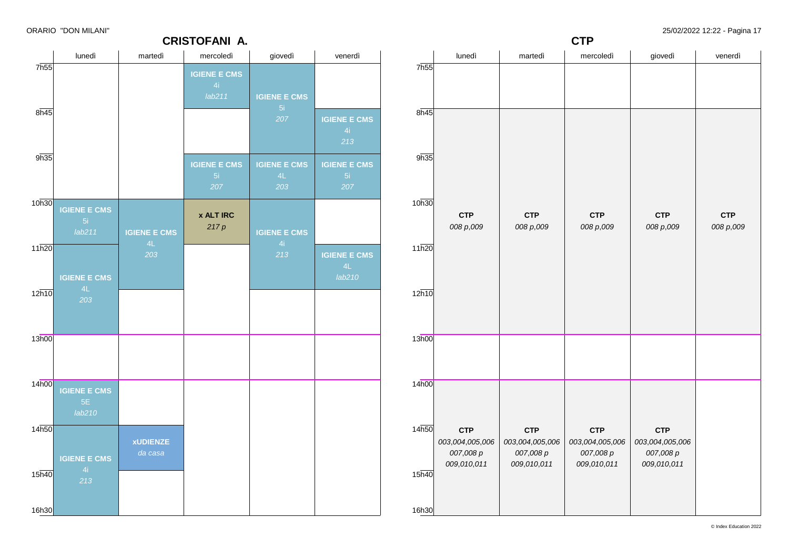**CRISTOFANI A.**

**CTP** *008 p*,*009*

**CTP**

### lunedì martedì mercoledì giovedì venerdì 7h55 8h45 9h35 10h30 11h20  $12h10$ 13h00 14h00 14h50 15h40 16h30 **IGIENE E CMS** *lab211* **IGIENE E CMS** *203* **IGIENE E CMS** *lab210* **IGIENE E CMS** *213* **IGIENE E CMS** *203* **xUDIENZE** *da casa* **IGIENE E CMS** *lab211* **IGIENE E CMS x ALT IRC** *217 p* **IGIENE E CMS IGIENE E CMS** *203* **IGIENE E CMS** *213* **IGIENE E CMS** *213* **IGIENE E CMS IGIENE E CMS** *lab210* lunedì martedì mercoledì giovedì venerdì 7h55 8h45 9h35 10h30 11h20  $12h10$ 13h00 14h00 14h50 15h40 16h30 **CTP** *008 p*,*009* **CTP** *003*,*004*,*005*,*006 007*,*008 p 009*,*010*,*011* **CTP** *008 p*,*009* **CTP** *003*,*004*,*005*,*006 007*,*008 p 009*,*010*,*011* **CTP** *008 p*,*009* **CTP** *003*,*004*,*005*,*006 007*,*008 p 009*,*010*,*011* **CTP** *008 p*,*009* **CTP** *003*,*004*,*005*,*006 007*,*008 p 009*,*010*,*011*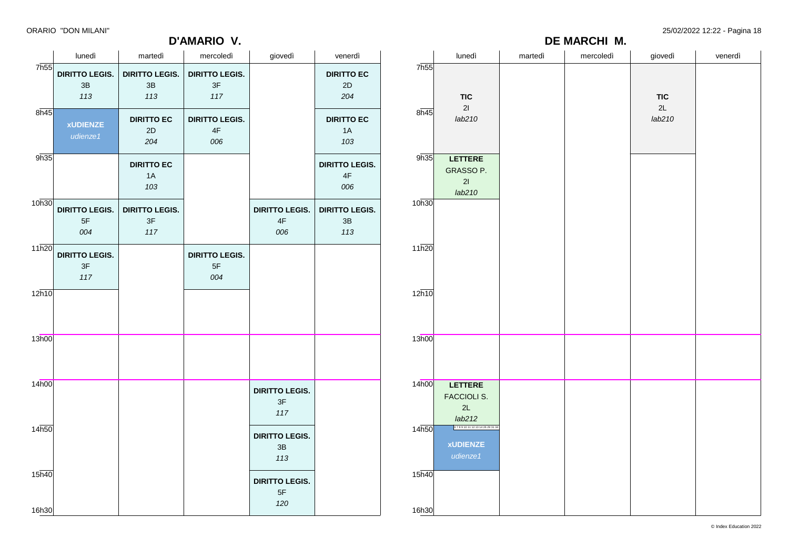### **D'AMARIO V.**

ORARIO "DON MILANI" 25/02/2022 12:22 - Pagina 18

|                             | - -                                |                                           | D'AMARIO V.                                   |                                               |                                               | DE MARCHI M.               |                                                       |         |           |              |         |
|-----------------------------|------------------------------------|-------------------------------------------|-----------------------------------------------|-----------------------------------------------|-----------------------------------------------|----------------------------|-------------------------------------------------------|---------|-----------|--------------|---------|
|                             | lunedì                             | martedì                                   | mercoledì                                     | giovedì                                       | venerdì                                       |                            | lunedì                                                | martedì | mercoledì | giovedì      | venerdì |
| 7h55                        | <b>DIRITTO LEGIS.</b><br>3B<br>113 | <b>DIRITTO LEGIS.</b><br>3B<br>113        | <b>DIRITTO LEGIS.</b><br>3F<br>117            |                                               | <b>DIRITTO EC</b><br>2D<br>204                | 7 <sub>h55</sub>           | <b>TIC</b>                                            |         |           | <b>TIC</b>   |         |
| 8h45                        | <b>XUDIENZE</b><br>udienze1        | <b>DIRITTO EC</b><br>$2\mathsf{D}$<br>204 | <b>DIRITTO LEGIS.</b><br>$4\mathsf{F}$<br>006 |                                               | <b>DIRITTO EC</b><br>1A<br>103                | 8h45                       | 21<br>lab210                                          |         |           | 2L<br>lab210 |         |
| 9h35                        |                                    | <b>DIRITTO EC</b><br>1A<br>103            |                                               |                                               | <b>DIRITTO LEGIS.</b><br>$4\mathsf{F}$<br>006 | 9h35                       | LETTERE<br>GRASSO P.<br>21<br>lab210                  |         |           |              |         |
| 10h30                       | <b>DIRITTO LEGIS.</b><br>5F<br>004 | <b>DIRITTO LEGIS.</b><br>3F<br>117        |                                               | <b>DIRITTO LEGIS.</b><br>$4\mathsf{F}$<br>006 | <b>DIRITTO LEGIS.</b><br>$3\mathsf{B}$<br>113 | 10h30                      |                                                       |         |           |              |         |
| 11h20                       | <b>DIRITTO LEGIS.</b><br>3F<br>117 |                                           | <b>DIRITTO LEGIS.</b><br>$5\mathsf{F}$<br>004 |                                               |                                               | 11h20                      |                                                       |         |           |              |         |
| 12h10                       |                                    |                                           |                                               |                                               |                                               | 12h10                      |                                                       |         |           |              |         |
| 13h00                       |                                    |                                           |                                               |                                               |                                               | 13h00                      |                                                       |         |           |              |         |
| 14h00                       |                                    |                                           |                                               | <b>DIRITTO LEGIS.</b><br>3F<br>117            |                                               | 14h00                      | <b>LETTERE</b><br><b>FACCIOLI S.</b><br>2L<br>lab212  |         |           |              |         |
| 14 <sub>h50</sub>           |                                    |                                           |                                               | <b>DIRITTO LEGIS.</b><br>3B<br>113            |                                               | 14 <sub>h50</sub>          | 6789101112131426293134<br><b>xUDIENZE</b><br>udienze1 |         |           |              |         |
| $15\overline{h40}$<br>16h30 |                                    |                                           |                                               | <b>DIRITTO LEGIS.</b><br>$5\mathsf{F}$<br>120 |                                               | 15 <sub>h40</sub><br>16h30 |                                                       |         |           |              |         |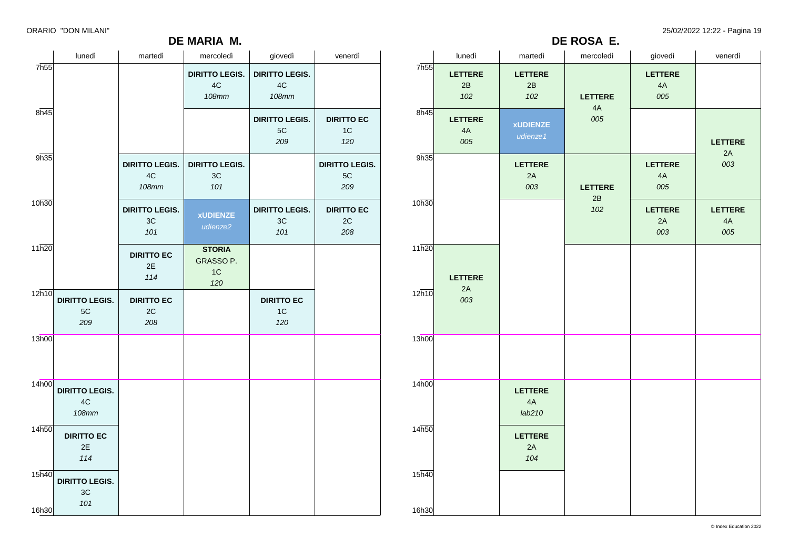### **DE MARIA M.**

ORARIO "DON MILANI" 25/02/2022 12:22 - Pagina 19

|                | lunedì                                      | martedì                                     | mercoledì                                           | giovedì                                     | venerdì                            |
|----------------|---------------------------------------------|---------------------------------------------|-----------------------------------------------------|---------------------------------------------|------------------------------------|
| 7h55           |                                             |                                             | <b>DIRITTO LEGIS.</b><br>4C<br><b>108mm</b>         | <b>DIRITTO LEGIS.</b><br>4C<br><b>108mm</b> |                                    |
| 8h45           |                                             |                                             |                                                     | <b>DIRITTO LEGIS.</b><br>5C<br>209          | <b>DIRITTO EC</b><br>1C<br>120     |
| 9h35           |                                             | <b>DIRITTO LEGIS.</b><br>4C<br><b>108mm</b> | <b>DIRITTO LEGIS.</b><br>3C<br>101                  |                                             | <b>DIRITTO LEGIS.</b><br>5C<br>209 |
| 10h30          |                                             | <b>DIRITTO LEGIS.</b><br>3C<br>101          | <b>xUDIENZE</b><br>udienze2                         | <b>DIRITTO LEGIS.</b><br>3C<br>101          | <b>DIRITTO EC</b><br>2C<br>208     |
| 11h20          |                                             | <b>DIRITTO EC</b><br>2E<br>114              | <b>STORIA</b><br>GRASSO P.<br>1 <sup>C</sup><br>120 |                                             |                                    |
| 12h10          | <b>DIRITTO LEGIS.</b><br>5C<br>209          | <b>DIRITTO EC</b><br>2C<br>208              |                                                     | <b>DIRITTO EC</b><br>1 <sup>C</sup><br>120  |                                    |
| 13h00          |                                             |                                             |                                                     |                                             |                                    |
| 14h00          | <b>DIRITTO LEGIS.</b><br>4C<br><b>108mm</b> |                                             |                                                     |                                             |                                    |
| 14h50          | <b>DIRITTO EC</b><br>2E<br>114              |                                             |                                                     |                                             |                                    |
| 15h40<br>16h30 | <b>DIRITTO LEGIS.</b><br>3C<br>101          |                                             |                                                     |                                             |                                    |

|       | lunedì                      | martedì                        | mercoledì      | giovedì                     | venerdì                     |
|-------|-----------------------------|--------------------------------|----------------|-----------------------------|-----------------------------|
| 7h55  | <b>LETTERE</b><br>2B<br>102 | <b>LETTERE</b><br>2B<br>102    | <b>LETTERE</b> | <b>LETTERE</b><br>4A<br>005 |                             |
| 8h45  | <b>LETTERE</b><br>4A<br>005 | <b>xUDIENZE</b><br>udienze1    | 4A<br>005      |                             | <b>LETTERE</b>              |
| 9h35  |                             | <b>LETTERE</b><br>2A<br>003    | <b>LETTERE</b> | LETTERE<br>4A<br>005        | 2A<br>003                   |
| 10h30 |                             |                                | 2B<br>102      | LETTERE<br>2A<br>003        | <b>LETTERE</b><br>4A<br>005 |
| 11h20 |                             |                                |                |                             |                             |
| 12h10 | <b>LETTERE</b><br>2A<br>003 |                                |                |                             |                             |
| 13h00 |                             |                                |                |                             |                             |
|       |                             |                                |                |                             |                             |
| 14h00 |                             | <b>LETTERE</b><br>4A<br>lab210 |                |                             |                             |
| 14h50 |                             | <b>LETTERE</b><br>2A<br>104    |                |                             |                             |
| 15h40 |                             |                                |                |                             |                             |
| 16h30 |                             |                                |                |                             |                             |

**DE ROSA E.**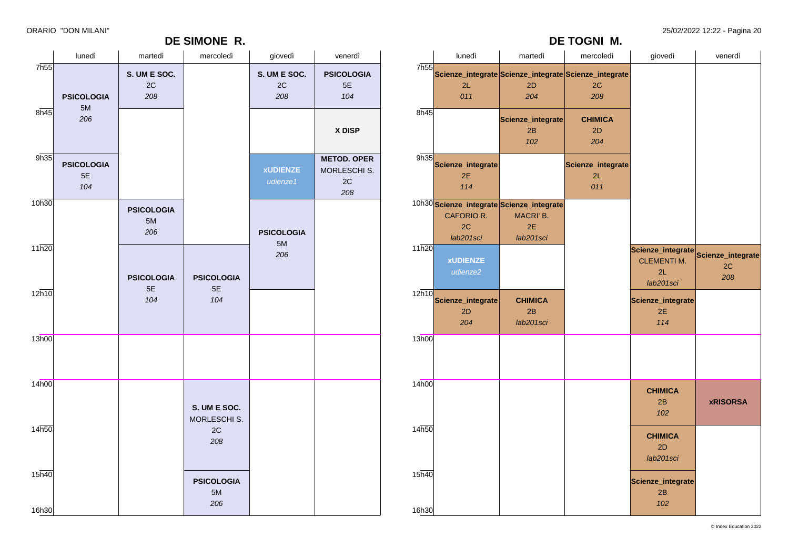### **DE SIMONE R.**

ORARIO "DON MILANI" 25/02/2022 12:22 - Pagina 20

**DE TOGNI M.**

|                             | lunedì                           | martedì                              | mercoledì                      | giovedì                              | venerdì                                                    |                             | lunedì                         | martedì                                                                   | mercoledì                                                                     | giovedì                                   | venerdì                                          |
|-----------------------------|----------------------------------|--------------------------------------|--------------------------------|--------------------------------------|------------------------------------------------------------|-----------------------------|--------------------------------|---------------------------------------------------------------------------|-------------------------------------------------------------------------------|-------------------------------------------|--------------------------------------------------|
| 7h55                        | <b>PSICOLOGIA</b>                | S. UM E SOC.<br>$2\mathtt{C}$<br>208 |                                | S. UM E SOC.<br>$2\mathrm{C}$<br>208 | <b>PSICOLOGIA</b><br>$5\mathsf{E}$<br>104                  | 7 <sub>h55</sub>            | 2L<br>011                      | 2D<br>204                                                                 | Scienze_integrate Scienze_integrate Scienze_integrate<br>$2\mathrm{C}$<br>208 |                                           |                                                  |
| 8h45                        | 5M<br>206                        |                                      |                                |                                      | X DISP                                                     | 8h45                        |                                | Scienze_integrate<br>2B<br>102                                            | <b>CHIMICA</b><br>2D<br>204                                                   |                                           |                                                  |
| 9h35                        | <b>PSICOLOGIA</b><br>$5E$<br>104 |                                      |                                | <b>xUDIENZE</b><br>udienze1          | <b>METOD. OPER</b><br>MORLESCHI S.<br>$2\mathtt{C}$<br>208 | 9h35                        | Scienze_integrate<br>2E<br>114 |                                                                           | Scienze_integrate<br>2L<br>011                                                |                                           |                                                  |
| 10h30                       |                                  | <b>PSICOLOGIA</b><br>5M<br>206       |                                | <b>PSICOLOGIA</b>                    |                                                            |                             | CAFORIO R.<br>2C<br>lab201sci  | 10h30 Scienze_integrate Scienze_integrate<br>MACRI' B.<br>2E<br>lab201sci |                                                                               |                                           |                                                  |
| 11h20                       |                                  | <b>PSICOLOGIA</b>                    | <b>PSICOLOGIA</b>              | 5M<br>206                            |                                                            | 11h20                       | <b>xUDIENZE</b><br>udienze2    |                                                                           |                                                                               | <b>CLEMENTI M.</b><br>2L<br>lab201sci     | Scienze_integrate Scienze_integrate<br>2C<br>208 |
| 12h10                       |                                  | $5\mathsf{E}$<br>104                 | $5E$<br>104                    |                                      |                                                            | 12h10                       | Scienze_integrate<br>2D<br>204 | <b>CHIMICA</b><br>2B<br>lab201sci                                         |                                                                               | Scienze_integrate<br>2E<br>114            |                                                  |
| 13h00                       |                                  |                                      |                                |                                      |                                                            | 13h00                       |                                |                                                                           |                                                                               |                                           |                                                  |
| 14 <sub>h00</sub>           |                                  |                                      | S. UM E SOC.<br>MORLESCHI S.   |                                      |                                                            | 14 <sub>h00</sub>           |                                |                                                                           |                                                                               | <b>CHIMICA</b><br>2B<br>102               | <b>xRISORSA</b>                                  |
| 14 <sub>h50</sub>           |                                  |                                      | 2C<br>208                      |                                      |                                                            | 14h50                       |                                |                                                                           |                                                                               | <b>CHIMICA</b><br>2D<br>lab201sci         |                                                  |
| $15\overline{h40}$<br>16h30 |                                  |                                      | <b>PSICOLOGIA</b><br>5M<br>206 |                                      |                                                            | $15\overline{h40}$<br>16h30 |                                |                                                                           |                                                                               | Scienze_integrate<br>$2\mathsf{B}$<br>102 |                                                  |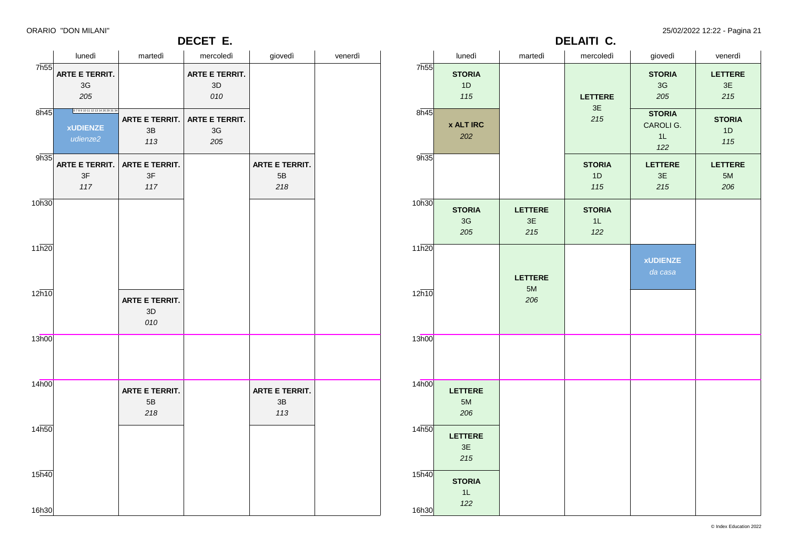**DECET E.**

ORARIO "DON MILANI" 25/02/2022 12:22 - Pagina 21

|                             | lunedì                                                | martedì                            | mercoledì                          | giovedì                                | venerdì |
|-----------------------------|-------------------------------------------------------|------------------------------------|------------------------------------|----------------------------------------|---------|
| 7h55                        | <b>ARTE E TERRIT.</b><br>3G<br>205                    |                                    | <b>ARTE E TERRIT.</b><br>3D<br>010 |                                        |         |
| $8\overline{h45}$           | 6789101112131426293134<br><b>xUDIENZE</b><br>udienze2 | <b>ARTE E TERRIT.</b><br>3B<br>113 | <b>ARTE E TERRIT.</b><br>3G<br>205 |                                        |         |
| 9h35                        | <b>ARTE E TERRIT.</b><br>3F<br>117                    | <b>ARTE E TERRIT.</b><br>3F<br>117 |                                    | <b>ARTE E TERRIT.</b><br>5B<br>218     |         |
| 10h30                       |                                                       |                                    |                                    |                                        |         |
| 11h20                       |                                                       |                                    |                                    |                                        |         |
| 12h10                       |                                                       | ARTE E TERRIT.<br>3D<br>010        |                                    |                                        |         |
| 13h00                       |                                                       |                                    |                                    |                                        |         |
| 14h00                       |                                                       | ARTE E TERRIT.<br>5B<br>218        |                                    | ARTE E TERRIT.<br>$3\mathsf{B}$<br>113 |         |
| 14h50                       |                                                       |                                    |                                    |                                        |         |
| $15\overline{h40}$<br>16h30 |                                                       |                                    |                                    |                                        |         |
|                             |                                                       |                                    |                                    |                                        |         |

| <b>DELAITI C.</b>  |                             |                             |                            |                                         |                             |  |  |  |  |  |  |
|--------------------|-----------------------------|-----------------------------|----------------------------|-----------------------------------------|-----------------------------|--|--|--|--|--|--|
|                    | lunedì                      | martedì                     | mercoledì                  | giovedì                                 | venerdì                     |  |  |  |  |  |  |
| 7h55               | <b>STORIA</b><br>1D<br>115  |                             | <b>LETTERE</b><br>3E       | <b>STORIA</b><br>3G<br>205              | <b>LETTERE</b><br>3E<br>215 |  |  |  |  |  |  |
| 8h45               | <b>x ALT IRC</b><br>202     |                             | 215                        | <b>STORIA</b><br>CAROLI G.<br>1L<br>122 | <b>STORIA</b><br>1D<br>115  |  |  |  |  |  |  |
| 9h35               |                             |                             | <b>STORIA</b><br>1D<br>115 | <b>LETTERE</b><br>$3\mathsf{E}$<br>215  | <b>LETTERE</b><br>5M<br>206 |  |  |  |  |  |  |
| 10h30              | <b>STORIA</b><br>3G<br>205  | <b>LETTERE</b><br>3E<br>215 | <b>STORIA</b><br>1L<br>122 |                                         |                             |  |  |  |  |  |  |
| 11h20<br>12h10     |                             | <b>LETTERE</b><br>5M        |                            | <b>xUDIENZE</b><br>da casa              |                             |  |  |  |  |  |  |
|                    |                             | 206                         |                            |                                         |                             |  |  |  |  |  |  |
| 13h00              |                             |                             |                            |                                         |                             |  |  |  |  |  |  |
| 14h00              | LETTERE<br>5M<br>206        |                             |                            |                                         |                             |  |  |  |  |  |  |
| 14h50              | <b>LETTERE</b><br>3E<br>215 |                             |                            |                                         |                             |  |  |  |  |  |  |
| $15\overline{h40}$ | <b>STORIA</b><br>1L<br>122  |                             |                            |                                         |                             |  |  |  |  |  |  |
| 16h30              |                             |                             |                            |                                         |                             |  |  |  |  |  |  |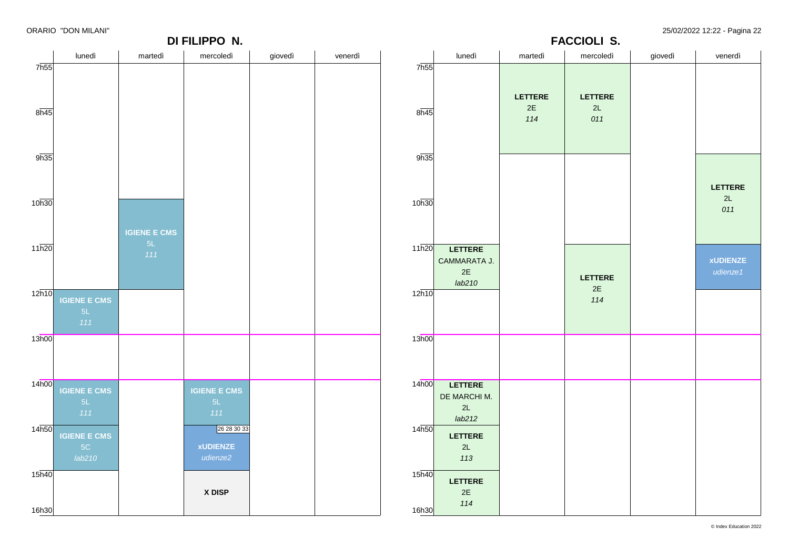|                   |                           |                           | DI FILIPPO N.       |         |         |                    | <b>FACCIOLI S.</b>      |                      |                      |         |                 |  |
|-------------------|---------------------------|---------------------------|---------------------|---------|---------|--------------------|-------------------------|----------------------|----------------------|---------|-----------------|--|
|                   | lunedì                    | martedì                   | mercoledì           | giovedì | venerdì |                    | lunedì                  | martedì              | mercoledì            | giovedì | venerdì         |  |
| 7h55              |                           |                           |                     |         |         | 7h55               |                         |                      |                      |         |                 |  |
|                   |                           |                           |                     |         |         |                    |                         | LETTERE              | LETTERE              |         |                 |  |
| 8h45              |                           |                           |                     |         |         | 8h45               |                         | $2\mathsf{E}$<br>114 | 2L<br>011            |         |                 |  |
|                   |                           |                           |                     |         |         |                    |                         |                      |                      |         |                 |  |
|                   |                           |                           |                     |         |         |                    |                         |                      |                      |         |                 |  |
| 9h35              |                           |                           |                     |         |         | 9h35               |                         |                      |                      |         |                 |  |
|                   |                           |                           |                     |         |         |                    |                         |                      |                      |         | LETTERE         |  |
| 10h30             |                           |                           |                     |         |         | 10h30              |                         |                      |                      |         | 2L<br>011       |  |
|                   |                           |                           |                     |         |         |                    |                         |                      |                      |         |                 |  |
|                   |                           | <b>IGIENE E CMS</b><br>5L |                     |         |         |                    |                         |                      |                      |         |                 |  |
| 11h20             |                           | 111                       |                     |         |         | 11h20              | LETTERE<br>CAMMARATA J. |                      |                      |         | <b>xUDIENZE</b> |  |
|                   |                           |                           |                     |         |         |                    | $2E$<br>lab210          |                      | LETTERE              |         | udienze1        |  |
| 12h10             | <b>IGIENE E CMS</b>       |                           |                     |         |         | 12h10              |                         |                      | $2\mathsf{E}$<br>114 |         |                 |  |
|                   | 5L                        |                           |                     |         |         |                    |                         |                      |                      |         |                 |  |
| 13h00             | 111                       |                           |                     |         |         | 13h00              |                         |                      |                      |         |                 |  |
|                   |                           |                           |                     |         |         |                    |                         |                      |                      |         |                 |  |
|                   |                           |                           |                     |         |         |                    |                         |                      |                      |         |                 |  |
| 14h00             | <b>IGIENE E CMS</b>       |                           | <b>IGIENE E CMS</b> |         |         | 14h00              | <b>LETTERE</b>          |                      |                      |         |                 |  |
|                   | 5L                        |                           | 5L                  |         |         |                    | DE MARCHI M.<br>2L      |                      |                      |         |                 |  |
| 14 <sub>h50</sub> | 111                       |                           | 111<br>26 28 30 33  |         |         | 14 <sub>h50</sub>  | lab212                  |                      |                      |         |                 |  |
|                   | <b>IGIENE E CMS</b><br>5C |                           | <b>xUDIENZE</b>     |         |         |                    | LETTERE<br>2L           |                      |                      |         |                 |  |
|                   | lab210                    |                           | udienze2            |         |         |                    | 113                     |                      |                      |         |                 |  |
| 15 <sub>h40</sub> |                           |                           |                     |         |         | $15\overline{h40}$ | LETTERE                 |                      |                      |         |                 |  |
|                   |                           |                           | X DISP              |         |         |                    | 2E                      |                      |                      |         |                 |  |
| 16h30             |                           |                           |                     |         |         | 16h30              | 114                     |                      |                      |         |                 |  |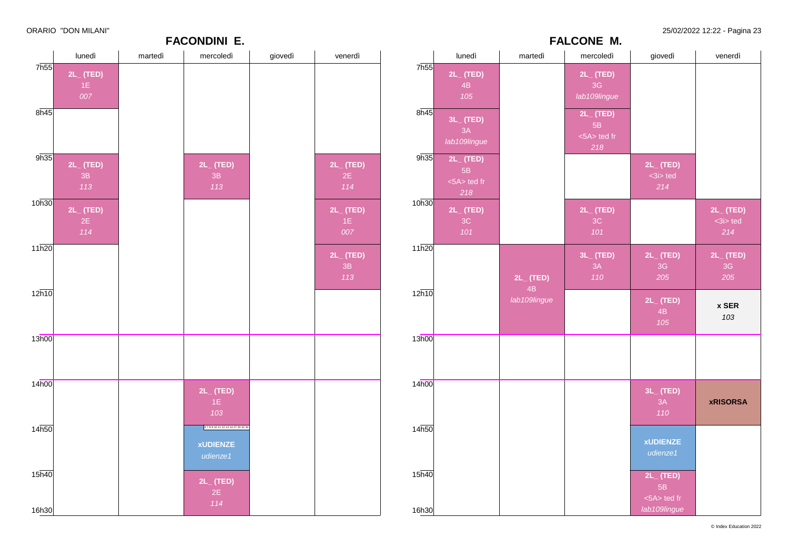|                   |                      |         | <b>FACONDINI E.</b>    |         |                      |                   |                    |                | <b>FALCONE M.</b>    |                      |                      |
|-------------------|----------------------|---------|------------------------|---------|----------------------|-------------------|--------------------|----------------|----------------------|----------------------|----------------------|
|                   | lunedì               | martedì | mercoledì              | giovedì | venerdì              |                   | lunedì             | martedì        | mercoledì            | giovedì              | venerdì              |
| 7 <sub>h55</sub>  | $2L_{-}$ (TED)       |         |                        |         |                      | 7h55              | $2L_{-}$ (TED)     |                | $2L_{-}$ (TED)       |                      |                      |
|                   | 1E                   |         |                        |         |                      |                   | 4B                 |                | 3G                   |                      |                      |
|                   | 007                  |         |                        |         |                      |                   | 105                |                | lab109lingue         |                      |                      |
| 8h45              |                      |         |                        |         |                      | 8h45              | 3L_ (TED)          |                | $2L_{-}$ (TED)       |                      |                      |
|                   |                      |         |                        |         |                      |                   | 3A                 |                | 5B                   |                      |                      |
|                   |                      |         |                        |         |                      |                   | lab109lingue       |                | $<5A>$ ted fr<br>218 |                      |                      |
| 9h35              | $2L_{-}$ (TED)       |         | $2L_{-}$ (TED)         |         | $2L_{-}$ (TED)       | 9h35              | $2L_{-}$ (TED)     |                |                      | $2L_{-}$ (TED)       |                      |
|                   | 3B                   |         | 3B                     |         | 2E                   |                   | 5B                 |                |                      | $3i$ ted             |                      |
|                   | 113                  |         | 113                    |         | 114                  |                   | <5A> ted fr<br>218 |                |                      | 214                  |                      |
| 10h30             |                      |         |                        |         | $2L_{-}$ (TED)       | 10h30             | $2L_{-}$ (TED)     |                | $2L_{-}$ (TED)       |                      | $2L_{-}$ (TED)       |
|                   | $2L_{-}$ (TED)<br>2E |         |                        |         | 1E                   |                   | 3C                 |                | 3C                   |                      | $3i$ ted             |
|                   | 114                  |         |                        |         | 007                  |                   | 101                |                | 101                  |                      | 214                  |
| 11h20             |                      |         |                        |         |                      | 11h20             |                    |                |                      |                      |                      |
|                   |                      |         |                        |         | $2L_{-}$ (TED)<br>3B |                   |                    |                | $3L_{-}$ (TED)<br>3A | $2L_{-}$ (TED)<br>3G | $2L_{-}$ (TED)<br>3G |
|                   |                      |         |                        |         | 113                  |                   |                    | $2L_{-}$ (TED) | 110                  | 205                  | 205                  |
| 12h10             |                      |         |                        |         |                      | 12h10             |                    | 4B             |                      |                      |                      |
|                   |                      |         |                        |         |                      |                   |                    | lab109lingue   |                      | $2L_{-}$ (TED)<br>4B | x SER                |
|                   |                      |         |                        |         |                      |                   |                    |                |                      | 105                  | 103                  |
| 13h00             |                      |         |                        |         |                      | 13h00             |                    |                |                      |                      |                      |
|                   |                      |         |                        |         |                      |                   |                    |                |                      |                      |                      |
|                   |                      |         |                        |         |                      |                   |                    |                |                      |                      |                      |
| 14h00             |                      |         |                        |         |                      | 14 <sub>h00</sub> |                    |                |                      |                      |                      |
|                   |                      |         | $2L_{-}$ (TED)<br>1E   |         |                      |                   |                    |                |                      | $3L_{-}$ (TED)<br>3A | <b>xRISORSA</b>      |
|                   |                      |         | 103                    |         |                      |                   |                    |                |                      | 110                  |                      |
| 14 <sub>h50</sub> |                      |         | 6789101112131427293234 |         |                      | 14h50             |                    |                |                      |                      |                      |
|                   |                      |         | <b>xUDIENZE</b>        |         |                      |                   |                    |                |                      | <b>xUDIENZE</b>      |                      |
|                   |                      |         | udienze1               |         |                      |                   |                    |                |                      | udienze1             |                      |
| 15 <sub>h40</sub> |                      |         |                        |         |                      | 15h40             |                    |                |                      | $2L_{-}$ (TED)       |                      |
|                   |                      |         | $2L_{-}$ (TED)         |         |                      |                   |                    |                |                      | 5B                   |                      |
|                   |                      |         | 2E<br>114              |         |                      |                   |                    |                |                      | <5A> ted fr          |                      |
| 16h30             |                      |         |                        |         |                      | 16h30             |                    |                |                      | lab109lingue         |                      |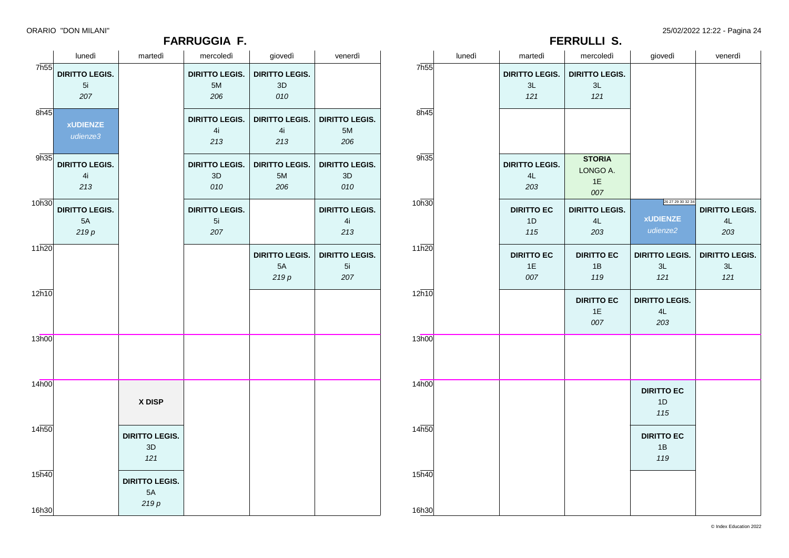### **FARRUGGIA F.**

ORARIO "DON MILANI" 25/02/2022 12:22 - Pagina 24

|                    |                       |                       | <b>FARRUGGIA F.</b>   |                       |                       | <b>FERRULLI S.</b> |        |                       |                         |                             |                       |
|--------------------|-----------------------|-----------------------|-----------------------|-----------------------|-----------------------|--------------------|--------|-----------------------|-------------------------|-----------------------------|-----------------------|
|                    | lunedì                | martedì               | mercoledì             | giovedì               | venerdì               |                    | lunedì | martedì               | mercoledì               | giovedì                     | venerdì               |
| 7h55               | <b>DIRITTO LEGIS.</b> |                       | <b>DIRITTO LEGIS.</b> | <b>DIRITTO LEGIS.</b> |                       | 7 <sub>h55</sub>   |        | <b>DIRITTO LEGIS.</b> | <b>DIRITTO LEGIS.</b>   |                             |                       |
|                    | 5i                    |                       | 5M                    | $3D$                  |                       |                    |        | 3L                    | 3L                      |                             |                       |
|                    | 207                   |                       | 206                   | 010                   |                       |                    |        | 121                   | 121                     |                             |                       |
| 8h45               |                       |                       |                       |                       |                       | 8h45               |        |                       |                         |                             |                       |
|                    | <b>xUDIENZE</b>       |                       | <b>DIRITTO LEGIS.</b> | <b>DIRITTO LEGIS.</b> | <b>DIRITTO LEGIS.</b> |                    |        |                       |                         |                             |                       |
|                    | udienze3              |                       | 4i                    | 4i                    | 5M                    |                    |        |                       |                         |                             |                       |
|                    |                       |                       | 213                   | 213                   | 206                   |                    |        |                       |                         |                             |                       |
| 9h35               |                       |                       |                       |                       |                       | 9h35               |        |                       | <b>STORIA</b>           |                             |                       |
|                    | <b>DIRITTO LEGIS.</b> |                       | <b>DIRITTO LEGIS.</b> | <b>DIRITTO LEGIS.</b> | <b>DIRITTO LEGIS.</b> |                    |        | <b>DIRITTO LEGIS.</b> | LONGO A.                |                             |                       |
|                    | 4i<br>213             |                       | 3D<br>010             | $5M$<br>206           | $3\mathsf{D}$<br>010  |                    |        | 4L<br>203             | 1E                      |                             |                       |
|                    |                       |                       |                       |                       |                       |                    |        |                       | 007                     |                             |                       |
| 10h30              | <b>DIRITTO LEGIS.</b> |                       | <b>DIRITTO LEGIS.</b> |                       | <b>DIRITTO LEGIS.</b> | 10h30              |        | <b>DIRITTO EC</b>     | <b>DIRITTO LEGIS.</b>   | 26 27 29 30 32 34           | <b>DIRITTO LEGIS.</b> |
|                    | 5A                    |                       | 5i                    |                       | 4i                    |                    |        | 1D                    | 4L                      | <b>xUDIENZE</b>             | 4L                    |
|                    | $219p$                |                       | 207                   |                       | 213                   |                    |        | 115                   | 203                     | udienze2                    | 203                   |
| 11h20              |                       |                       |                       |                       |                       | 11h20              |        |                       |                         |                             |                       |
|                    |                       |                       |                       | <b>DIRITTO LEGIS.</b> | <b>DIRITTO LEGIS.</b> |                    |        | <b>DIRITTO EC</b>     | <b>DIRITTO EC</b>       | <b>DIRITTO LEGIS.</b>       | <b>DIRITTO LEGIS.</b> |
|                    |                       |                       |                       | 5A                    | 5i                    |                    |        | 1E                    | 1B                      | 3L                          | $3L$                  |
|                    |                       |                       |                       | 219p                  | 207                   |                    |        | 007                   | 119                     | 121                         | 121                   |
| $12\overline{h10}$ |                       |                       |                       |                       |                       | 12h10              |        |                       |                         |                             |                       |
|                    |                       |                       |                       |                       |                       |                    |        |                       | <b>DIRITTO EC</b><br>1E | <b>DIRITTO LEGIS.</b><br>4L |                       |
|                    |                       |                       |                       |                       |                       |                    |        |                       | 007                     | 203                         |                       |
|                    |                       |                       |                       |                       |                       |                    |        |                       |                         |                             |                       |
| 13h00              |                       |                       |                       |                       |                       | 13h00              |        |                       |                         |                             |                       |
|                    |                       |                       |                       |                       |                       |                    |        |                       |                         |                             |                       |
|                    |                       |                       |                       |                       |                       |                    |        |                       |                         |                             |                       |
| 14h00              |                       |                       |                       |                       |                       | 14h00              |        |                       |                         |                             |                       |
|                    |                       |                       |                       |                       |                       |                    |        |                       |                         | <b>DIRITTO EC</b>           |                       |
|                    |                       | X DISP                |                       |                       |                       |                    |        |                       |                         | 1D                          |                       |
|                    |                       |                       |                       |                       |                       |                    |        |                       |                         | 115                         |                       |
| 14 <sub>h50</sub>  |                       | <b>DIRITTO LEGIS.</b> |                       |                       |                       | 14h50              |        |                       |                         | <b>DIRITTO EC</b>           |                       |
|                    |                       | 3D                    |                       |                       |                       |                    |        |                       |                         | 1B                          |                       |
|                    |                       | 121                   |                       |                       |                       |                    |        |                       |                         | 119                         |                       |
| $15\overline{h40}$ |                       |                       |                       |                       |                       | 15h40              |        |                       |                         |                             |                       |
|                    |                       | <b>DIRITTO LEGIS.</b> |                       |                       |                       |                    |        |                       |                         |                             |                       |
|                    |                       | 5A                    |                       |                       |                       |                    |        |                       |                         |                             |                       |
| 16h30              |                       | 219p                  |                       |                       |                       | 16h30              |        |                       |                         |                             |                       |
|                    |                       |                       |                       |                       |                       |                    |        |                       |                         |                             |                       |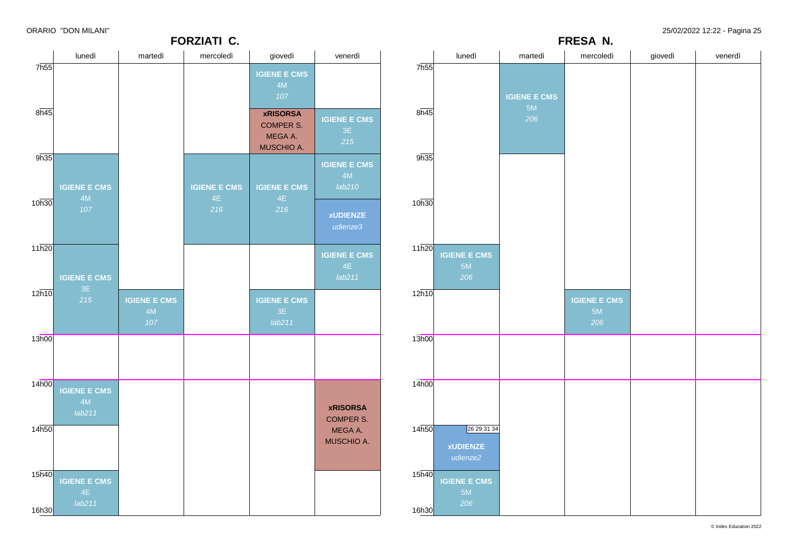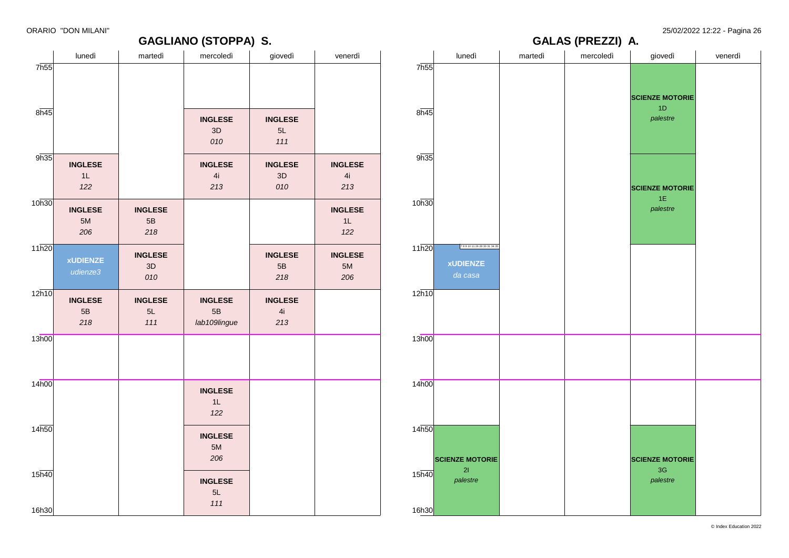**SCIENZE MOTORIE** 1D *palestre*

**SCIENZE MOTORIE** 1E *palestre*

**SCIENZE MOTORIE** 3G *palestre*

**GALAS (PREZZI) A.**

#### lunedì | martedì | mercoledì | giovedì | venerdì 7h55 8h45 9h35 10h30 11h20 12h10 13h00 14h00 14h50 15h40 16h30 **INGLESE**  $1$ *122* **INGLESE** 5M *206* **xUDIENZE** *udienze3* **INGLESE** 5B *218* **INGLESE** 5B *218* **INGLESE** 3D *010* **INGLESE** 5L *111* **INGLESE** 3D *010* **INGLESE** 4i *213* **INGLESE** 5B *lab109lingue* **INGLESE** 1L *122* **INGLESE** 5M *206* **INGLESE** 5L *111* **INGLESE** 5L *111* **INGLESE** 3D *010* **INGLESE** 5B *218* **INGLESE** 4i *213* **INGLESE** 4i *213* **INGLESE** 1L *122* **INGLESE** 5M *206* lunedì martedì mercoledì giovedì venerdì 7h55 8h45 9h35 10h30  $11h20$  $12h10$ 13h00 14h00  $14h50$ 15h40 16h30 7 8 9 10 11 26 28 30 31 34 35 **xUDIENZE** *da casa* **SCIENZE MOTORIE** 2I *palestre*

**GAGLIANO (STOPPA) S.**

© Index Education 2022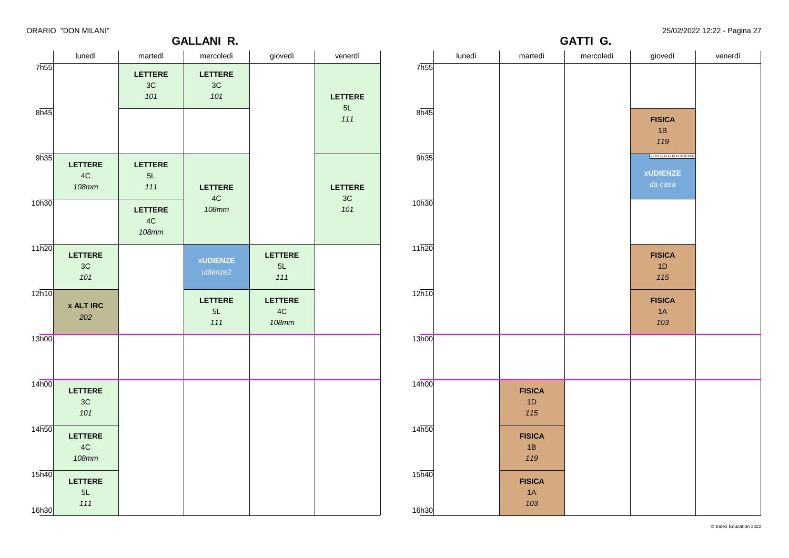### **GALLANI R.**

| .                 |                               |                    | <b>GALLANI R.</b>           |                |                | <b>GATTI G.</b>   |        |               |           |                        |         |
|-------------------|-------------------------------|--------------------|-----------------------------|----------------|----------------|-------------------|--------|---------------|-----------|------------------------|---------|
|                   | lunedì                        | martedì            | mercoledì                   | giovedì        | venerdì        |                   | lunedì | martedì       | mercoledì | giovedì                | venerdì |
| 7 <sub>h55</sub>  |                               | LETTERE            | <b>LETTERE</b>              |                |                | 7h55              |        |               |           |                        |         |
|                   |                               | 3C                 | 3C                          |                |                |                   |        |               |           |                        |         |
|                   |                               | 101                | 101                         |                | <b>LETTERE</b> |                   |        |               |           |                        |         |
| $8\overline{h45}$ |                               |                    |                             |                | 5L             | 8h45              |        |               |           |                        |         |
|                   |                               |                    |                             |                | 111            |                   |        |               |           | <b>FISICA</b>          |         |
|                   |                               |                    |                             |                |                |                   |        |               |           | 1B                     |         |
|                   |                               |                    |                             |                |                |                   |        |               |           | 119                    |         |
| 9h35              | <b>LETTERE</b>                | <b>LETTERE</b>     |                             |                |                | 9h35              |        |               |           | 6789101112131426283033 |         |
|                   | $4\mathrm{C}$                 | 5L                 |                             |                |                |                   |        |               |           | <b>xUDIENZE</b>        |         |
|                   | <b>108mm</b>                  | 111                | <b>LETTERE</b>              |                | <b>LETTERE</b> |                   |        |               |           | da casa                |         |
| 10h30             |                               |                    | $4\mathrm{C}$               |                | 3C             | 10h30             |        |               |           |                        |         |
|                   |                               | LETTERE            | <b>108mm</b>                |                | 101            |                   |        |               |           |                        |         |
|                   |                               | 4C<br><b>108mm</b> |                             |                |                |                   |        |               |           |                        |         |
|                   |                               |                    |                             |                |                |                   |        |               |           |                        |         |
| 11h20             | LETTERE                       |                    |                             | <b>LETTERE</b> |                | 11h20             |        |               |           | <b>FISICA</b>          |         |
|                   | $3\mathrm{C}$                 |                    | <b>xUDIENZE</b><br>udienze2 | $5L$           |                |                   |        |               |           | 1D                     |         |
|                   | 101                           |                    |                             | 111            |                |                   |        |               |           | 115                    |         |
| 12h10             |                               |                    | <b>LETTERE</b>              | <b>LETTERE</b> |                | 12h10             |        |               |           | <b>FISICA</b>          |         |
|                   | <b>x ALT IRC</b>              |                    | 5L                          | $4\mathrm{C}$  |                |                   |        |               |           | 1A                     |         |
|                   | 202                           |                    | 111                         | <b>108mm</b>   |                |                   |        |               |           | 103                    |         |
| 13h00             |                               |                    |                             |                |                | 13h00             |        |               |           |                        |         |
|                   |                               |                    |                             |                |                |                   |        |               |           |                        |         |
|                   |                               |                    |                             |                |                |                   |        |               |           |                        |         |
|                   |                               |                    |                             |                |                |                   |        |               |           |                        |         |
| 14h00             | LETTERE                       |                    |                             |                |                | 14 <sub>h00</sub> |        | <b>FISICA</b> |           |                        |         |
|                   | 3C                            |                    |                             |                |                |                   |        | 1D            |           |                        |         |
|                   | 101                           |                    |                             |                |                |                   |        | 115           |           |                        |         |
| 14 <sub>h50</sub> |                               |                    |                             |                |                | 14h50             |        |               |           |                        |         |
|                   | LETTERE                       |                    |                             |                |                |                   |        | <b>FISICA</b> |           |                        |         |
|                   | $4\mathrm{C}$<br><b>108mm</b> |                    |                             |                |                |                   |        | 1B<br>119     |           |                        |         |
|                   |                               |                    |                             |                |                |                   |        |               |           |                        |         |
| 15 <sub>h40</sub> | LETTERE                       |                    |                             |                |                | 15h40             |        | <b>FISICA</b> |           |                        |         |
|                   | 5L                            |                    |                             |                |                |                   |        | 1A            |           |                        |         |
| 16h30             | 111                           |                    |                             |                |                | 16h30             |        | 103           |           |                        |         |
|                   |                               |                    |                             |                |                |                   |        |               |           |                        |         |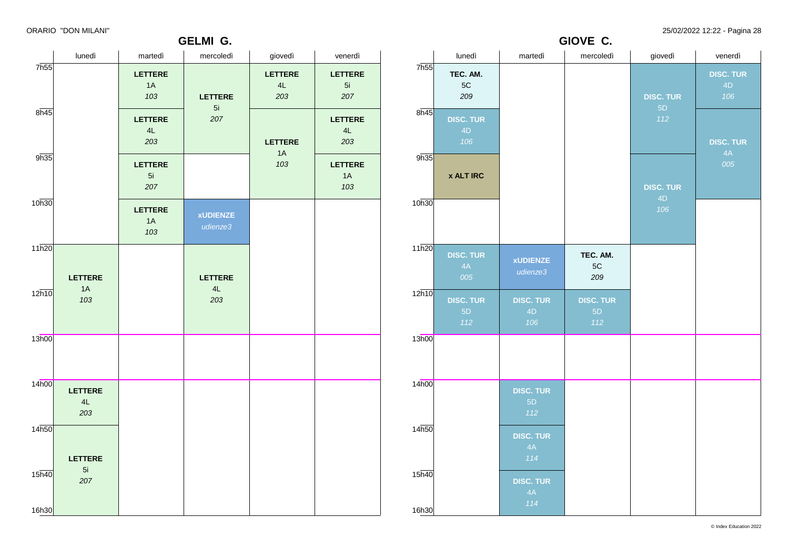### **GELMI G.**

ORARIO "DON MILANI" 25/02/2022 12:22 - Pagina 28

**GIOVE C.**

|                             |                             |                             | ULLIVII V.                  |                             |                             |                   |                               |                               | $V = V$                          |                        |                               |
|-----------------------------|-----------------------------|-----------------------------|-----------------------------|-----------------------------|-----------------------------|-------------------|-------------------------------|-------------------------------|----------------------------------|------------------------|-------------------------------|
|                             | lunedì                      | martedì                     | mercoledì                   | giovedì                     | venerdì                     |                   | lunedì                        | martedì                       | mercoledì                        | giovedì                | venerdì                       |
| 7 <sub>h55</sub>            |                             | <b>LETTERE</b><br>1A<br>103 | <b>LETTERE</b>              | <b>LETTERE</b><br>4L<br>203 | <b>LETTERE</b><br>5i<br>207 | 7h55              | TEC. AM.<br>$5{\rm C}$<br>209 |                               |                                  | <b>DISC. TUR</b><br>5D | <b>DISC. TUR</b><br>4D<br>106 |
| 8h45                        |                             | <b>LETTERE</b><br>4L<br>203 | 5i<br>207                   | <b>LETTERE</b>              | LETTERE<br>4L<br>203        | 8h45              | <b>DISC. TUR</b><br>4D<br>106 |                               |                                  | 112                    | <b>DISC. TUR</b>              |
| 9h35                        |                             | LETTERE<br>5i<br>207        |                             | 1A<br>103                   | <b>LETTERE</b><br>1A<br>103 | 9h35              | <b>x ALT IRC</b>              |                               |                                  | <b>DISC. TUR</b>       | 4A<br>005                     |
| 10h30                       |                             | <b>LETTERE</b><br>1A<br>103 | <b>xUDIENZE</b><br>udienze3 |                             |                             | 10h30             |                               |                               |                                  | 4D<br>106              |                               |
| 11h20                       | <b>LETTERE</b>              |                             | <b>LETTERE</b>              |                             |                             | 11h20             | <b>DISC. TUR</b><br>4A<br>005 | <b>xUDIENZE</b><br>udienze3   | TEC. AM.<br>$5\mathrm{C}$<br>209 |                        |                               |
| 12h10                       | 1A<br>103                   |                             | 4L<br>203                   |                             |                             | 12h10             | <b>DISC. TUR</b><br>5D<br>112 | <b>DISC. TUR</b><br>4D<br>106 | <b>DISC. TUR</b><br>5D<br>112    |                        |                               |
| 13h00                       |                             |                             |                             |                             |                             | 13h00             |                               |                               |                                  |                        |                               |
| 14 <sub>h00</sub>           | <b>LETTERE</b><br>4L<br>203 |                             |                             |                             |                             | 14 <sub>h00</sub> |                               | <b>DISC. TUR</b><br>5D<br>112 |                                  |                        |                               |
| 14 <sub>h50</sub>           | <b>LETTERE</b>              |                             |                             |                             |                             | 14h50             |                               | <b>DISC. TUR</b><br>4A<br>114 |                                  |                        |                               |
| $15\overline{h40}$<br>16h30 | 5i<br>207                   |                             |                             |                             |                             | 15h40<br>16h30    |                               | <b>DISC. TUR</b><br>4A<br>114 |                                  |                        |                               |
|                             |                             |                             |                             |                             |                             |                   |                               |                               |                                  |                        |                               |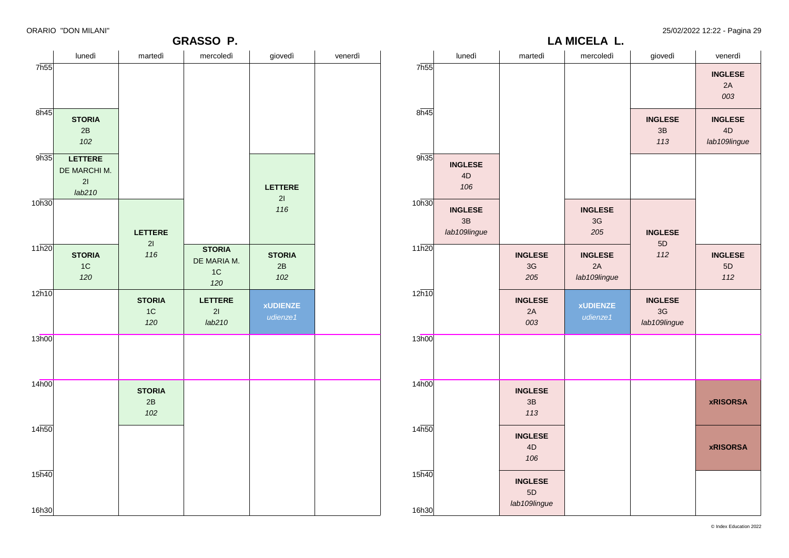**LA MICELA L.**

| <b>INGLESE</b><br>2A<br>003<br>8h45<br>8h45<br><b>STORIA</b><br><b>INGLESE</b><br><b>INGLESE</b><br>4D<br>2B<br>3B<br>102<br>113<br>lab109lingue<br>9h35<br>9h35<br>LETTERE<br><b>INGLESE</b><br>DE MARCHI M.<br>4D<br>21<br>106<br>LETTERE<br>lab210<br>21<br>10h30<br>10h30<br>116<br><b>INGLESE</b><br><b>INGLESE</b><br>3B<br>$3G$<br>lab109lingue<br>LETTERE<br>205<br><b>INGLESE</b><br>5D<br>21<br>11h20<br><b>STORIA</b><br>112<br>116<br><b>STORIA</b><br><b>INGLESE</b><br><b>STORIA</b><br><b>INGLESE</b><br><b>INGLESE</b><br>DE MARIA M.<br>1C<br>3G<br>2A<br>2B<br>$5\mathsf{D}$<br>1C<br>120<br>$102$<br>205<br>lab109lingue<br>$112$<br>120<br>12h10<br><b>STORIA</b><br>LETTERE<br><b>INGLESE</b><br><b>INGLESE</b><br><b>xUDIENZE</b><br><b>xUDIENZE</b><br>$3G$<br>1C<br>21<br>2A<br>udienze1<br>udienze1<br>120<br>lab210<br>003<br>lab109lingue<br>13h00<br>14 <sub>h00</sub><br><b>STORIA</b><br><b>INGLESE</b><br>2B<br>3B<br><b>xRISORSA</b><br>102<br>113<br>14h50<br><b>INGLESE</b><br>$4\mathsf{D}$<br><b>xRISORSA</b><br>106<br>15 <sub>h40</sub><br>15h40<br><b>INGLESE</b><br>5D |       | lunedì | martedì | mercoledì | giovedì | venerdì |       | lunedì | martedì      | mercoledì | giovedì | venerdì |
|----------------------------------------------------------------------------------------------------------------------------------------------------------------------------------------------------------------------------------------------------------------------------------------------------------------------------------------------------------------------------------------------------------------------------------------------------------------------------------------------------------------------------------------------------------------------------------------------------------------------------------------------------------------------------------------------------------------------------------------------------------------------------------------------------------------------------------------------------------------------------------------------------------------------------------------------------------------------------------------------------------------------------------------------------------------------------------------------------------------|-------|--------|---------|-----------|---------|---------|-------|--------|--------------|-----------|---------|---------|
|                                                                                                                                                                                                                                                                                                                                                                                                                                                                                                                                                                                                                                                                                                                                                                                                                                                                                                                                                                                                                                                                                                                | 7h55  |        |         |           |         |         | 7h55  |        |              |           |         |         |
|                                                                                                                                                                                                                                                                                                                                                                                                                                                                                                                                                                                                                                                                                                                                                                                                                                                                                                                                                                                                                                                                                                                |       |        |         |           |         |         |       |        |              |           |         |         |
|                                                                                                                                                                                                                                                                                                                                                                                                                                                                                                                                                                                                                                                                                                                                                                                                                                                                                                                                                                                                                                                                                                                |       |        |         |           |         |         |       |        |              |           |         |         |
| 11h20<br>12h10<br>13h00<br>14 <sub>h00</sub><br>14 <sub>h50</sub>                                                                                                                                                                                                                                                                                                                                                                                                                                                                                                                                                                                                                                                                                                                                                                                                                                                                                                                                                                                                                                              |       |        |         |           |         |         |       |        |              |           |         |         |
|                                                                                                                                                                                                                                                                                                                                                                                                                                                                                                                                                                                                                                                                                                                                                                                                                                                                                                                                                                                                                                                                                                                |       |        |         |           |         |         |       |        |              |           |         |         |
|                                                                                                                                                                                                                                                                                                                                                                                                                                                                                                                                                                                                                                                                                                                                                                                                                                                                                                                                                                                                                                                                                                                |       |        |         |           |         |         |       |        |              |           |         |         |
|                                                                                                                                                                                                                                                                                                                                                                                                                                                                                                                                                                                                                                                                                                                                                                                                                                                                                                                                                                                                                                                                                                                |       |        |         |           |         |         |       |        |              |           |         |         |
|                                                                                                                                                                                                                                                                                                                                                                                                                                                                                                                                                                                                                                                                                                                                                                                                                                                                                                                                                                                                                                                                                                                |       |        |         |           |         |         |       |        |              |           |         |         |
|                                                                                                                                                                                                                                                                                                                                                                                                                                                                                                                                                                                                                                                                                                                                                                                                                                                                                                                                                                                                                                                                                                                |       |        |         |           |         |         |       |        |              |           |         |         |
|                                                                                                                                                                                                                                                                                                                                                                                                                                                                                                                                                                                                                                                                                                                                                                                                                                                                                                                                                                                                                                                                                                                | 16h30 |        |         |           |         |         | 16h30 |        | lab109lingue |           |         |         |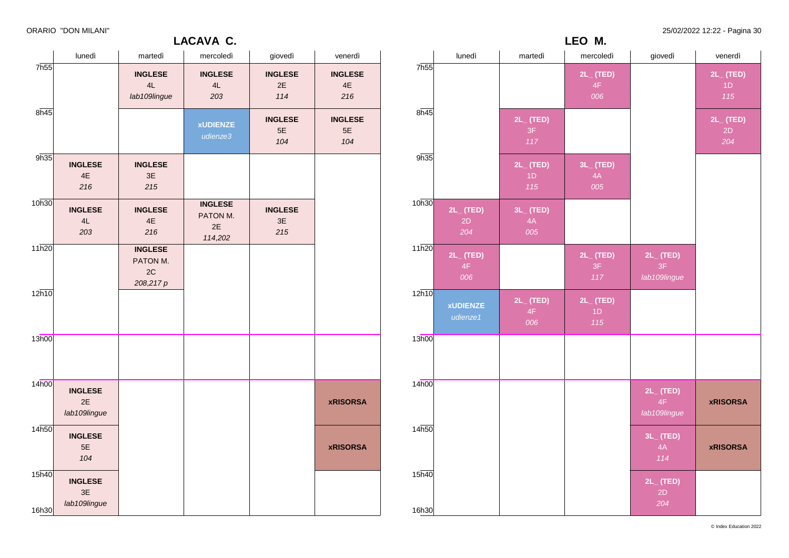### **LACAVA C.**

ORARIO "DON MILANI" 25/02/2022 12:22 - Pagina 30

|                            | lunedì                               | martedì                                       | mercoledì                                   | giovedì                     | venerdì                       |
|----------------------------|--------------------------------------|-----------------------------------------------|---------------------------------------------|-----------------------------|-------------------------------|
| 7h55                       |                                      | <b>INGLESE</b><br>4L<br>lab109lingue          | <b>INGLESE</b><br>4L<br>203                 | <b>INGLESE</b><br>2E<br>114 | <b>INGLESE</b><br>4E<br>216   |
| 8h45                       |                                      |                                               | <b>xUDIENZE</b><br>udienze3                 | <b>INGLESE</b><br>5E<br>104 | <b>INGLESE</b><br>$5E$<br>104 |
| 9h35                       | <b>INGLESE</b><br>4E<br>216          | <b>INGLESE</b><br>3E<br>215                   |                                             |                             |                               |
| 10h30                      | <b>INGLESE</b><br>4L<br>203          | <b>INGLESE</b><br>4E<br>216                   | <b>INGLESE</b><br>PATON M.<br>2E<br>114,202 | <b>INGLESE</b><br>3E<br>215 |                               |
| 11h20                      |                                      | <b>INGLESE</b><br>PATON M.<br>2C<br>208,217 p |                                             |                             |                               |
| 12h10                      |                                      |                                               |                                             |                             |                               |
| 13h00                      |                                      |                                               |                                             |                             |                               |
| 14h00                      | <b>INGLESE</b><br>2E<br>lab109lingue |                                               |                                             |                             | <b>xRISORSA</b>               |
| 14h50                      | <b>INGLESE</b><br>5E<br>104          |                                               |                                             |                             | <b>xRISORSA</b>               |
| 15 <sub>h40</sub><br>16h30 | <b>INGLESE</b><br>3E<br>lab109lingue |                                               |                                             |                             |                               |

|                   |                             |                             | LEO M.                      |                                      |                             |
|-------------------|-----------------------------|-----------------------------|-----------------------------|--------------------------------------|-----------------------------|
|                   | lunedì                      | martedì                     | mercoledì                   | giovedì                              | venerdì                     |
| 7h55              |                             |                             | $2L_{-}$ (TED)<br>4F<br>006 |                                      | $2L_{-}$ (TED)<br>1D<br>115 |
| 8h45              |                             | 2L_ (TED)<br>3F<br>$117$    |                             |                                      | $2L_{-}$ (TED)<br>2D<br>204 |
| 9h35              |                             | $2L_{-}$ (TED)<br>1D<br>115 | $3L_{-}$ (TED)<br>4A<br>005 |                                      |                             |
| 10h30             | $2L_{-}$ (TED)<br>2D<br>204 | 3L_ (TED)<br>4A<br>005      |                             |                                      |                             |
| 11h20             | $2L_{-}$ (TED)<br>4F<br>006 |                             | $2L_{-}$ (TED)<br>3F<br>117 | $2L_{-}$ (TED)<br>3F<br>lab109lingue |                             |
| 12h10             | <b>xUDIENZE</b><br>udienze1 | $2L_{-}$ (TED)<br>4F<br>006 | $2L_{-}$ (TED)<br>1D<br>115 |                                      |                             |
| 13h00             |                             |                             |                             |                                      |                             |
| 14 <sub>h00</sub> |                             |                             |                             | $2L_{-}$ (TED)<br>4F<br>lab109lingue | <b>xRISORSA</b>             |
| 14h50             |                             |                             |                             | $3L_{-}$ (TED)<br>4A<br>114          | <b>xRISORSA</b>             |
| 15h40<br>16h30    |                             |                             |                             | $2L_{-}$ (TED)<br>2D<br>204          |                             |

© Index Education 2022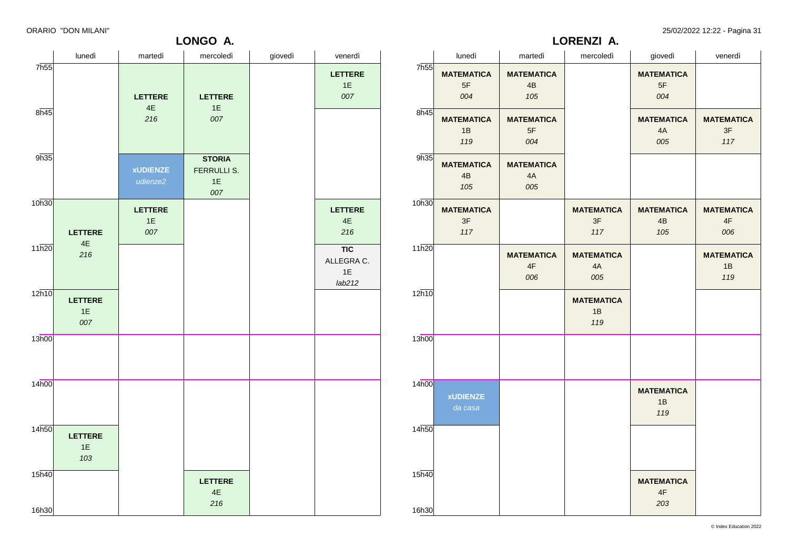ORARIO "DON MILANI" 25/02/2022 12:22 - Pagina 31

**LONGO A.**

|       |                         |                   | LORENZI A.              |                         |                         |
|-------|-------------------------|-------------------|-------------------------|-------------------------|-------------------------|
|       | lunedì                  | martedì           | mercoledì               | giovedì                 | venerdì                 |
| 7h55  | <b>MATEMATICA</b>       | <b>MATEMATICA</b> |                         | <b>MATEMATICA</b>       |                         |
|       | 5F                      | 4B                |                         | 5F                      |                         |
|       | 004                     | 105               |                         | 004                     |                         |
| 8h45  |                         |                   |                         |                         |                         |
|       | <b>MATEMATICA</b><br>1B | <b>MATEMATICA</b> |                         | <b>MATEMATICA</b><br>4A | <b>MATEMATICA</b><br>3F |
|       | 119                     | 5F<br>004         |                         | 005                     | 117                     |
|       |                         |                   |                         |                         |                         |
| 9h35  | <b>MATEMATICA</b>       | <b>MATEMATICA</b> |                         |                         |                         |
|       | 4B                      | 4A                |                         |                         |                         |
|       | 105                     | 005               |                         |                         |                         |
| 10h30 |                         |                   |                         |                         |                         |
|       | <b>MATEMATICA</b><br>3F |                   | <b>MATEMATICA</b><br>3F | <b>MATEMATICA</b><br>4B | <b>MATEMATICA</b><br>4F |
|       | 117                     |                   | 117                     | 105                     | 006                     |
|       |                         |                   |                         |                         |                         |
| 11h20 |                         | <b>MATEMATICA</b> | <b>MATEMATICA</b>       |                         | <b>MATEMATICA</b>       |
|       |                         | 4F                | 4A                      |                         | 1B                      |
|       |                         | 006               | 005                     |                         | 119                     |
| 12h10 |                         |                   |                         |                         |                         |
|       |                         |                   | <b>MATEMATICA</b>       |                         |                         |
|       |                         |                   | 1B                      |                         |                         |
|       |                         |                   | 119                     |                         |                         |
| 13h00 |                         |                   |                         |                         |                         |
|       |                         |                   |                         |                         |                         |
|       |                         |                   |                         |                         |                         |
| 14h00 |                         |                   |                         |                         |                         |
|       | <b>xUDIENZE</b>         |                   |                         | <b>MATEMATICA</b>       |                         |
|       | da casa                 |                   |                         | 1B                      |                         |
|       |                         |                   |                         | 119                     |                         |
| 14h50 |                         |                   |                         |                         |                         |
|       |                         |                   |                         |                         |                         |
|       |                         |                   |                         |                         |                         |
| 15h40 |                         |                   |                         |                         |                         |
|       |                         |                   |                         | <b>MATEMATICA</b>       |                         |
|       |                         |                   |                         | 4F                      |                         |
| 16h30 |                         |                   |                         | 203                     |                         |
|       |                         |                   |                         |                         |                         |

|                            | lunedì                      | martedì                       | mercoledì                                 | giovedì | venerdì                                  |
|----------------------------|-----------------------------|-------------------------------|-------------------------------------------|---------|------------------------------------------|
| 7h55<br>8h45               |                             | <b>LETTERE</b><br>4E<br>216   | <b>LETTERE</b><br>1E<br>007               |         | <b>LETTERE</b><br>1E<br>007              |
| 9h35                       |                             | <b>xUDIENZE</b><br>udienze2   | <b>STORIA</b><br>FERRULLI S.<br>1E<br>007 |         |                                          |
| 10h30                      | <b>LETTERE</b>              | <b>LETTERE</b><br>$1E$<br>007 |                                           |         | <b>LETTERE</b><br>4E<br>216              |
| 11h20                      | 4E<br>216                   |                               |                                           |         | <b>TIC</b><br>ALLEGRA C.<br>1E<br>lab212 |
| 12h10                      | <b>LETTERE</b><br>1E<br>007 |                               |                                           |         |                                          |
| 13h00                      |                             |                               |                                           |         |                                          |
| 14h00                      |                             |                               |                                           |         |                                          |
| 14 <sub>h50</sub>          | <b>LETTERE</b><br>1E<br>103 |                               |                                           |         |                                          |
| 15 <sub>h40</sub><br>16h30 |                             |                               | <b>LETTERE</b><br>$4\mathsf{E}$<br>216    |         |                                          |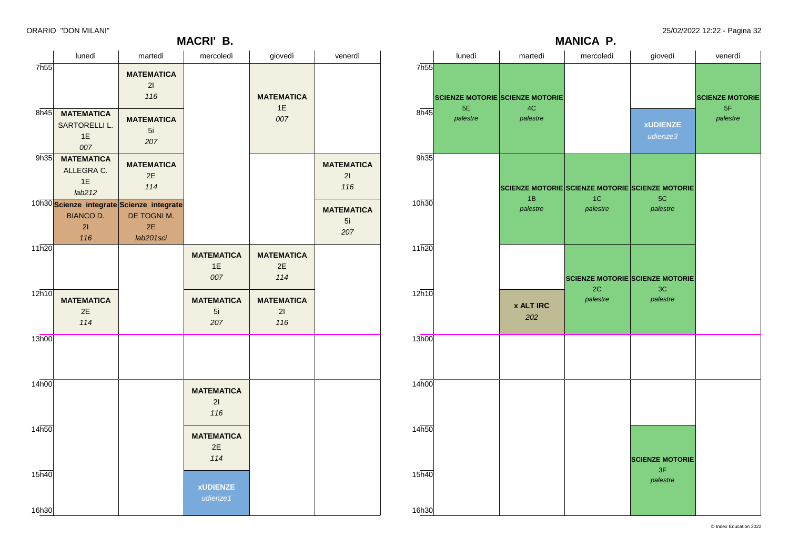7h55

 $8h45$ 

 $9h35$ 

10h30

11h20

12h10

13h00

14h00

14h50

15h40

16h30

**MANICA P.**

| lunedì                                          | martedì                                                               | mercoledì                      | giovedì                        | venerdì                        |                   | lunedì         | martedì                                | mercoledì      | giovedì                                               | venerdì                |
|-------------------------------------------------|-----------------------------------------------------------------------|--------------------------------|--------------------------------|--------------------------------|-------------------|----------------|----------------------------------------|----------------|-------------------------------------------------------|------------------------|
|                                                 | <b>MATEMATICA</b><br>21<br>116                                        |                                | <b>MATEMATICA</b>              |                                | 7h55              |                | <b>SCIENZE MOTORIE SCIENZE MOTORIE</b> |                |                                                       | <b>SCIENZE MOTORIE</b> |
| <b>MATEMATICA</b><br>SARTORELLI L.<br>1E<br>007 | <b>MATEMATICA</b><br>5i<br>207                                        |                                | 1E<br>007                      |                                | 8h45              | 5E<br>palestre | $4\mathrm{C}$<br>palestre              |                | <b>xUDIENZE</b><br>udienze3                           | 5F<br>palestre         |
| <b>MATEMATICA</b><br>ALLEGRA C.<br>1E<br>lab212 | <b>MATEMATICA</b><br>2E<br>114                                        |                                |                                | <b>MATEMATICA</b><br>21<br>116 | 9h35              |                | 1B                                     | $1C$           | SCIENZE MOTORIE SCIENZE MOTORIE SCIENZE MOTORIE<br>5C |                        |
| <b>BIANCO D.</b><br>21<br>116                   | Scienze_integrate Scienze_integrate<br>DE TOGNI M.<br>2E<br>lab201sci |                                |                                | <b>MATEMATICA</b><br>5i<br>207 | 10h30             |                | palestre                               | palestre       | palestre                                              |                        |
|                                                 |                                                                       | <b>MATEMATICA</b><br>1E<br>007 | <b>MATEMATICA</b><br>2E<br>114 |                                | 11h20             |                |                                        |                | <b>SCIENZE MOTORIE SCIENZE MOTORIE</b>                |                        |
| <b>MATEMATICA</b><br>2E<br>114                  |                                                                       | <b>MATEMATICA</b><br>5i<br>207 | <b>MATEMATICA</b><br>21<br>116 |                                | 12h10             |                | <b>x ALT IRC</b><br>202                | 2C<br>palestre | 3C<br>palestre                                        |                        |
|                                                 |                                                                       |                                |                                |                                | 13h00             |                |                                        |                |                                                       |                        |
|                                                 |                                                                       | <b>MATEMATICA</b><br>21<br>116 |                                |                                | 14 <sub>h00</sub> |                |                                        |                |                                                       |                        |
|                                                 |                                                                       | <b>MATEMATICA</b><br>2E<br>114 |                                |                                | 14h50             |                |                                        |                | <b>SCIENZE MOTORIE</b>                                |                        |
|                                                 |                                                                       | <b>xUDIENZE</b><br>udienze1    |                                |                                | 15h40<br>16h30    |                |                                        |                | 3F<br>palestre                                        |                        |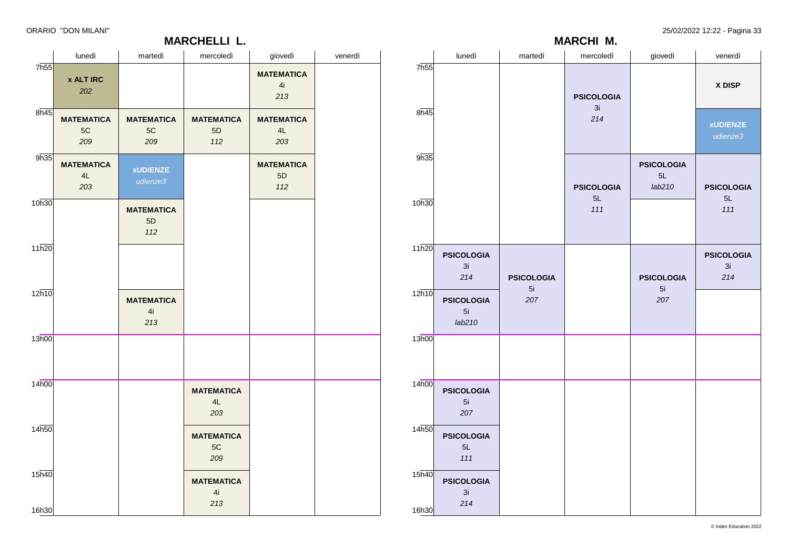### **MARCHELLI L.**

|                | lunedì                            | martedì           | mercoledì         | giovedì                           | venerdì                        |  |
|----------------|-----------------------------------|-------------------|-------------------|-----------------------------------|--------------------------------|--|
| 7h55           |                                   |                   | <b>PSICOLOGIA</b> |                                   | X DISP                         |  |
| 8h45           |                                   |                   | 3i<br>214         |                                   | <b>xUDIENZE</b><br>udienze3    |  |
| 9h35           |                                   |                   | <b>PSICOLOGIA</b> | <b>PSICOLOGIA</b><br>5L<br>lab210 | <b>PSICOLOGIA</b>              |  |
| 10h30          |                                   |                   | 5L<br>111         |                                   | 5L<br>111                      |  |
| 11h20          | <b>PSICOLOGIA</b><br>3i<br>214    | <b>PSICOLOGIA</b> |                   | <b>PSICOLOGIA</b>                 | <b>PSICOLOGIA</b><br>3i<br>214 |  |
| 12h10          | <b>PSICOLOGIA</b><br>5i<br>lab210 | 5i<br>207         |                   | 5i<br>207                         |                                |  |
| 13h00          |                                   |                   |                   |                                   |                                |  |
| 14h00          | <b>PSICOLOGIA</b><br>5i<br>207    |                   |                   |                                   |                                |  |
| 14h50          | <b>PSICOLOGIA</b><br>5L<br>111    |                   |                   |                                   |                                |  |
| 15h40<br>16h30 | <b>PSICOLOGIA</b><br>3i<br>214    |                   |                   |                                   |                                |  |

**MARCHI M.**

|                   | lunedì                         | martedì                        | mercoledì                      | giovedì                        | venerdì |
|-------------------|--------------------------------|--------------------------------|--------------------------------|--------------------------------|---------|
| 7 <sub>h55</sub>  | <b>x ALT IRC</b><br>202        |                                |                                | <b>MATEMATICA</b><br>4i<br>213 |         |
| $8\overline{h45}$ | <b>MATEMATICA</b><br>5C<br>209 | <b>MATEMATICA</b><br>5C<br>209 | <b>MATEMATICA</b><br>5D<br>112 | <b>MATEMATICA</b><br>4L<br>203 |         |
| 9h35              | <b>MATEMATICA</b><br>4L<br>203 | <b>xUDIENZE</b><br>udienze3    |                                | <b>MATEMATICA</b><br>5D<br>112 |         |
| 10h30             |                                | <b>MATEMATICA</b><br>5D<br>112 |                                |                                |         |
| 11h20             |                                |                                |                                |                                |         |
| 12h10             |                                | <b>MATEMATICA</b><br>4i<br>213 |                                |                                |         |
| 13h00             |                                |                                |                                |                                |         |
| 14h00             |                                |                                | <b>MATEMATICA</b><br>4L<br>203 |                                |         |
| 14h50             |                                |                                | <b>MATEMATICA</b><br>5C<br>209 |                                |         |
| 15h40<br>16h30    |                                |                                | <b>MATEMATICA</b><br>4i<br>213 |                                |         |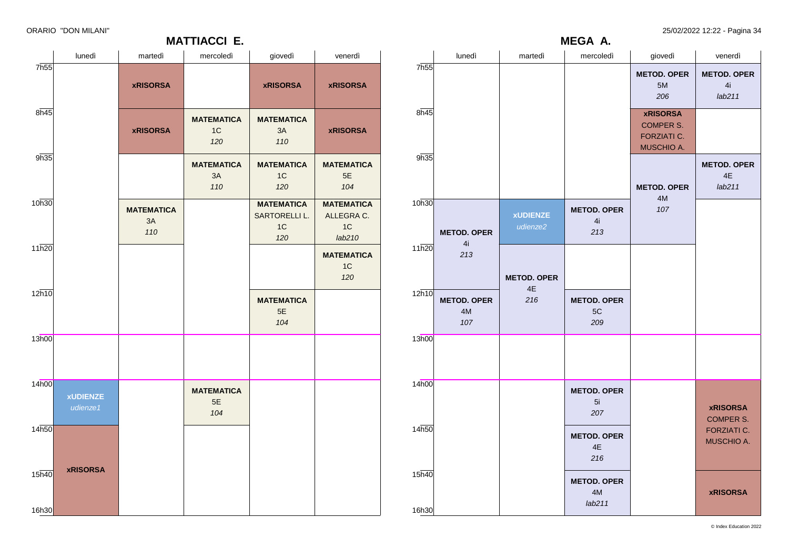25/02/2022 12:22 - Pagina 34

| ORARIO "DON MILANI" |  |  |  |
|---------------------|--|--|--|
|---------------------|--|--|--|

|           |                  |                                 |                             | MEGA A.                            |                                                                         |                                     |
|-----------|------------------|---------------------------------|-----------------------------|------------------------------------|-------------------------------------------------------------------------|-------------------------------------|
|           |                  | lunedì                          | martedì                     | mercoledì                          | giovedì                                                                 | venerdì                             |
|           | 7h <sub>55</sub> |                                 |                             |                                    | <b>METOD. OPER</b><br>5M<br>206                                         | <b>METOD. OPER</b><br>4i<br>lab211  |
|           | 8h45             |                                 |                             |                                    | <b>xRISORSA</b><br><b>COMPER S.</b><br><b>FORZIATI C.</b><br>MUSCHIO A. |                                     |
| Í.        | 9h35             |                                 |                             |                                    | <b>METOD. OPER</b>                                                      | <b>METOD. OPER</b><br>4E<br>lab211  |
| $\lambda$ | 10h30            | <b>METOD. OPER</b>              | <b>xUDIENZE</b><br>udienze2 | <b>METOD. OPER</b><br>4i<br>213    | 4M<br>107                                                               |                                     |
| í.        | 11h20            | 4i<br>213                       | <b>METOD. OPER</b><br>4E    |                                    |                                                                         |                                     |
|           | 12h10            | <b>METOD. OPER</b><br>4M<br>107 | 216                         | <b>METOD. OPER</b><br>5C<br>209    |                                                                         |                                     |
|           | 13h00            |                                 |                             |                                    |                                                                         |                                     |
|           | 14h00            |                                 |                             | <b>METOD. OPER</b><br>5i<br>207    |                                                                         | <b>xRISORSA</b><br><b>COMPER S.</b> |
|           | 14h50            |                                 |                             | <b>METOD. OPER</b><br>4E<br>216    |                                                                         | FORZIATI C.<br>MUSCHIO A.           |
|           | 15h40            |                                 |                             | <b>METOD. OPER</b><br>4M<br>lab211 |                                                                         | <b>xRISORSA</b>                     |
|           | 16h30            |                                 |                             |                                    |                                                                         |                                     |

|                             |                             |                                | <b>MATTIACCI E.</b>            |                                                             |                                                             |  |
|-----------------------------|-----------------------------|--------------------------------|--------------------------------|-------------------------------------------------------------|-------------------------------------------------------------|--|
|                             | lunedì                      | martedì                        | mercoledì                      | giovedì                                                     | venerdì                                                     |  |
| 7h55                        |                             | <b>xRISORSA</b>                |                                | <b>xRISORSA</b>                                             | <b>xRISORSA</b>                                             |  |
| 8h45                        |                             | <b>xRISORSA</b>                | <b>MATEMATICA</b><br>1C<br>120 | <b>MATEMATICA</b><br>3A<br>110                              | <b>xRISORSA</b>                                             |  |
| 9h35                        |                             |                                | <b>MATEMATICA</b><br>3A<br>110 | <b>MATEMATICA</b><br>1C<br>120                              | <b>MATEMATICA</b><br>5E<br>104                              |  |
| 10h30                       |                             | <b>MATEMATICA</b><br>3A<br>110 |                                | <b>MATEMATICA</b><br>SARTORELLI L.<br>1 <sup>C</sup><br>120 | <b>MATEMATICA</b><br>ALLEGRA C.<br>1 <sup>C</sup><br>lab210 |  |
| 11h20                       |                             |                                |                                |                                                             | <b>MATEMATICA</b><br>1 <sup>C</sup><br>120                  |  |
| 12h10                       |                             |                                |                                | <b>MATEMATICA</b><br>5E<br>104                              |                                                             |  |
| 13h00                       |                             |                                |                                |                                                             |                                                             |  |
| 14h00                       | <b>xUDIENZE</b><br>udienze1 |                                | <b>MATEMATICA</b><br>5E<br>104 |                                                             |                                                             |  |
| 14 <sub>h50</sub>           |                             |                                |                                |                                                             |                                                             |  |
| $15\overline{h40}$<br>16h30 | <b>xRISORSA</b>             |                                |                                |                                                             |                                                             |  |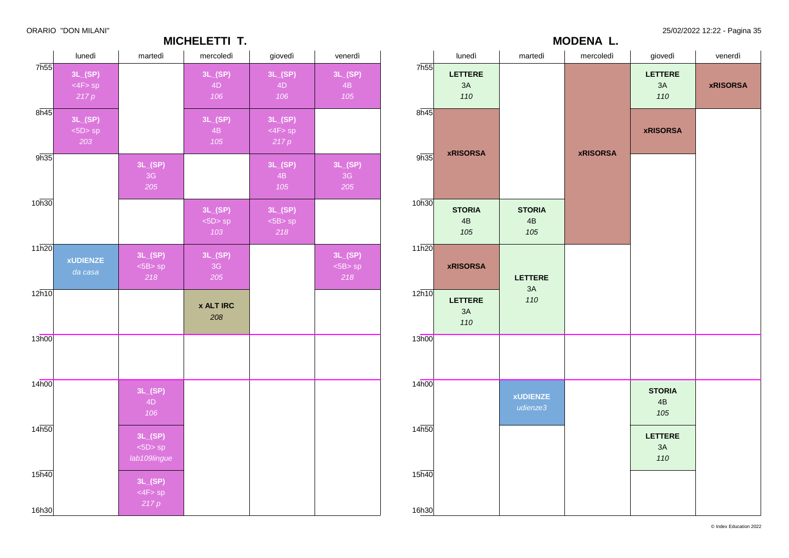ORARIO "DON MILANI" 25/02/2022 12:22 - Pagina 35

|                | lunedì                           | martedì                                 | mercoledì                       | giovedì                         | venerdì                        |
|----------------|----------------------------------|-----------------------------------------|---------------------------------|---------------------------------|--------------------------------|
| 7h55           | 3L_(SP)<br>$<$ 4F $>$ sp<br>217p |                                         | 3L(SP)<br>4D<br>106             | 3L_(SP)<br>4D<br>106            | 3L(SP)<br>4B<br>105            |
| 8h45           | 3L(SP)<br><5D>sp<br>203          |                                         | 3L(SP)<br>4 <sub>B</sub><br>105 | 3L(SP)<br>$<$ 4F $>$ sp<br>217p |                                |
| 9h35           |                                  | 3L(SP)<br>3G<br>205                     |                                 | 3L(SP)<br>4B<br>105             | 3L(SP)<br>3G<br>205            |
| 10h30          |                                  |                                         | 3L(SP)<br>$<$ 5D $>$ sp<br>103  | 3L(SP)<br>$<$ 5B $>$ sp<br>218  |                                |
| 11h20          | <b>xUDIENZE</b><br>da casa       | 3L(SP)<br>$<$ 5B $>$ sp<br>218          | 3L(SP)<br>$3\mathsf{G}$<br>205  |                                 | 3L(SP)<br>$<$ 5B $>$ sp<br>218 |
| 12h10          |                                  |                                         | <b>x ALT IRC</b><br>208         |                                 |                                |
| 13h00          |                                  |                                         |                                 |                                 |                                |
| 14h00          |                                  | 3L(SP)<br>4D<br>106                     |                                 |                                 |                                |
| 14h50          |                                  | 3L(SP)<br>$<$ 5D $>$ sp<br>lab109lingue |                                 |                                 |                                |
| 15h40<br>16h30 |                                  | 3L(SP)<br>$<$ 4F $>$ sp<br>217p         |                                 |                                 |                                |

**MICHELETTI T.**

|                |                                        |                             | MODENA L.       |                             |                 |
|----------------|----------------------------------------|-----------------------------|-----------------|-----------------------------|-----------------|
|                | lunedì                                 | martedì                     | mercoledì       | giovedì                     | venerdì         |
| 7h55           | <b>LETTERE</b><br>$3\mathsf{A}$<br>110 |                             |                 | <b>LETTERE</b><br>3A<br>110 | <b>xRISORSA</b> |
| 8h45<br>9h35   | <b>xRISORSA</b>                        |                             | <b>xRISORSA</b> | <b>xRISORSA</b>             |                 |
| 10h30          | <b>STORIA</b><br>4B<br>105             | <b>STORIA</b><br>4B<br>105  |                 |                             |                 |
| 11h20          | <b>xRISORSA</b>                        | <b>LETTERE</b>              |                 |                             |                 |
| 12h10          | <b>LETTERE</b><br>3A<br>110            | 3A<br>110                   |                 |                             |                 |
| 13h00          |                                        |                             |                 |                             |                 |
| 14h00          |                                        | <b>xUDIENZE</b><br>udienze3 |                 | <b>STORIA</b><br>4B<br>105  |                 |
| 14h50          |                                        |                             |                 | <b>LETTERE</b><br>3A<br>110 |                 |
| 15h40<br>16h30 |                                        |                             |                 |                             |                 |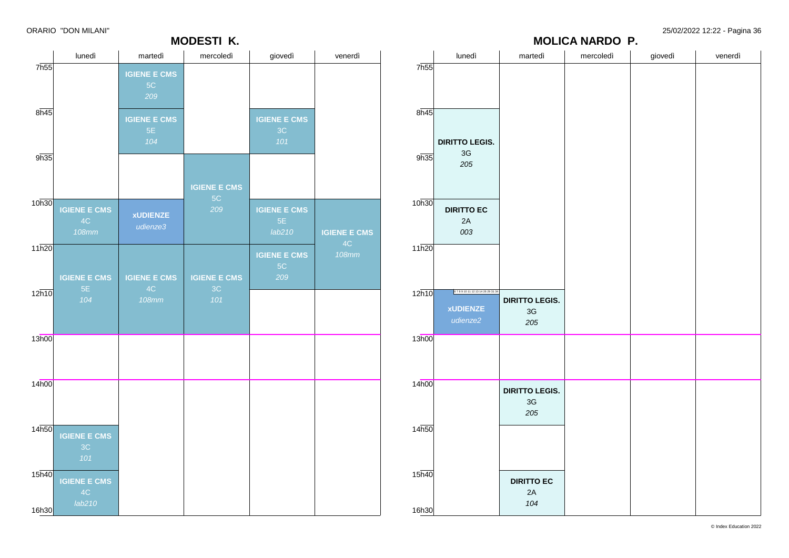ORARIO "DON MILANI" 25/02/2022 12:22 - Pagina 36

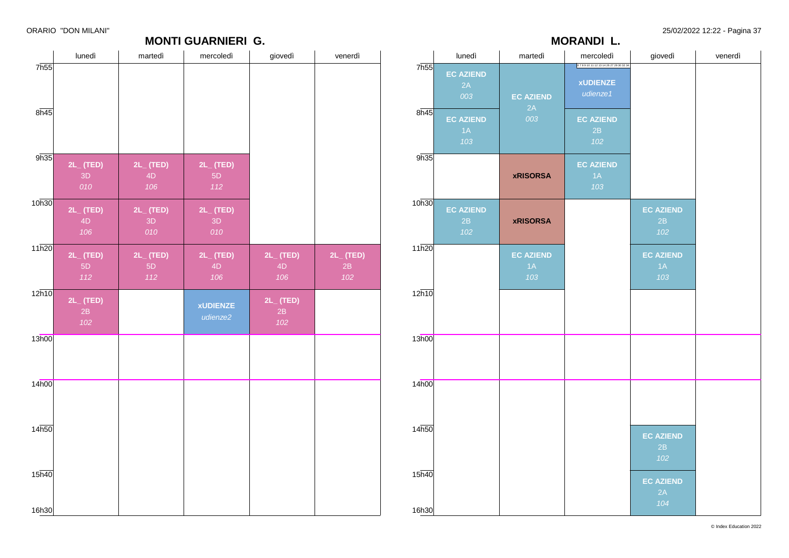# **MONTI GUARNIERI G.**

|                |                               |                               | <b>MORANDI L.</b>                                         |                               |         |
|----------------|-------------------------------|-------------------------------|-----------------------------------------------------------|-------------------------------|---------|
|                | lunedì                        | martedì                       | mercoledì                                                 | giovedì                       | venerdì |
| 7h55<br>8h45   | <b>EC AZIEND</b><br>2A<br>003 | <b>EC AZIEND</b><br>2A        | 67891011121314262729303234<br><b>xUDIENZE</b><br>udienze1 |                               |         |
|                | <b>EC AZIEND</b><br>1A<br>103 | 003                           | <b>EC AZIEND</b><br>2B<br>102                             |                               |         |
| 9h35           |                               | <b>xRISORSA</b>               | <b>EC AZIEND</b><br>$1\overline{A}$<br>103                |                               |         |
| 10h30          | <b>EC AZIEND</b><br>2B<br>102 | <b>xRISORSA</b>               |                                                           | <b>EC AZIEND</b><br>2B<br>102 |         |
| 11h20          |                               | <b>EC AZIEND</b><br>1A<br>103 |                                                           | <b>EC AZIEND</b><br>1A<br>103 |         |
| 12h10          |                               |                               |                                                           |                               |         |
| 13h00          |                               |                               |                                                           |                               |         |
| 14h00          |                               |                               |                                                           |                               |         |
| 14h50          |                               |                               |                                                           | <b>EC AZIEND</b><br>2B<br>102 |         |
| 15h40<br>16h30 |                               |                               |                                                           | <b>EC AZIEND</b><br>2A<br>104 |         |

| lunedì    | martedì                                                                                                                                      | mercoledì                                   | giovedì                                                                  | venerdì                                                                                 |
|-----------|----------------------------------------------------------------------------------------------------------------------------------------------|---------------------------------------------|--------------------------------------------------------------------------|-----------------------------------------------------------------------------------------|
|           |                                                                                                                                              |                                             |                                                                          |                                                                                         |
|           |                                                                                                                                              |                                             |                                                                          |                                                                                         |
|           |                                                                                                                                              |                                             |                                                                          |                                                                                         |
| 8h45      |                                                                                                                                              |                                             |                                                                          |                                                                                         |
|           |                                                                                                                                              |                                             |                                                                          |                                                                                         |
|           |                                                                                                                                              |                                             |                                                                          |                                                                                         |
|           |                                                                                                                                              |                                             |                                                                          |                                                                                         |
| 2L_ (TED) | 2L_ (TED)                                                                                                                                    | 2L_ (TED)                                   |                                                                          |                                                                                         |
|           | 4D                                                                                                                                           |                                             |                                                                          |                                                                                         |
|           |                                                                                                                                              |                                             |                                                                          |                                                                                         |
|           |                                                                                                                                              |                                             |                                                                          |                                                                                         |
| 4D        | 3D                                                                                                                                           | 3D                                          |                                                                          |                                                                                         |
| 106       | 010                                                                                                                                          | 010                                         |                                                                          |                                                                                         |
| 11h20     |                                                                                                                                              |                                             |                                                                          |                                                                                         |
|           |                                                                                                                                              |                                             |                                                                          | 2L_ (TED)<br>2B                                                                         |
|           |                                                                                                                                              |                                             |                                                                          | 102                                                                                     |
|           |                                                                                                                                              |                                             |                                                                          |                                                                                         |
|           |                                                                                                                                              |                                             |                                                                          |                                                                                         |
|           |                                                                                                                                              | udienze2                                    |                                                                          |                                                                                         |
|           |                                                                                                                                              |                                             |                                                                          |                                                                                         |
|           |                                                                                                                                              |                                             |                                                                          |                                                                                         |
|           |                                                                                                                                              |                                             |                                                                          |                                                                                         |
|           |                                                                                                                                              |                                             |                                                                          |                                                                                         |
| 14h00     |                                                                                                                                              |                                             |                                                                          |                                                                                         |
|           |                                                                                                                                              |                                             |                                                                          |                                                                                         |
|           |                                                                                                                                              |                                             |                                                                          |                                                                                         |
|           |                                                                                                                                              |                                             |                                                                          |                                                                                         |
|           |                                                                                                                                              |                                             |                                                                          |                                                                                         |
|           |                                                                                                                                              |                                             |                                                                          |                                                                                         |
|           |                                                                                                                                              |                                             |                                                                          |                                                                                         |
|           |                                                                                                                                              |                                             |                                                                          |                                                                                         |
|           |                                                                                                                                              |                                             |                                                                          |                                                                                         |
| 16h30     |                                                                                                                                              |                                             |                                                                          |                                                                                         |
|           | 7h55<br>9h35<br>3D<br>010<br>10h30<br>2L_ (TED)<br>2L_ (TED)<br>5D<br>112<br>12h10<br>$2L_{-}$ (TED)<br>2B<br>102<br>13h00<br>14h50<br>15h40 | 106<br>$2L$ (TED)<br>2L_ (TED)<br>5D<br>112 | 5D<br>112<br>$2L_{-}$ (TED)<br>2L_ (TED)<br>4D<br>106<br><b>xUDIENZE</b> | <b>MUNII GUARNIERI G.</b><br>$2L_{-}$ (TED)<br>4D<br>106<br>$2L_{-}$ (TED)<br>2B<br>102 |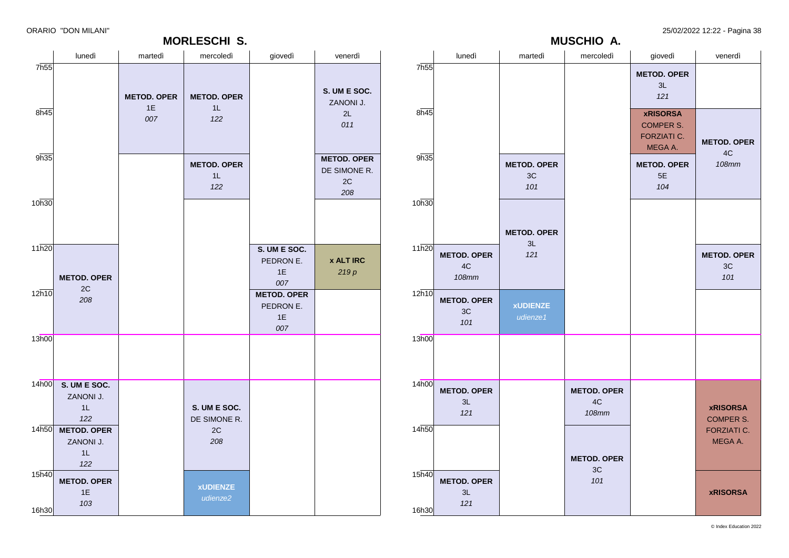### **MORLESCHI S.**

ORARIO "DON MILANI" 25/02/2022 12:22 - Pagina 38

**MUSCHIO A.**

|                             | lunedì                                      | martedì                  | mercoledì                       | giovedì                                      | venerdì                                                    |                            | lunedì                                       | martedì                           | mercoledì                                           | giovedì                                                              | venerdì                             |
|-----------------------------|---------------------------------------------|--------------------------|---------------------------------|----------------------------------------------|------------------------------------------------------------|----------------------------|----------------------------------------------|-----------------------------------|-----------------------------------------------------|----------------------------------------------------------------------|-------------------------------------|
| 7h55                        |                                             | <b>METOD. OPER</b><br>1E | <b>METOD. OPER</b><br>$1L$      |                                              | S. UM E SOC.<br>ZANONI J.                                  | 7h55                       |                                              |                                   |                                                     | <b>METOD. OPER</b><br>3L<br>121                                      |                                     |
| 8h45                        |                                             | 007                      | 122                             |                                              | 2L<br>011                                                  | 8h45                       |                                              |                                   |                                                     | <b>xRISORSA</b><br><b>COMPER S.</b><br><b>FORZIATI C.</b><br>MEGA A. | <b>METOD. OPER</b><br>4C            |
| 9h35                        |                                             |                          | <b>METOD. OPER</b><br>1L<br>122 |                                              | <b>METOD. OPER</b><br>DE SIMONE R.<br>$2\mathtt{C}$<br>208 | 9h35                       |                                              | <b>METOD. OPER</b><br>$3C$<br>101 |                                                     | <b>METOD. OPER</b><br>5E<br>104                                      | <b>108mm</b>                        |
| 10h30                       |                                             |                          |                                 |                                              |                                                            | 10h30                      |                                              | <b>METOD. OPER</b>                |                                                     |                                                                      |                                     |
| 11h20                       | <b>METOD. OPER</b>                          |                          |                                 | S. UM E SOC.<br>PEDRON E.<br>1E<br>007       | <b>x ALT IRC</b><br>219p                                   | 11h20                      | <b>METOD. OPER</b><br>$4\mathrm{C}$<br>108mm | 3L<br>121                         |                                                     |                                                                      | <b>METOD. OPER</b><br>3C<br>101     |
| $12\overline{h10}$          | $2\mathtt{C}$<br>208                        |                          |                                 | <b>METOD. OPER</b><br>PEDRON E.<br>1E<br>007 |                                                            | $12\overline{h10}$         | <b>METOD. OPER</b><br>3C<br>101              | <b>xUDIENZE</b><br>udienze1       |                                                     |                                                                      |                                     |
| 13h00                       |                                             |                          |                                 |                                              |                                                            | 13h00                      |                                              |                                   |                                                     |                                                                      |                                     |
| 14h00                       | S. UM E SOC.<br>ZANONI J.<br>1L<br>122      |                          | S. UM E SOC.<br>DE SIMONE R.    |                                              |                                                            | 14h00                      | <b>METOD. OPER</b><br>3L<br>121              |                                   | <b>METOD. OPER</b><br>$4\mathrm{C}$<br><b>108mm</b> |                                                                      | <b>xRISORSA</b><br><b>COMPER S.</b> |
|                             | 14h50 METOD. OPER<br>ZANONI J.<br>1L<br>122 |                          | 2C<br>208                       |                                              |                                                            | 14h50                      |                                              |                                   | <b>METOD. OPER</b>                                  |                                                                      | <b>FORZIATI C.</b><br>MEGA A.       |
| $15\overline{h40}$<br>16h30 | <b>METOD. OPER</b><br>1E<br>103             |                          | <b>xUDIENZE</b><br>udienze2     |                                              |                                                            | 15 <sub>h40</sub><br>16h30 | <b>METOD. OPER</b><br>3L<br>121              |                                   | 3C<br>101                                           |                                                                      | <b>xRISORSA</b>                     |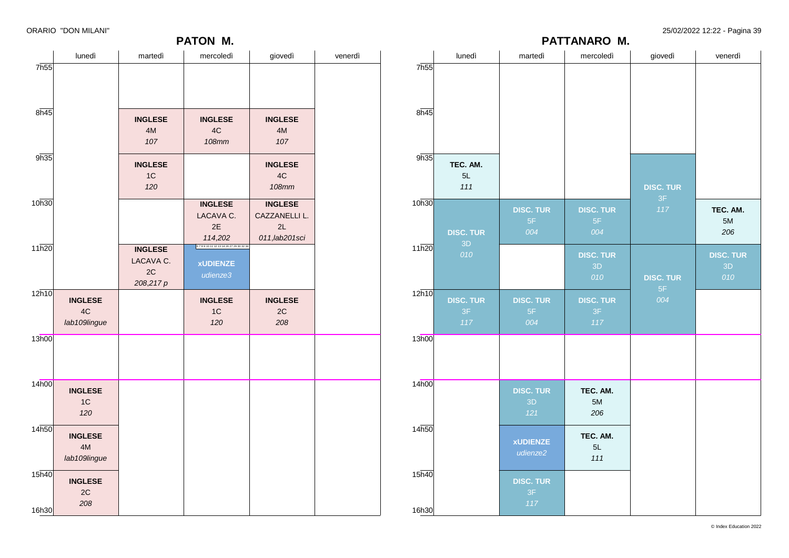### **PATON M.**

|       | lunedì                               | martedì                                        | mercoledì                                                 | giovedì                                                 | venerdì |
|-------|--------------------------------------|------------------------------------------------|-----------------------------------------------------------|---------------------------------------------------------|---------|
| 7h55  |                                      |                                                |                                                           |                                                         |         |
| 8h45  |                                      | <b>INGLESE</b><br>4M<br>107                    | <b>INGLESE</b><br>4C<br><b>108mm</b>                      | <b>INGLESE</b><br>4M<br>107                             |         |
| 9h35  |                                      | <b>INGLESE</b><br>1C<br>120                    |                                                           | <b>INGLESE</b><br>4C<br><b>108mm</b>                    |         |
| 10h30 |                                      |                                                | <b>INGLESE</b><br>LACAVA C.<br>2E<br>114,202              | <b>INGLESE</b><br>CAZZANELLI L.<br>2L<br>011, lab201sci |         |
| 11h20 |                                      | <b>INGLESE</b><br>LACAVA C.<br>2C<br>208,217 p | 67891011121314262729303234<br><b>xUDIENZE</b><br>udienze3 |                                                         |         |
| 12h10 | <b>INGLESE</b><br>4C<br>lab109lingue |                                                | <b>INGLESE</b><br>1C<br>120                               | <b>INGLESE</b><br>2C<br>208                             |         |
| 13h00 |                                      |                                                |                                                           |                                                         |         |
| 14h00 | <b>INGLESE</b><br>1C<br>120          |                                                |                                                           |                                                         |         |
| 14h50 | <b>INGLESE</b><br>4M<br>lab109lingue |                                                |                                                           |                                                         |         |
| 15h40 | <b>INGLESE</b><br>2C<br>208          |                                                |                                                           |                                                         |         |
| 16h30 |                                      |                                                |                                                           |                                                         |         |

|       | lunedì                 | martedì          | mercoledì        | giovedì                | venerdì          |  |
|-------|------------------------|------------------|------------------|------------------------|------------------|--|
| 7h55  |                        |                  |                  |                        |                  |  |
|       |                        |                  |                  |                        |                  |  |
|       |                        |                  |                  |                        |                  |  |
| 8h45  |                        |                  |                  |                        |                  |  |
|       |                        |                  |                  |                        |                  |  |
| 9h35  |                        |                  |                  |                        |                  |  |
|       | TEC. AM.<br>5L         |                  |                  |                        |                  |  |
|       | 111                    |                  |                  | <b>DISC. TUR</b>       |                  |  |
| 10h30 |                        | <b>DISC. TUR</b> | <b>DISC. TUR</b> | 3F<br>117              | TEC. AM.         |  |
|       |                        | 5F               | 5F               |                        | 5M               |  |
|       | <b>DISC. TUR</b><br>3D | 004              | 004              |                        | 206              |  |
| 11h20 | 010                    |                  | <b>DISC. TUR</b> |                        | <b>DISC. TUR</b> |  |
|       |                        |                  | 3D<br>010        |                        | 3D               |  |
| 12h10 |                        |                  |                  | <b>DISC. TUR</b><br>5F | 010              |  |
|       | <b>DISC. TUR</b>       | <b>DISC. TUR</b> | <b>DISC. TUR</b> | 004                    |                  |  |
|       | $3\mathsf{F}$<br>117   | 5F<br>004        | 3F<br>117        |                        |                  |  |
| 13h00 |                        |                  |                  |                        |                  |  |
|       |                        |                  |                  |                        |                  |  |
|       |                        |                  |                  |                        |                  |  |
| 14h00 |                        | <b>DISC. TUR</b> | TEC. AM.         |                        |                  |  |
|       |                        | 3D               | 5M               |                        |                  |  |
|       |                        | 121              | 206              |                        |                  |  |
| 14h50 |                        | <b>xUDIENZE</b>  | TEC. AM.         |                        |                  |  |
|       |                        | udienze2         | 5L<br>111        |                        |                  |  |
| 15h40 |                        |                  |                  |                        |                  |  |
|       |                        | <b>DISC. TUR</b> |                  |                        |                  |  |
|       |                        | 3F<br>117        |                  |                        |                  |  |
| 16h30 |                        |                  |                  |                        |                  |  |

**PATTANARO M.**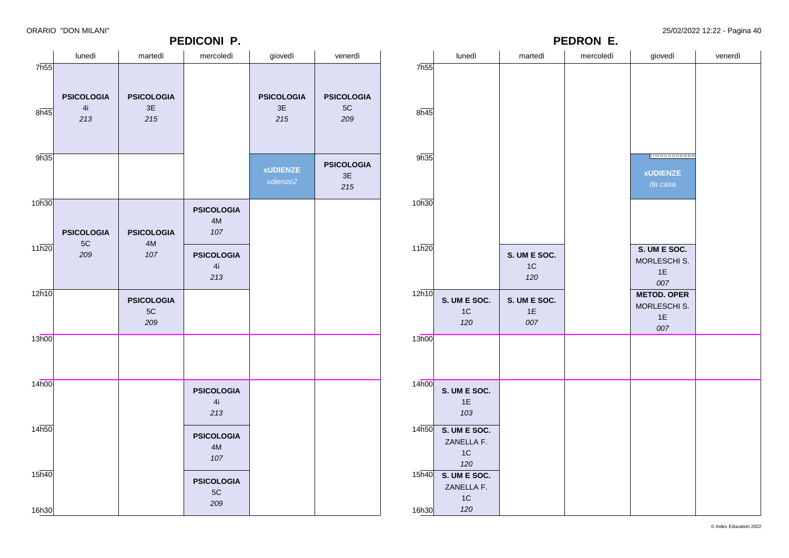|                    |                                    |                                           | PEDICONI P.                               |                                |                                | PEDRON E.                  |                                                 |                             |           |                                                      |         |
|--------------------|------------------------------------|-------------------------------------------|-------------------------------------------|--------------------------------|--------------------------------|----------------------------|-------------------------------------------------|-----------------------------|-----------|------------------------------------------------------|---------|
|                    | lunedì                             | martedì                                   | mercoledì                                 | giovedì                        | venerdì                        |                            | lunedì                                          | martedì                     | mercoledì | giovedì                                              | venerdì |
| 7h55               |                                    |                                           |                                           |                                |                                | 7 <sub>h55</sub>           |                                                 |                             |           |                                                      |         |
| 8h45               | <b>PSICOLOGIA</b><br>4i<br>213     | <b>PSICOLOGIA</b><br>3E<br>$215$          |                                           | <b>PSICOLOGIA</b><br>3E<br>215 | <b>PSICOLOGIA</b><br>5C<br>209 | 8h45                       |                                                 |                             |           |                                                      |         |
| 9h35               |                                    |                                           |                                           | <b>xUDIENZE</b><br>udienze2    | <b>PSICOLOGIA</b><br>3E<br>215 | 9h35                       |                                                 |                             |           | 6789101112131426283033<br><b>xUDIENZE</b><br>da casa |         |
| 10h30              | <b>PSICOLOGIA</b><br>$5\mathrm{C}$ | <b>PSICOLOGIA</b><br>$4\mathsf{M}$        | <b>PSICOLOGIA</b><br>$4\mathsf{M}$<br>107 |                                |                                | 10h30                      |                                                 |                             |           |                                                      |         |
| $11\overline{h20}$ | 209                                | 107                                       | <b>PSICOLOGIA</b><br>4i<br>213            |                                |                                | 11h20                      |                                                 | S. UM E SOC.<br>$1C$<br>120 |           | S. UM E SOC.<br>MORLESCHI S.<br>1E<br>007            |         |
| $12\overline{h10}$ |                                    | <b>PSICOLOGIA</b><br>$5\mathrm{C}$<br>209 |                                           |                                |                                | 12h10                      | S. UM E SOC.<br>1C<br>120                       | S. UM E SOC.<br>1E<br>007   |           | <b>METOD. OPER</b><br>MORLESCHI S.<br>1E<br>007      |         |
| 13h00              |                                    |                                           |                                           |                                |                                | 13h00                      |                                                 |                             |           |                                                      |         |
| 14h00              |                                    |                                           | <b>PSICOLOGIA</b><br>4i<br>213            |                                |                                | 14 <sub>h00</sub>          | S. UM E SOC.<br>1E<br>103                       |                             |           |                                                      |         |
| 14 <sub>h50</sub>  |                                    |                                           | <b>PSICOLOGIA</b><br>4M<br>107            |                                |                                |                            | $14h50$ S. UM E SOC.<br>ZANELLA F.<br>1C<br>120 |                             |           |                                                      |         |
| 15h40<br>16h30     |                                    |                                           | <b>PSICOLOGIA</b><br>$5\mathrm{C}$<br>209 |                                |                                | 15 <sub>h40</sub><br>16h30 | S. UM E SOC.<br>ZANELLA F.<br>$1C$<br>120       |                             |           |                                                      |         |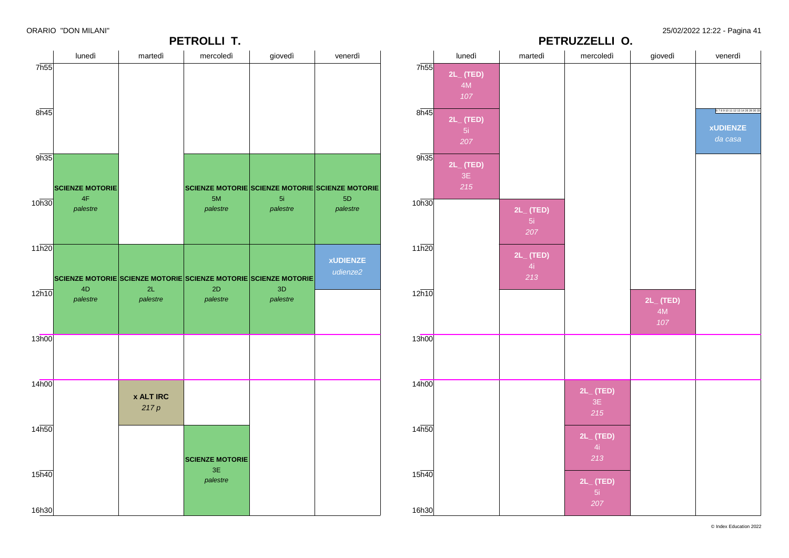|                   |                        |                  | <b>PETROLLI T.</b>                                                    |          |                                                 |                   | PETRUZZELLI O.       |                |                      |                |                        |
|-------------------|------------------------|------------------|-----------------------------------------------------------------------|----------|-------------------------------------------------|-------------------|----------------------|----------------|----------------------|----------------|------------------------|
|                   | lunedì                 | martedì          | mercoledì                                                             | giovedì  | venerdì                                         |                   | lunedì               | martedì        | mercoledì            | giovedì        | venerdì                |
| 7h55              |                        |                  |                                                                       |          |                                                 | 7 <sub>h55</sub>  | $2L_{-}$ (TED)       |                |                      |                |                        |
|                   |                        |                  |                                                                       |          |                                                 |                   | 4M                   |                |                      |                |                        |
|                   |                        |                  |                                                                       |          |                                                 |                   | 107                  |                |                      |                |                        |
| $8\overline{h45}$ |                        |                  |                                                                       |          |                                                 | 8h45              |                      |                |                      |                | 6789101112131426283033 |
|                   |                        |                  |                                                                       |          |                                                 |                   | $2L_{-}$ (TED)<br>5i |                |                      |                | <b>xUDIENZE</b>        |
|                   |                        |                  |                                                                       |          |                                                 |                   | 207                  |                |                      |                | da casa                |
| 9h35              |                        |                  |                                                                       |          |                                                 | 9h35              |                      |                |                      |                |                        |
|                   |                        |                  |                                                                       |          |                                                 |                   | $2L_{-}$ (TED)<br>3E |                |                      |                |                        |
|                   | <b>SCIENZE MOTORIE</b> |                  |                                                                       |          | SCIENZE MOTORIE SCIENZE MOTORIE SCIENZE MOTORIE |                   | 215                  |                |                      |                |                        |
| 10h30             | 4F                     |                  | $5M$                                                                  | 5i       | 5D                                              | 10h30             |                      |                |                      |                |                        |
|                   | palestre               |                  | palestre                                                              | palestre | palestre                                        |                   |                      | $2L_{-}$ (TED) |                      |                |                        |
|                   |                        |                  |                                                                       |          |                                                 |                   |                      | 5i<br>207      |                      |                |                        |
|                   |                        |                  |                                                                       |          |                                                 |                   |                      |                |                      |                |                        |
| 11h20             |                        |                  |                                                                       |          | <b>xUDIENZE</b>                                 | 11h20             |                      | $2L_{-}$ (TED) |                      |                |                        |
|                   |                        |                  |                                                                       |          | udienze2                                        |                   |                      | $-4i$          |                      |                |                        |
|                   | 4D                     | 2L               | SCIENZE MOTORIE SCIENZE MOTORIE SCIENZE MOTORIE SCIENZE MOTORIE<br>2D | 3D       |                                                 |                   |                      | 213            |                      |                |                        |
| 12h10             | palestre               | palestre         | palestre                                                              | palestre |                                                 | 12h10             |                      |                |                      | $2L_{-}$ (TED) |                        |
|                   |                        |                  |                                                                       |          |                                                 |                   |                      |                |                      | 4M             |                        |
|                   |                        |                  |                                                                       |          |                                                 |                   |                      |                |                      | 107            |                        |
| 13h00             |                        |                  |                                                                       |          |                                                 | 13h00             |                      |                |                      |                |                        |
|                   |                        |                  |                                                                       |          |                                                 |                   |                      |                |                      |                |                        |
|                   |                        |                  |                                                                       |          |                                                 |                   |                      |                |                      |                |                        |
| 14h00             |                        |                  |                                                                       |          |                                                 | 14 <sub>h00</sub> |                      |                |                      |                |                        |
|                   |                        | <b>x ALT IRC</b> |                                                                       |          |                                                 |                   |                      |                | $2L_{-}$ (TED)<br>3E |                |                        |
|                   |                        | 217p             |                                                                       |          |                                                 |                   |                      |                | 215                  |                |                        |
| 14h50             |                        |                  |                                                                       |          |                                                 | 14h50             |                      |                |                      |                |                        |
|                   |                        |                  |                                                                       |          |                                                 |                   |                      |                | $2L_{-}$ (TED)       |                |                        |
|                   |                        |                  |                                                                       |          |                                                 |                   |                      |                | $-4i$                |                |                        |
|                   |                        |                  | <b>SCIENZE MOTORIE</b><br>3E                                          |          |                                                 |                   |                      |                | 213                  |                |                        |
| 15 <sub>h40</sub> |                        |                  | palestre                                                              |          |                                                 | 15h40             |                      |                | $2L_{-}$ (TED)       |                |                        |
|                   |                        |                  |                                                                       |          |                                                 |                   |                      |                | $-5i$                |                |                        |
| 16h30             |                        |                  |                                                                       |          |                                                 | 16h30             |                      |                | 207                  |                |                        |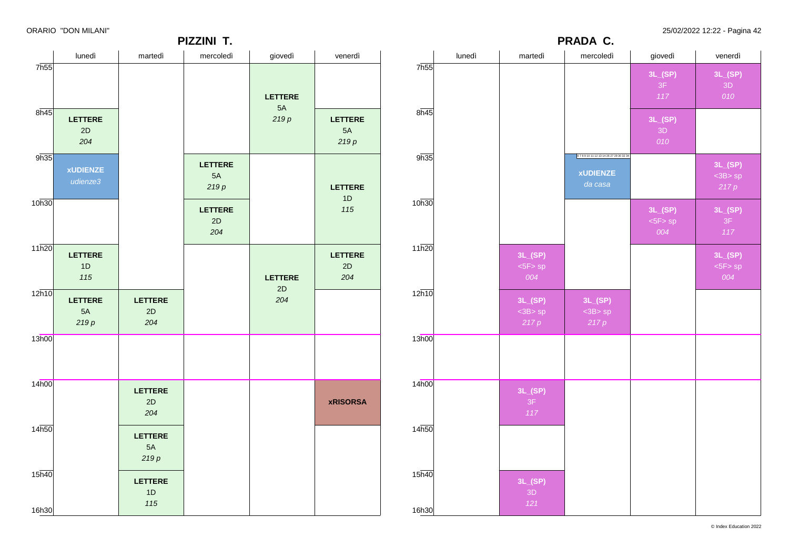**PIZZINI T.**

**PRADA C.**

|                             | lunedì                      | martedì                      | mercoledì                    | giovedì        | venerdì                      |                             | lunedì | martedì                         | mercoledì                                                | giovedì                   | venerdì                   |
|-----------------------------|-----------------------------|------------------------------|------------------------------|----------------|------------------------------|-----------------------------|--------|---------------------------------|----------------------------------------------------------|---------------------------|---------------------------|
| 7h55                        |                             |                              |                              | <b>LETTERE</b> |                              | 7h55                        |        |                                 |                                                          | 3L(SP)<br>3F<br>117       | 3L(SP)<br>3D<br>010       |
| $8\overline{h45}$           | <b>LETTERE</b><br>2D<br>204 |                              |                              | 5A<br>219p     | <b>LETTERE</b><br>5A<br>219p | $8\overline{h45}$           |        |                                 |                                                          | 3L(SP)<br>3D<br>010       |                           |
| 9h35                        | <b>xUDIENZE</b><br>udienze3 |                              | <b>LETTERE</b><br>5A<br>219p |                | <b>LETTERE</b>               | 9h35                        |        |                                 | 67891011121314262729303234<br><b>xUDIENZE</b><br>da casa |                           | 3L(SP)<br>$3B>sp$<br>217p |
| 10h30                       |                             |                              | <b>LETTERE</b><br>2D<br>204  |                | 1D<br>115                    | 10h30                       |        |                                 |                                                          | 3L(SP)<br>$5F>$ sp<br>004 | 3L(SP)<br>3F<br>$117$     |
| 11h20                       | LETTERE<br>1D<br>115        |                              |                              | <b>LETTERE</b> | <b>LETTERE</b><br>2D<br>204  | 11h20                       |        | 3L(SP)<br>$5F>$ sp<br>004       |                                                          |                           | 3L(SP)<br>$5F>$ sp<br>004 |
| 12h10                       | LETTERE<br>5A<br>219p       | LETTERE<br>2D<br>204         |                              | 2D<br>204      |                              | 12h10                       |        | 3L(SP)<br>$<$ 3B $>$ sp<br>217p | 3L(SP)<br>$<$ 3B $>$ sp<br>217p                          |                           |                           |
| 13h00                       |                             |                              |                              |                |                              | 13h00                       |        |                                 |                                                          |                           |                           |
| 14 <sub>h00</sub>           |                             | <b>LETTERE</b><br>2D<br>204  |                              |                | <b>xRISORSA</b>              | 14 <sub>h00</sub>           |        | 3L(SP)<br>3F<br>117             |                                                          |                           |                           |
| 14h50                       |                             | <b>LETTERE</b><br>5A<br>219p |                              |                |                              | 14h50                       |        |                                 |                                                          |                           |                           |
| $15\overline{h40}$<br>16h30 |                             | <b>LETTERE</b><br>1D<br>115  |                              |                |                              | $15\overline{h40}$<br>16h30 |        | 3L(SP)<br>3D<br>121             |                                                          |                           |                           |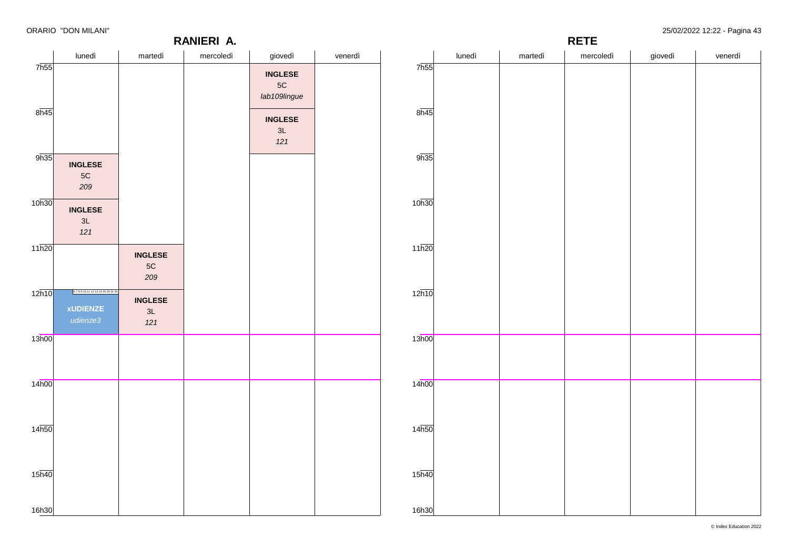7h55

 $8h45$ 

 $9h35$ 

10h30

11h20

 $12h10$ 

13h00

14h00

14h50

15h40

16h30

### **RANIERI A.**

**RETE**

| lunedì                                                | martedì                                | mercoledì | giovedì                         | venerdì |                    | lunedì | martedì | mercoledì | giovedì | venerdì |
|-------------------------------------------------------|----------------------------------------|-----------|---------------------------------|---------|--------------------|--------|---------|-----------|---------|---------|
|                                                       |                                        |           | <b>INGLESE</b><br>$5C$          |         | 7 <sub>h55</sub>   |        |         |           |         |         |
|                                                       |                                        |           | lab109lingue                    |         | 8h45               |        |         |           |         |         |
|                                                       |                                        |           | <b>INGLESE</b><br>$3L$<br>$121$ |         |                    |        |         |           |         |         |
| <b>INGLESE</b><br>$5\mathrm{C}$<br>209                |                                        |           |                                 |         | 9h35               |        |         |           |         |         |
| <b>INGLESE</b><br>3L<br>$121$                         |                                        |           |                                 |         | 10 <sub>h30</sub>  |        |         |           |         |         |
|                                                       | <b>INGLESE</b><br>$5\mathrm{C}$<br>209 |           |                                 |         | 11h20              |        |         |           |         |         |
| 6789101112131426293134<br><b>xUDIENZE</b><br>udienze3 | <b>INGLESE</b><br>3L<br>$121$          |           |                                 |         | $12\overline{h10}$ |        |         |           |         |         |
|                                                       |                                        |           |                                 |         | 13h00              |        |         |           |         |         |
|                                                       |                                        |           |                                 |         | 14 <sub>h00</sub>  |        |         |           |         |         |
|                                                       |                                        |           |                                 |         | 14 <sub>h50</sub>  |        |         |           |         |         |
|                                                       |                                        |           |                                 |         | $15\overline{h40}$ |        |         |           |         |         |
|                                                       |                                        |           |                                 |         | 16h30              |        |         |           |         |         |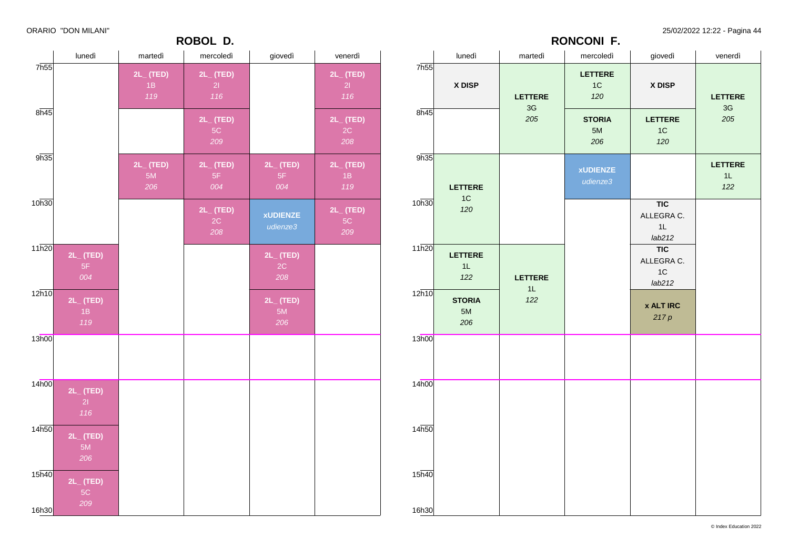### **ROBOL D.**

ORARIO "DON MILANI" 25/02/2022 12:22 - Pagina 44

|                   | lunedì                      | martedì              | mercoledì                   | giovedì                                  | venerdì                     |
|-------------------|-----------------------------|----------------------|-----------------------------|------------------------------------------|-----------------------------|
| 7h55              | X DISP                      | <b>LETTERE</b>       | <b>LETTERE</b><br>1C<br>120 | X DISP                                   | <b>LETTERE</b>              |
| 8h45              |                             | $3\mathsf{G}$<br>205 | <b>STORIA</b><br>5M<br>206  | <b>LETTERE</b><br>1C<br>120              | $3\mathsf{G}$<br>205        |
| 9h35              | <b>LETTERE</b>              |                      | <b>xUDIENZE</b><br>udienze3 |                                          | <b>LETTERE</b><br>1L<br>122 |
| 10h30             | 1C<br>120                   |                      |                             | <b>TIC</b><br>ALLEGRA C.<br>1L<br>lab212 |                             |
| 11h20             | <b>LETTERE</b><br>1L<br>122 | <b>LETTERE</b><br>1L |                             | <b>TIC</b><br>ALLEGRA C.<br>1C<br>lab212 |                             |
| 12h10             | <b>STORIA</b><br>5M<br>206  | 122                  |                             | <b>x ALT IRC</b><br>217p                 |                             |
| 13h00             |                             |                      |                             |                                          |                             |
| 14 <sub>h00</sub> |                             |                      |                             |                                          |                             |
| 14h50             |                             |                      |                             |                                          |                             |
| 15h40             |                             |                      |                             |                                          |                             |
| 16h30             |                             |                      |                             |                                          |                             |

**RONCONI F.**

|                            |                                   |                       | ע שטשטו                       |                             |                                   |
|----------------------------|-----------------------------------|-----------------------|-------------------------------|-----------------------------|-----------------------------------|
|                            | lunedì                            | martedì               | mercoledì                     | giovedì                     | venerdì                           |
| 7h55                       |                                   | 2L_(TED)<br>1B<br>119 | 2L_ (TED)<br>21<br>116        |                             | $2L_{-}$ (TED)<br>21<br>116       |
| 8h45                       |                                   |                       | $2L_{-}$ (TED)<br>$5C$<br>209 |                             | 2L_ (TED)<br>$2\mathrm{C}$<br>208 |
| 9h35                       |                                   | 2L_(TED)<br>5M<br>206 | $2L_{-}$ (TED)<br>5F<br>004   | $2L_{-}$ (TED)<br>5F<br>004 | $2L_{-}$ (TED)<br>1B<br>119       |
| 10h30                      |                                   |                       | $2L_{-}$ (TED)<br>2C<br>208   | <b>xUDIENZE</b><br>udienze3 | 2L_ (TED)<br>$5\mathrm{C}$<br>209 |
| 11h20                      | 2L_ (TED)<br>$5\mathsf{F}$<br>004 |                       |                               | $2L_{-}$ (TED)<br>2C<br>208 |                                   |
| 12h10                      | $2L_{-}$ (TED)<br>1B<br>119       |                       |                               | $2L_{-}$ (TED)<br>5M<br>206 |                                   |
| 13h00                      |                                   |                       |                               |                             |                                   |
| 14h00                      | $2L_{-}$ (TED)<br>21<br>116       |                       |                               |                             |                                   |
| 14 <sub>h50</sub>          | $2L_{-}$ (TED)<br>5M<br>206       |                       |                               |                             |                                   |
| 15 <sub>h40</sub><br>16h30 | 2L_ (TED)<br>$5C$<br>209          |                       |                               |                             |                                   |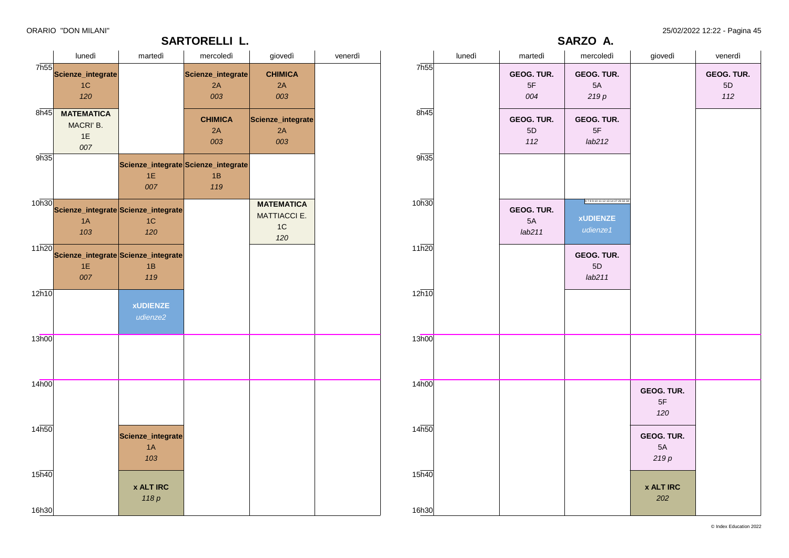### **SARTORELLI L.**

ORARIO "DON MILANI" 25/02/2022 12:22 - Pagina 45

**SARZO A.**

|                    | lunedì                                           | martedì                                          | mercoledì                      | giovedì                                                 | venerdì |                   | lunedì | martedì                    | mercoledì                                             | giovedì                         | venerdì                            |
|--------------------|--------------------------------------------------|--------------------------------------------------|--------------------------------|---------------------------------------------------------|---------|-------------------|--------|----------------------------|-------------------------------------------------------|---------------------------------|------------------------------------|
| 7h55               | Scienze_integrate<br>1C<br>120                   |                                                  | Scienze_integrate<br>2A<br>003 | <b>CHIMICA</b><br>2A<br>003                             |         | 7h55              |        | GEOG. TUR.<br>$5F$<br>004  | GEOG. TUR.<br>5A<br>219p                              |                                 | GEOG. TUR.<br>$5\mathsf{D}$<br>112 |
| 8h45               | <b>MATEMATICA</b><br>MACRI' B.<br>1E<br>007      |                                                  | <b>CHIMICA</b><br>2A<br>003    | Scienze_integrate<br>2A<br>003                          |         | 8h45              |        | GEOG. TUR.<br>5D<br>112    | GEOG. TUR.<br>$5\mathsf{F}$<br>lab212                 |                                 |                                    |
| 9h35               |                                                  | Scienze_integrate Scienze_integrate<br>1E<br>007 | 1B<br>119                      |                                                         |         | 9h35              |        |                            |                                                       |                                 |                                    |
| 10h30              | Scienze_integrate Scienze_integrate<br>1A<br>103 | 1C<br>120                                        |                                | <b>MATEMATICA</b><br><b>MATTIACCI E.</b><br>$1C$<br>120 |         | 10h30             |        | GEOG. TUR.<br>5A<br>lab211 | 6789101112131427293234<br><b>xUDIENZE</b><br>udienze1 |                                 |                                    |
| $11\overline{h20}$ | Scienze_integrate Scienze_integrate<br>1E<br>007 | 1B<br>119                                        |                                |                                                         |         | 11h20             |        |                            | GEOG. TUR.<br>5D<br>lab211                            |                                 |                                    |
| $12\overline{h10}$ |                                                  | <b>xUDIENZE</b><br>udienze2                      |                                |                                                         |         | 12h10             |        |                            |                                                       |                                 |                                    |
| 13h00              |                                                  |                                                  |                                |                                                         |         | 13h00             |        |                            |                                                       |                                 |                                    |
| 14h00              |                                                  |                                                  |                                |                                                         |         | 14 <sub>h00</sub> |        |                            |                                                       | GEOG. TUR.<br>5F<br>120         |                                    |
| 14 <sub>h50</sub>  |                                                  | Scienze_integrate<br>1A<br>103                   |                                |                                                         |         | 14h50             |        |                            |                                                       | <b>GEOG. TUR.</b><br>5A<br>219p |                                    |
| $15\overline{h40}$ |                                                  | <b>x ALT IRC</b><br>118 p                        |                                |                                                         |         | 15h40             |        |                            |                                                       | <b>x ALT IRC</b><br>202         |                                    |
| 16h30              |                                                  |                                                  |                                |                                                         |         | 16h30             |        |                            |                                                       |                                 |                                    |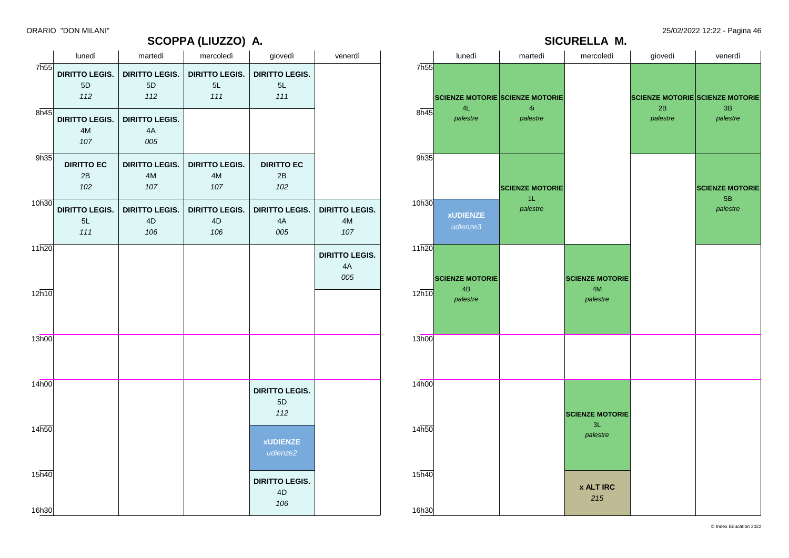## **SCOPPA (LIUZZO) A.**

ORARIO "DON MILANI" 25/02/2022 12:22 - Pagina 46



|       | lunedì                      | martedì                     | mercoledì                   | giovedì                       | venerdì                                |
|-------|-----------------------------|-----------------------------|-----------------------------|-------------------------------|----------------------------------------|
| 7h55  | <b>DIRITTO LEGIS.</b><br>5D | <b>DIRITTO LEGIS.</b><br>5D | <b>DIRITTO LEGIS.</b><br>5L | <b>DIRITTO LEGIS.</b><br>5L   |                                        |
|       | 112                         | 112                         | 111                         | 111                           |                                        |
| 8h45  | <b>DIRITTO LEGIS.</b>       | <b>DIRITTO LEGIS.</b>       |                             |                               |                                        |
|       | 4M<br>107                   | 4A<br>005                   |                             |                               |                                        |
| 9h35  | <b>DIRITTO EC</b>           | <b>DIRITTO LEGIS.</b>       | <b>DIRITTO LEGIS.</b>       | <b>DIRITTO EC</b>             |                                        |
|       | 2B<br>102                   | 4M<br>107                   | 4M<br>107                   | 2B<br>102                     |                                        |
| 10h30 |                             |                             |                             |                               |                                        |
|       | <b>DIRITTO LEGIS.</b><br>5L | <b>DIRITTO LEGIS.</b><br>4D | <b>DIRITTO LEGIS.</b><br>4D | <b>DIRITTO LEGIS.</b><br>$4A$ | <b>DIRITTO LEGIS.</b><br>$4\mathsf{M}$ |
|       | 111                         | 106                         | 106                         | 005                           | 107                                    |
| 11h20 |                             |                             |                             |                               | <b>DIRITTO LEGIS.</b>                  |
|       |                             |                             |                             |                               | 4A                                     |
|       |                             |                             |                             |                               | 005                                    |
| 12h10 |                             |                             |                             |                               |                                        |
|       |                             |                             |                             |                               |                                        |
| 13h00 |                             |                             |                             |                               |                                        |
|       |                             |                             |                             |                               |                                        |
| 14h00 |                             |                             |                             | <b>DIRITTO LEGIS.</b>         |                                        |
|       |                             |                             |                             | 5D                            |                                        |
|       |                             |                             |                             | 112                           |                                        |
| 14h50 |                             |                             |                             | <b>xUDIENZE</b>               |                                        |
|       |                             |                             |                             | udienze2                      |                                        |
| 15h40 |                             |                             |                             | <b>DIRITTO LEGIS.</b>         |                                        |
|       |                             |                             |                             | 4D<br>106                     |                                        |
| 16h30 |                             |                             |                             |                               |                                        |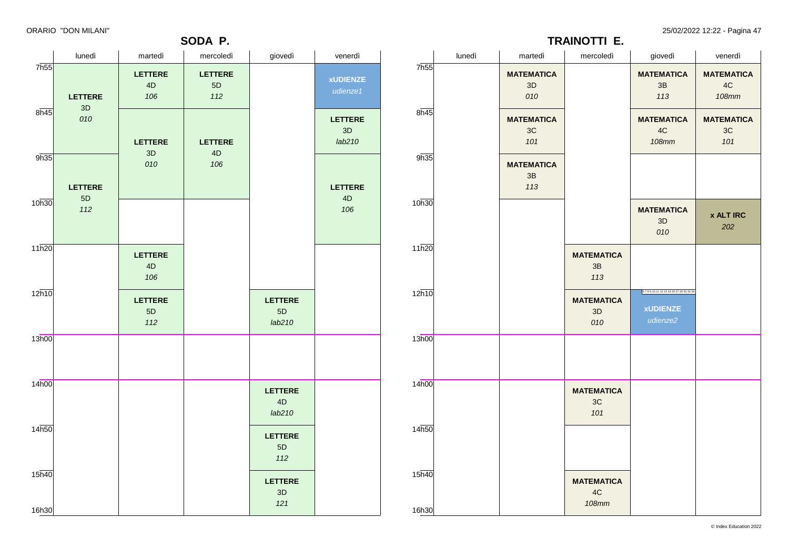### **SODA P.**

ORARIO "DON MILANI" 25/02/2022 12:22 - Pagina 47

**TRAINOTTI E.**

|                    | lunedì                 | martedì                       | mercoledì                     | giovedì                          | venerdì                        | lunedì            | martedì                        | mercoledì                                   | giovedì                                                   | venerdì                                 |
|--------------------|------------------------|-------------------------------|-------------------------------|----------------------------------|--------------------------------|-------------------|--------------------------------|---------------------------------------------|-----------------------------------------------------------|-----------------------------------------|
| 7 <sub>h55</sub>   | <b>LETTERE</b>         | <b>LETTERE</b><br>4D<br>106   | <b>LETTERE</b><br>5D<br>$112$ |                                  | <b>xUDIENZE</b><br>udienze1    | 7h55              | <b>MATEMATICA</b><br>3D<br>010 |                                             | <b>MATEMATICA</b><br>3B<br>113                            | <b>MATEMATICA</b><br>4C<br><b>108mm</b> |
| 8h45               | $3\mathsf{D}$<br>010   | <b>LETTERE</b>                | LETTERE                       |                                  | <b>LETTERE</b><br>3D<br>lab210 | 8h45              | <b>MATEMATICA</b><br>3C<br>101 |                                             | <b>MATEMATICA</b><br>$4\mathrm{C}$<br><b>108mm</b>        | <b>MATEMATICA</b><br>3C<br>101          |
| 9h35               | <b>LETTERE</b>         | 3D<br>010                     | 4D<br>106                     |                                  | <b>LETTERE</b>                 | 9h35              | <b>MATEMATICA</b><br>3B<br>113 |                                             |                                                           |                                         |
| 10h30              | $5\mathsf{D}$<br>$112$ |                               |                               |                                  | $4\mathsf{D}$<br>106           | 10h30             |                                |                                             | <b>MATEMATICA</b><br>3D<br>010                            | <b>x ALT IRC</b><br>202                 |
| 11h20              |                        | <b>LETTERE</b><br>4D<br>106   |                               |                                  |                                | 11h20             |                                | <b>MATEMATICA</b><br>$3\mathsf{B}$<br>113   |                                                           |                                         |
| 12h10              |                        | <b>LETTERE</b><br>5D<br>$112$ |                               | <b>LETTERE</b><br>$5D$<br>lab210 |                                | 12h10             |                                | <b>MATEMATICA</b><br>3D<br>010              | 67891011121314262729303234<br><b>xUDIENZE</b><br>udienze2 |                                         |
| 13h00              |                        |                               |                               |                                  |                                | 13h00             |                                |                                             |                                                           |                                         |
| 14h00              |                        |                               |                               | <b>LETTERE</b><br>4D<br>lab210   |                                | 14 <sub>h00</sub> |                                | <b>MATEMATICA</b><br>3C<br>101              |                                                           |                                         |
| 14 <sub>h50</sub>  |                        |                               |                               | <b>LETTERE</b><br>5D<br>$112$    |                                | 14h50             |                                |                                             |                                                           |                                         |
| $15\overline{h40}$ |                        |                               |                               | <b>LETTERE</b><br>3D<br>121      |                                | 15h40             |                                | <b>MATEMATICA</b><br>$4\mathrm{C}$<br>108mm |                                                           |                                         |
| 16h30              |                        |                               |                               |                                  |                                | 16h30             |                                |                                             |                                                           |                                         |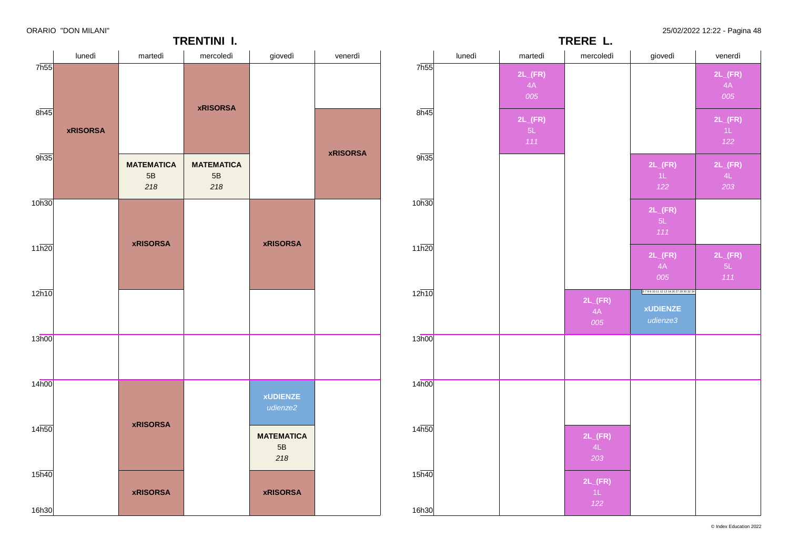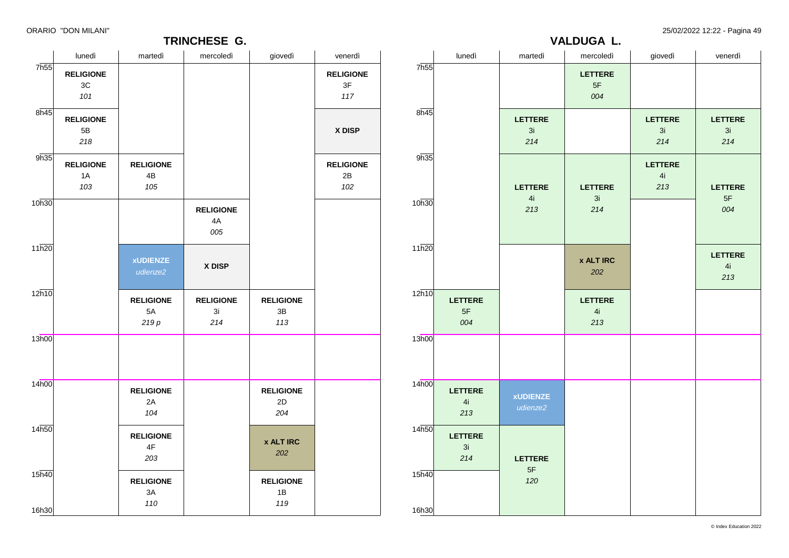### **TRINCHESE G.**

ORARIO "DON MILANI" 25/02/2022 12:22 - Pagina 49

|                             | TRINCHESE G.                             |                                |                               |                                          |                               |                | -------- ----<br>VALDUGA L.   |                             |                             |                             |                             |  |
|-----------------------------|------------------------------------------|--------------------------------|-------------------------------|------------------------------------------|-------------------------------|----------------|-------------------------------|-----------------------------|-----------------------------|-----------------------------|-----------------------------|--|
|                             | lunedì                                   | martedì                        | mercoledì                     | giovedì                                  | venerdì                       |                | lunedì                        | martedì                     | mercoledì                   | giovedì                     | venerdì                     |  |
| 7 <sub>h55</sub>            | <b>RELIGIONE</b><br>$3\mathrm{C}$<br>101 |                                |                               |                                          | <b>RELIGIONE</b><br>3F<br>117 | 7h55           |                               |                             | <b>LETTERE</b><br>5F<br>004 |                             |                             |  |
| 8h45                        | <b>RELIGIONE</b><br>$5\mathsf{B}$<br>218 |                                |                               |                                          | X DISP                        | 8h45           |                               | <b>LETTERE</b><br>3i<br>214 |                             | <b>LETTERE</b><br>3i<br>214 | <b>LETTERE</b><br>3i<br>214 |  |
| 9h35                        | <b>RELIGIONE</b><br>1A<br>103            | <b>RELIGIONE</b><br>4B<br>105  |                               |                                          | <b>RELIGIONE</b><br>2B<br>102 | 9h35           |                               | <b>LETTERE</b>              | LETTERE                     | LETTERE<br>4i<br>213        | <b>LETTERE</b>              |  |
| 10h30                       |                                          |                                | <b>RELIGIONE</b><br>4A<br>005 |                                          |                               | 10h30          |                               | 4i<br>213                   | 3i<br>214                   |                             | $5\mathsf{F}$<br>004        |  |
| $11\overline{h20}$          |                                          | <b>xUDIENZE</b><br>udienze2    | X DISP                        |                                          |                               | 11h20          |                               |                             | <b>x ALT IRC</b><br>202     |                             | <b>LETTERE</b><br>4i<br>213 |  |
| 12h10                       |                                          | <b>RELIGIONE</b><br>5A<br>219p | <b>RELIGIONE</b><br>3i<br>214 | <b>RELIGIONE</b><br>$3\mathsf{B}$<br>113 |                               | 12h10          | <b>LETTERE</b><br>$5F$<br>004 |                             | <b>LETTERE</b><br>4i<br>213 |                             |                             |  |
| 13h00                       |                                          |                                |                               |                                          |                               | 13h00          |                               |                             |                             |                             |                             |  |
| 14h00                       |                                          | <b>RELIGIONE</b><br>2A<br>104  |                               | <b>RELIGIONE</b><br>2D<br>204            |                               | 14h00          | <b>LETTERE</b><br>4i<br>213   | <b>xUDIENZE</b><br>udienze2 |                             |                             |                             |  |
| 14 <sub>h50</sub>           |                                          | <b>RELIGIONE</b><br>4F<br>203  |                               | <b>x ALT IRC</b><br>202                  |                               | 14h50          | LETTERE<br>3i<br>214          | <b>LETTERE</b>              |                             |                             |                             |  |
| $15\overline{h40}$<br>16h30 |                                          | <b>RELIGIONE</b><br>3A<br>110  |                               | <b>RELIGIONE</b><br>1B<br>119            |                               | 15h40<br>16h30 |                               | 5F<br>120                   |                             |                             |                             |  |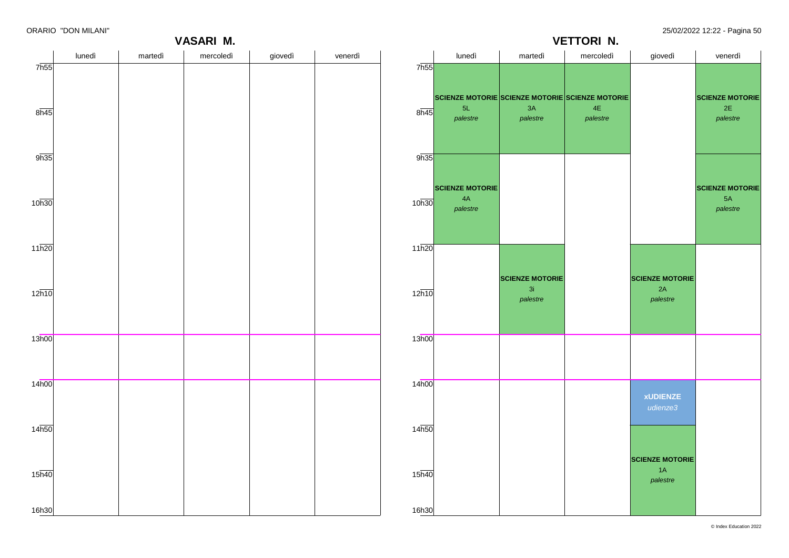**VASARI M.**

ORARIO "DON MILANI" 25/02/2022 12:22 - Pagina 50

**SCIENZE MOTORIE** 2E *palestre*

**SCIENZE MOTORIE** 5A *palestre*

2A

1A

**VETTORI N.**

### lunedì martedì mercoledì giovedì venerdì 7h55  $8h45$ 9h35 10h30 11h20  $12h10$ 13h00 14h00 14h50 15h40 16h30 lunedì martedì mercoledì giovedì venerdì 7h55  $8h45$ 9h35  $10h30$  $11h20$  $12h10$ 13h00 14h00  $14<sub>h50</sub>$ 15h40 16h30 **SCIENZE MOTORIE SCIENZE MOTORIE SCIENZE MOTORIE** 5L *palestre* **SCIENZE MOTORIE** 4A *palestre* 3A *palestre* **SCIENZE MOTORIE** 3i *palestre*  $4F$ *palestre* **SCIENZE MOTORIE** *palestre* **xUDIENZE** *udienze3* **SCIENZE MOTORIE** *palestre*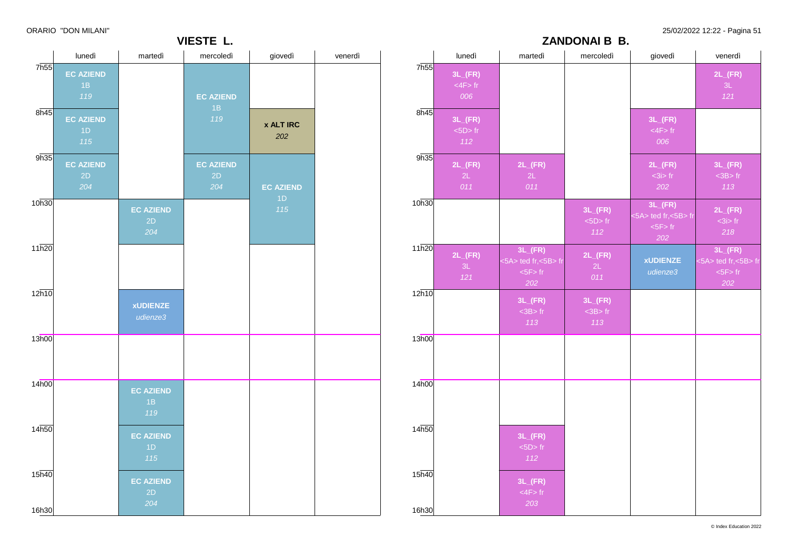ORARIO "DON MILANI" 25/02/2022 12:22 - Pagina 51

|                            | lunedì                        | martedì                       | mercoledì                     | giovedì                 | venerdì |
|----------------------------|-------------------------------|-------------------------------|-------------------------------|-------------------------|---------|
| 7 <sub>h55</sub>           | <b>EC AZIEND</b><br>1B<br>119 |                               | <b>EC AZIEND</b><br>1B        |                         |         |
| $8\overline{h45}$          | <b>EC AZIEND</b><br>1D<br>115 |                               | 119                           | <b>x ALT IRC</b><br>202 |         |
| 9h35                       | <b>EC AZIEND</b><br>2D<br>204 |                               | <b>EC AZIEND</b><br>2D<br>204 | <b>EC AZIEND</b>        |         |
| 10h30                      |                               | <b>EC AZIEND</b><br>2D<br>204 |                               | 1D<br>115               |         |
| 11h20                      |                               |                               |                               |                         |         |
| 12h10                      |                               | <b>xUDIENZE</b><br>udienze3   |                               |                         |         |
| 13h00                      |                               |                               |                               |                         |         |
| 14h00                      |                               | <b>EC AZIEND</b><br>1B<br>119 |                               |                         |         |
| 14h50                      |                               | <b>EC AZIEND</b><br>1D<br>115 |                               |                         |         |
| 15 <sub>h40</sub><br>16h30 |                               | <b>EC AZIEND</b><br>2D<br>204 |                               |                         |         |

**VIESTE L.**

|                |                                                |                                                       | <b>ZANDONAI B B.</b>                         |                                                               |                                                               |
|----------------|------------------------------------------------|-------------------------------------------------------|----------------------------------------------|---------------------------------------------------------------|---------------------------------------------------------------|
|                | lunedì                                         | martedì                                               | mercoledì                                    | giovedì                                                       | venerdì                                                       |
| 7h55           | $3L$ <sub>(FR)</sub><br>$<$ 4F $>$ fr<br>006   |                                                       |                                              |                                                               | $2L$ <sub>(FR)</sub><br>3L<br>121                             |
| 8h45           | $3L$ <sub>(FR)</sub><br>$<$ 5D $>$ fr<br>$112$ |                                                       |                                              | $3L$ <sub>(FR)</sub><br>$<$ 4F $>$ fr<br>006                  |                                                               |
| 9h35           | $2L$ <sub>(FR)</sub><br>2L<br>011              | $2L$ <sub>(FR)</sub><br>2L<br>011                     |                                              | $2L$ <sub>(FR)</sub><br>$<$ 3i> fr<br>$202\,$                 | $3L$ <sub>(FR)</sub><br>$3B$ fr<br>113                        |
| 10h30          |                                                |                                                       | $3L$ <sub>(FR)</sub><br>$<$ 5D $>$ fr<br>112 | $3L$ <sub>(FR)</sub><br><5A> ted fr,<5B> fr<br>$5F$ fr<br>202 | $2L$ <sub>(FR)</sub><br>$<$ 3 $\mathsf{i}$ > fr<br>218        |
| 11h20          | $2L$ <sub>(FR)</sub><br>3L<br>121              | $3L_{-}(FR)$<br><5A> ted fr,<5B> fr<br>$5F$ fr<br>202 | $2L$ <sub>(FR)</sub><br>2L<br>011            | <b>xUDIENZE</b><br>udienze3                                   | $3L$ <sub>(FR)</sub><br><5A> ted fr,<5B> fr<br>$5F$ fr<br>202 |
| 12h10          |                                                | $3L$ <sub>(FR)</sub><br>$3B$ fr<br>113                | $3L$ <sub>(FR)</sub><br>$3B$ fr<br>113       |                                                               |                                                               |
| 13h00          |                                                |                                                       |                                              |                                                               |                                                               |
| 14h00          |                                                |                                                       |                                              |                                                               |                                                               |
| 14h50          |                                                | $3L$ <sub>(FR)</sub><br>$<5D>$ fr<br>112              |                                              |                                                               |                                                               |
| 15h40<br>16h30 |                                                | $3L$ <sub>(FR)</sub><br>$<$ 4F $>$ fr<br>203          |                                              |                                                               |                                                               |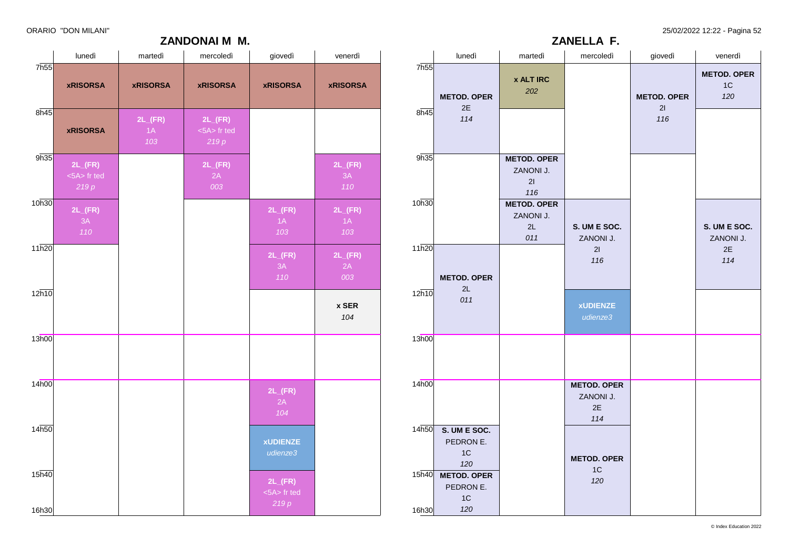ORARIO "DON MILANI" 25/02/2022 12:22 - Pagina 52

### **ZANDONAI M M.**

|                    | lunedì                                      | martedì                           | mercoledì                                   | giovedì                                     | venerdì                           |
|--------------------|---------------------------------------------|-----------------------------------|---------------------------------------------|---------------------------------------------|-----------------------------------|
| 7h55               | <b>xRISORSA</b>                             | <b>xRISORSA</b>                   | <b>xRISORSA</b>                             | <b>xRISORSA</b>                             | <b>xRISORSA</b>                   |
| 8h45               | <b>xRISORSA</b>                             | $2L$ <sub>(FR)</sub><br>1A<br>103 | $2L$ <sub>(FR)</sub><br><5A> fr ted<br>219p |                                             |                                   |
| 9h35               | $2L$ <sub>(FR)</sub><br><5A> fr ted<br>219p |                                   | $2L$ <sub>(FR)</sub><br>2A<br>003           |                                             | $2L$ <sub>(FR)</sub><br>3A<br>110 |
| 10h30              | $2L$ <sub>(FR)</sub><br>3A<br>110           |                                   |                                             | $2L$ <sub>(FR)</sub><br>1A<br>103           | $2L$ <sub>(FR)</sub><br>1A<br>103 |
| $11\overline{h20}$ |                                             |                                   |                                             | $2L$ <sub>(FR)</sub><br>3A<br>110           | $2L$ <sub>(FR)</sub><br>2A<br>003 |
| 12h10              |                                             |                                   |                                             |                                             | x SER<br>104                      |
| 13h00              |                                             |                                   |                                             |                                             |                                   |
| 14 <sub>h00</sub>  |                                             |                                   |                                             | $2L$ <sub>(FR)</sub><br>2A<br>104           |                                   |
| 14h50              |                                             |                                   |                                             | <b>xUDIENZE</b><br>udienze3                 |                                   |
| 15h40<br>16h30     |                                             |                                   |                                             | $2L$ <sub>(FR)</sub><br><5A> fr ted<br>219p |                                   |

|                          | $\cdot$ $ \cdot$ $-$<br>ZANELLA F.                       |                                              |                                              |                                 |                                 |  |  |  |  |
|--------------------------|----------------------------------------------------------|----------------------------------------------|----------------------------------------------|---------------------------------|---------------------------------|--|--|--|--|
|                          | lunedì                                                   | martedì                                      | mercoledì                                    | giovedì                         | venerdì                         |  |  |  |  |
| 7h <sub>55</sub><br>8h45 | <b>METOD. OPER</b><br>2E<br>114                          | <b>x ALT IRC</b><br>202                      |                                              | <b>METOD. OPER</b><br>21<br>116 | <b>METOD. OPER</b><br>1C<br>120 |  |  |  |  |
| 9h35                     |                                                          | <b>METOD. OPER</b><br>ZANONI J.<br>21<br>116 |                                              |                                 |                                 |  |  |  |  |
| 10h30                    |                                                          | <b>METOD. OPER</b><br>ZANONI J.<br>2L<br>011 | S. UM E SOC.<br>ZANONI J.                    |                                 | S. UM E SOC.<br>ZANONI J.       |  |  |  |  |
| 11h20                    | <b>METOD. OPER</b><br>2L                                 |                                              | 21<br>116                                    |                                 | 2E<br>114                       |  |  |  |  |
| 12h10                    | 011                                                      |                                              | <b>xUDIENZE</b><br>udienze3                  |                                 |                                 |  |  |  |  |
| 13h00                    |                                                          |                                              |                                              |                                 |                                 |  |  |  |  |
| 14h00                    |                                                          |                                              | <b>METOD. OPER</b><br>ZANONI J.<br>2E<br>114 |                                 |                                 |  |  |  |  |
| 14h50                    | S. UM E SOC.<br>PEDRON E.<br>1C<br>120                   |                                              | <b>METOD. OPER</b><br>1C                     |                                 |                                 |  |  |  |  |
| 15h40<br>16h30           | <b>METOD. OPER</b><br>PEDRON E.<br>1 <sup>C</sup><br>120 |                                              | 120                                          |                                 |                                 |  |  |  |  |